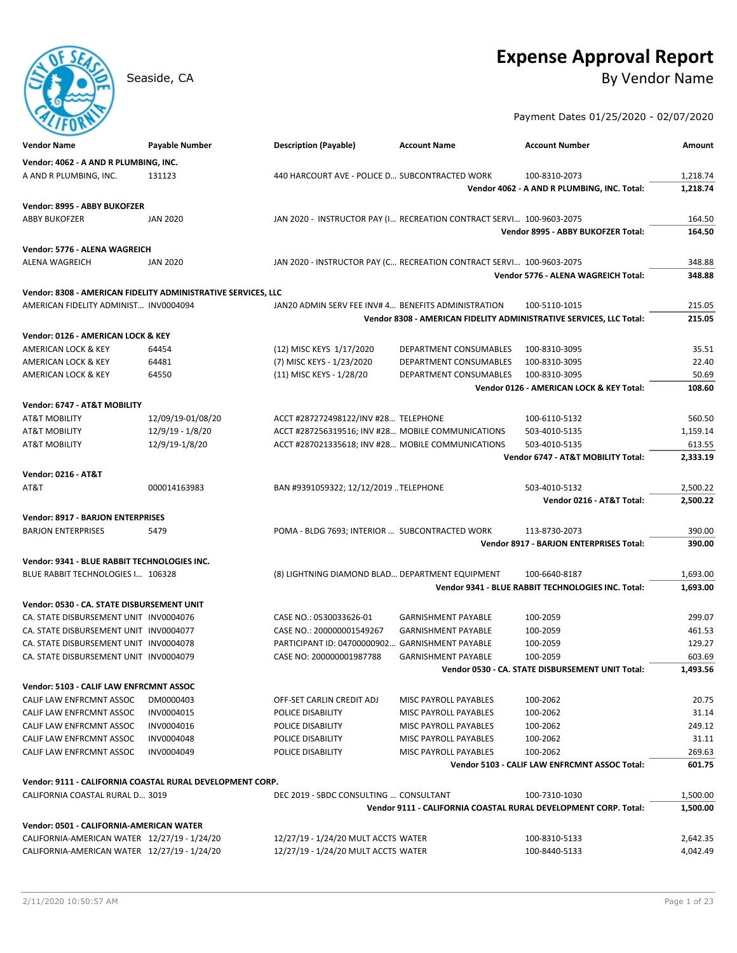# **Expense Approval Report**

Seaside, CA By Vendor Name

Payment Dates 01/25/2020 - 02/07/2020

| <b>Vendor Name</b>                                            | Payable Number    | <b>Description (Payable)</b>                        | <b>Account Name</b>                                                  | <b>Account Number</b>                                               | Amount   |
|---------------------------------------------------------------|-------------------|-----------------------------------------------------|----------------------------------------------------------------------|---------------------------------------------------------------------|----------|
| Vendor: 4062 - A AND R PLUMBING, INC.                         |                   |                                                     |                                                                      |                                                                     |          |
| A AND R PLUMBING, INC.                                        | 131123            | 440 HARCOURT AVE - POLICE D SUBCONTRACTED WORK      |                                                                      | 100-8310-2073                                                       | 1,218.74 |
|                                                               |                   |                                                     |                                                                      | Vendor 4062 - A AND R PLUMBING, INC. Total:                         | 1,218.74 |
|                                                               |                   |                                                     |                                                                      |                                                                     |          |
| Vendor: 8995 - ABBY BUKOFZER                                  |                   |                                                     |                                                                      |                                                                     |          |
| <b>ABBY BUKOFZER</b>                                          | <b>JAN 2020</b>   |                                                     | JAN 2020 - INSTRUCTOR PAY (I RECREATION CONTRACT SERVI 100-9603-2075 |                                                                     | 164.50   |
|                                                               |                   |                                                     |                                                                      | Vendor 8995 - ABBY BUKOFZER Total:                                  | 164.50   |
| Vendor: 5776 - ALENA WAGREICH                                 |                   |                                                     |                                                                      |                                                                     |          |
| <b>ALENA WAGREICH</b>                                         | <b>JAN 2020</b>   |                                                     | JAN 2020 - INSTRUCTOR PAY (C RECREATION CONTRACT SERVI 100-9603-2075 |                                                                     | 348.88   |
|                                                               |                   |                                                     |                                                                      | Vendor 5776 - ALENA WAGREICH Total:                                 | 348.88   |
| Vendor: 8308 - AMERICAN FIDELITY ADMINISTRATIVE SERVICES, LLC |                   |                                                     |                                                                      |                                                                     |          |
| AMERICAN FIDELITY ADMINIST INV0004094                         |                   | JAN20 ADMIN SERV FEE INV# 4 BENEFITS ADMINISTRATION |                                                                      | 100-5110-1015                                                       | 215.05   |
|                                                               |                   |                                                     |                                                                      | Vendor 8308 - AMERICAN FIDELITY ADMINISTRATIVE SERVICES, LLC Total: | 215.05   |
|                                                               |                   |                                                     |                                                                      |                                                                     |          |
| Vendor: 0126 - AMERICAN LOCK & KEY                            |                   |                                                     |                                                                      |                                                                     |          |
| AMERICAN LOCK & KEY                                           | 64454             | (12) MISC KEYS 1/17/2020                            | DEPARTMENT CONSUMABLES                                               | 100-8310-3095                                                       | 35.51    |
| AMERICAN LOCK & KEY                                           | 64481             | (7) MISC KEYS - 1/23/2020                           | DEPARTMENT CONSUMABLES                                               | 100-8310-3095                                                       | 22.40    |
| AMERICAN LOCK & KEY                                           | 64550             | (11) MISC KEYS - 1/28/20                            | DEPARTMENT CONSUMABLES                                               | 100-8310-3095                                                       | 50.69    |
|                                                               |                   |                                                     |                                                                      | Vendor 0126 - AMERICAN LOCK & KEY Total:                            | 108.60   |
| Vendor: 6747 - AT&T MOBILITY                                  |                   |                                                     |                                                                      |                                                                     |          |
| <b>AT&amp;T MOBILITY</b>                                      | 12/09/19-01/08/20 | ACCT #287272498122/INV #28 TELEPHONE                |                                                                      | 100-6110-5132                                                       | 560.50   |
| AT&T MOBILITY                                                 | 12/9/19 - 1/8/20  | ACCT #287256319516; INV #28 MOBILE COMMUNICATIONS   |                                                                      | 503-4010-5135                                                       | 1,159.14 |
| AT&T MOBILITY                                                 | 12/9/19-1/8/20    | ACCT #287021335618; INV #28 MOBILE COMMUNICATIONS   |                                                                      | 503-4010-5135                                                       | 613.55   |
|                                                               |                   |                                                     |                                                                      | Vendor 6747 - AT&T MOBILITY Total:                                  | 2,333.19 |
| <b>Vendor: 0216 - AT&amp;T</b>                                |                   |                                                     |                                                                      |                                                                     |          |
| AT&T                                                          | 000014163983      | BAN #9391059322; 12/12/2019 TELEPHONE               |                                                                      | 503-4010-5132                                                       | 2,500.22 |
|                                                               |                   |                                                     |                                                                      | Vendor 0216 - AT&T Total:                                           | 2,500.22 |
|                                                               |                   |                                                     |                                                                      |                                                                     |          |
| Vendor: 8917 - BARJON ENTERPRISES                             |                   |                                                     |                                                                      |                                                                     |          |
| <b>BARJON ENTERPRISES</b>                                     | 5479              | POMA - BLDG 7693; INTERIOR  SUBCONTRACTED WORK      |                                                                      | 113-8730-2073                                                       | 390.00   |
|                                                               |                   |                                                     |                                                                      | Vendor 8917 - BARJON ENTERPRISES Total:                             | 390.00   |
| Vendor: 9341 - BLUE RABBIT TECHNOLOGIES INC.                  |                   |                                                     |                                                                      |                                                                     |          |
| BLUE RABBIT TECHNOLOGIES I 106328                             |                   | (8) LIGHTNING DIAMOND BLAD DEPARTMENT EQUIPMENT     |                                                                      | 100-6640-8187                                                       | 1,693.00 |
|                                                               |                   |                                                     |                                                                      | Vendor 9341 - BLUE RABBIT TECHNOLOGIES INC. Total:                  | 1,693.00 |
| Vendor: 0530 - CA. STATE DISBURSEMENT UNIT                    |                   |                                                     |                                                                      |                                                                     |          |
| CA. STATE DISBURSEMENT UNIT INV0004076                        |                   | CASE NO.: 0530033626-01                             | <b>GARNISHMENT PAYABLE</b>                                           | 100-2059                                                            | 299.07   |
| CA. STATE DISBURSEMENT UNIT INV0004077                        |                   | CASE NO.: 200000001549267                           | <b>GARNISHMENT PAYABLE</b>                                           | 100-2059                                                            | 461.53   |
| CA. STATE DISBURSEMENT UNIT INV0004078                        |                   | PARTICIPANT ID: 04700000902                         | <b>GARNISHMENT PAYABLE</b>                                           | 100-2059                                                            | 129.27   |
| CA. STATE DISBURSEMENT UNIT INV0004079                        |                   | CASE NO: 200000001987788                            | <b>GARNISHMENT PAYABLE</b>                                           | 100-2059                                                            | 603.69   |
|                                                               |                   |                                                     |                                                                      | Vendor 0530 - CA. STATE DISBURSEMENT UNIT Total:                    | 1,493.56 |
|                                                               |                   |                                                     |                                                                      |                                                                     |          |
| Vendor: 5103 - CALIF LAW ENFRCMNT ASSOC                       |                   |                                                     |                                                                      |                                                                     |          |
| CALIF LAW ENFRCMNT ASSOC                                      | DM0000403         | OFF-SET CARLIN CREDIT ADJ                           | MISC PAYROLL PAYABLES                                                | 100-2062                                                            | 20.75    |
| CALIF LAW ENFRCMNT ASSOC                                      | INV0004015        | POLICE DISABILITY                                   | MISC PAYROLL PAYABLES                                                | 100-2062                                                            | 31.14    |
| CALIF LAW ENFRCMNT ASSOC                                      | INV0004016        | POLICE DISABILITY                                   | MISC PAYROLL PAYABLES                                                | 100-2062                                                            | 249.12   |
| CALIF LAW ENFRCMNT ASSOC                                      | INV0004048        | POLICE DISABILITY                                   | MISC PAYROLL PAYABLES                                                | 100-2062                                                            | 31.11    |
| CALIF LAW ENFRCMNT ASSOC                                      | INV0004049        | POLICE DISABILITY                                   | MISC PAYROLL PAYABLES                                                | 100-2062                                                            | 269.63   |
|                                                               |                   |                                                     |                                                                      | Vendor 5103 - CALIF LAW ENFRCMNT ASSOC Total:                       | 601.75   |
| Vendor: 9111 - CALIFORNIA COASTAL RURAL DEVELOPMENT CORP.     |                   |                                                     |                                                                      |                                                                     |          |
| CALIFORNIA COASTAL RURAL D 3019                               |                   | DEC 2019 - SBDC CONSULTING  CONSULTANT              |                                                                      | 100-7310-1030                                                       | 1,500.00 |
|                                                               |                   |                                                     |                                                                      | Vendor 9111 - CALIFORNIA COASTAL RURAL DEVELOPMENT CORP. Total:     | 1,500.00 |
|                                                               |                   |                                                     |                                                                      |                                                                     |          |
| Vendor: 0501 - CALIFORNIA-AMERICAN WATER                      |                   |                                                     |                                                                      |                                                                     |          |
| CALIFORNIA-AMERICAN WATER 12/27/19 - 1/24/20                  |                   | 12/27/19 - 1/24/20 MULT ACCTS WATER                 |                                                                      | 100-8310-5133                                                       | 2,642.35 |
| CALIFORNIA-AMERICAN WATER 12/27/19 - 1/24/20                  |                   | 12/27/19 - 1/24/20 MULT ACCTS WATER                 |                                                                      | 100-8440-5133                                                       | 4,042.49 |

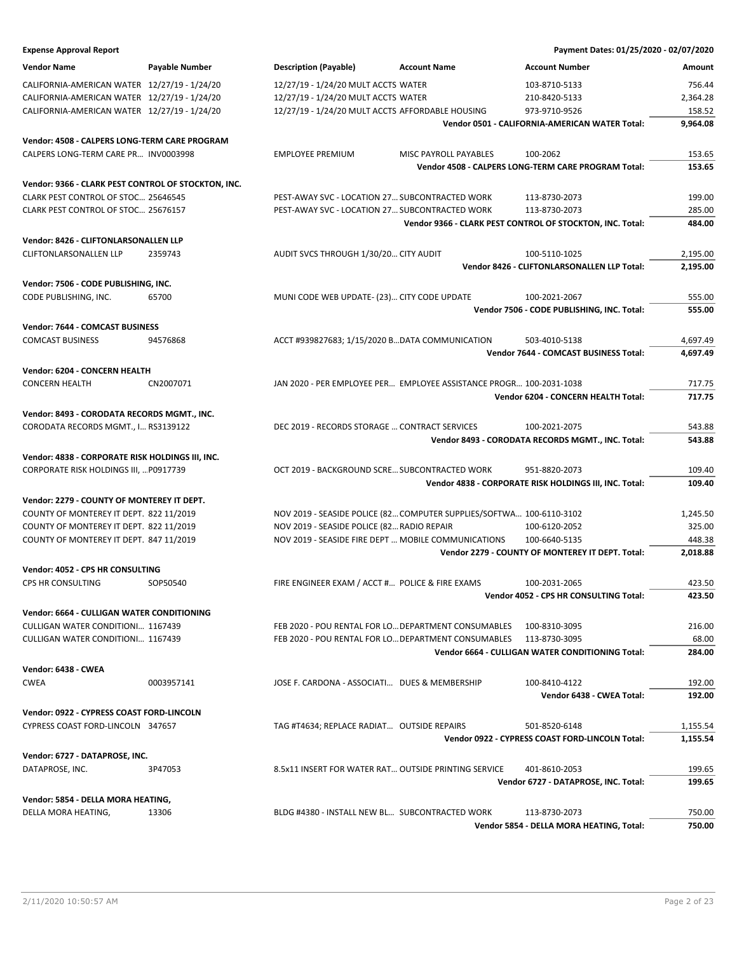| <b>Expense Approval Report</b>                      |                       |                                                                      |                       | Payment Dates: 01/25/2020 - 02/07/2020                    |          |
|-----------------------------------------------------|-----------------------|----------------------------------------------------------------------|-----------------------|-----------------------------------------------------------|----------|
| <b>Vendor Name</b>                                  | <b>Payable Number</b> | <b>Description (Payable)</b>                                         | <b>Account Name</b>   | <b>Account Number</b>                                     | Amount   |
| CALIFORNIA-AMERICAN WATER 12/27/19 - 1/24/20        |                       | 12/27/19 - 1/24/20 MULT ACCTS WATER                                  |                       | 103-8710-5133                                             | 756.44   |
| CALIFORNIA-AMERICAN WATER 12/27/19 - 1/24/20        |                       | 12/27/19 - 1/24/20 MULT ACCTS WATER                                  |                       | 210-8420-5133                                             | 2,364.28 |
| CALIFORNIA-AMERICAN WATER 12/27/19 - 1/24/20        |                       | 12/27/19 - 1/24/20 MULT ACCTS AFFORDABLE HOUSING                     |                       | 973-9710-9526                                             | 158.52   |
|                                                     |                       |                                                                      |                       | Vendor 0501 - CALIFORNIA-AMERICAN WATER Total:            | 9,964.08 |
| Vendor: 4508 - CALPERS LONG-TERM CARE PROGRAM       |                       |                                                                      |                       |                                                           |          |
| CALPERS LONG-TERM CARE PR INV0003998                |                       | <b>EMPLOYEE PREMIUM</b>                                              | MISC PAYROLL PAYABLES | 100-2062                                                  | 153.65   |
|                                                     |                       |                                                                      |                       | Vendor 4508 - CALPERS LONG-TERM CARE PROGRAM Total:       | 153.65   |
|                                                     |                       |                                                                      |                       |                                                           |          |
| Vendor: 9366 - CLARK PEST CONTROL OF STOCKTON, INC. |                       |                                                                      |                       |                                                           |          |
| CLARK PEST CONTROL OF STOC 25646545                 |                       | PEST-AWAY SVC - LOCATION 27 SUBCONTRACTED WORK                       |                       | 113-8730-2073                                             | 199.00   |
| CLARK PEST CONTROL OF STOC 25676157                 |                       | PEST-AWAY SVC - LOCATION 27 SUBCONTRACTED WORK                       |                       | 113-8730-2073                                             | 285.00   |
|                                                     |                       |                                                                      |                       | Vendor 9366 - CLARK PEST CONTROL OF STOCKTON, INC. Total: | 484.00   |
| Vendor: 8426 - CLIFTONLARSONALLEN LLP               |                       |                                                                      |                       |                                                           |          |
| CLIFTONLARSONALLEN LLP                              | 2359743               | AUDIT SVCS THROUGH 1/30/20 CITY AUDIT                                |                       | 100-5110-1025                                             | 2,195.00 |
|                                                     |                       |                                                                      |                       | Vendor 8426 - CLIFTONLARSONALLEN LLP Total:               | 2,195.00 |
| Vendor: 7506 - CODE PUBLISHING, INC.                |                       |                                                                      |                       |                                                           |          |
| CODE PUBLISHING, INC.                               | 65700                 | MUNI CODE WEB UPDATE- (23) CITY CODE UPDATE                          |                       | 100-2021-2067                                             | 555.00   |
|                                                     |                       |                                                                      |                       | Vendor 7506 - CODE PUBLISHING, INC. Total:                | 555.00   |
| Vendor: 7644 - COMCAST BUSINESS                     |                       |                                                                      |                       |                                                           |          |
| <b>COMCAST BUSINESS</b>                             | 94576868              | ACCT #939827683; 1/15/2020 BDATA COMMUNICATION                       |                       | 503-4010-5138                                             | 4,697.49 |
|                                                     |                       |                                                                      |                       | Vendor 7644 - COMCAST BUSINESS Total:                     | 4,697.49 |
|                                                     |                       |                                                                      |                       |                                                           |          |
| Vendor: 6204 - CONCERN HEALTH                       |                       |                                                                      |                       |                                                           |          |
| <b>CONCERN HEALTH</b>                               | CN2007071             | JAN 2020 - PER EMPLOYEE PER EMPLOYEE ASSISTANCE PROGR 100-2031-1038  |                       |                                                           | 717.75   |
|                                                     |                       |                                                                      |                       | Vendor 6204 - CONCERN HEALTH Total:                       | 717.75   |
| Vendor: 8493 - CORODATA RECORDS MGMT., INC.         |                       |                                                                      |                       |                                                           |          |
| CORODATA RECORDS MGMT., I RS3139122                 |                       | DEC 2019 - RECORDS STORAGE  CONTRACT SERVICES                        |                       | 100-2021-2075                                             | 543.88   |
|                                                     |                       |                                                                      |                       | Vendor 8493 - CORODATA RECORDS MGMT., INC. Total:         | 543.88   |
| Vendor: 4838 - CORPORATE RISK HOLDINGS III, INC.    |                       |                                                                      |                       |                                                           |          |
| CORPORATE RISK HOLDINGS III,  P0917739              |                       | OCT 2019 - BACKGROUND SCRE SUBCONTRACTED WORK                        |                       | 951-8820-2073                                             | 109.40   |
|                                                     |                       |                                                                      |                       | Vendor 4838 - CORPORATE RISK HOLDINGS III, INC. Total:    | 109.40   |
| Vendor: 2279 - COUNTY OF MONTEREY IT DEPT.          |                       |                                                                      |                       |                                                           |          |
| COUNTY OF MONTEREY IT DEPT. 822 11/2019             |                       | NOV 2019 - SEASIDE POLICE (82 COMPUTER SUPPLIES/SOFTWA 100-6110-3102 |                       |                                                           | 1,245.50 |
| COUNTY OF MONTEREY IT DEPT. 822 11/2019             |                       | NOV 2019 - SEASIDE POLICE (82 RADIO REPAIR                           |                       | 100-6120-2052                                             | 325.00   |
| COUNTY OF MONTEREY IT DEPT. 847 11/2019             |                       | NOV 2019 - SEASIDE FIRE DEPT  MOBILE COMMUNICATIONS                  |                       | 100-6640-5135                                             | 448.38   |
|                                                     |                       |                                                                      |                       | Vendor 2279 - COUNTY OF MONTEREY IT DEPT. Total:          | 2,018.88 |
|                                                     |                       |                                                                      |                       |                                                           |          |
| Vendor: 4052 - CPS HR CONSULTING                    |                       |                                                                      |                       |                                                           |          |
| CPS HR CONSULTING                                   | SOP50540              | FIRE ENGINEER EXAM / ACCT # POLICE & FIRE EXAMS                      |                       | 100-2031-2065                                             | 423.50   |
|                                                     |                       |                                                                      |                       | Vendor 4052 - CPS HR CONSULTING Total:                    | 423.50   |
| Vendor: 6664 - CULLIGAN WATER CONDITIONING          |                       |                                                                      |                       |                                                           |          |
| CULLIGAN WATER CONDITIONI 1167439                   |                       | FEB 2020 - POU RENTAL FOR LO DEPARTMENT CONSUMABLES                  |                       | 100-8310-3095                                             | 216.00   |
| CULLIGAN WATER CONDITIONI 1167439                   |                       | FEB 2020 - POU RENTAL FOR LO DEPARTMENT CONSUMABLES                  |                       | 113-8730-3095                                             | 68.00    |
|                                                     |                       |                                                                      |                       | Vendor 6664 - CULLIGAN WATER CONDITIONING Total:          | 284.00   |
| Vendor: 6438 - CWEA                                 |                       |                                                                      |                       |                                                           |          |
| <b>CWEA</b>                                         | 0003957141            | JOSE F. CARDONA - ASSOCIATI DUES & MEMBERSHIP                        |                       | 100-8410-4122                                             | 192.00   |
|                                                     |                       |                                                                      |                       | Vendor 6438 - CWEA Total:                                 | 192.00   |
| Vendor: 0922 - CYPRESS COAST FORD-LINCOLN           |                       |                                                                      |                       |                                                           |          |
| CYPRESS COAST FORD-LINCOLN 347657                   |                       | TAG #T4634; REPLACE RADIAT OUTSIDE REPAIRS                           |                       | 501-8520-6148                                             | 1,155.54 |
|                                                     |                       |                                                                      |                       | Vendor 0922 - CYPRESS COAST FORD-LINCOLN Total:           | 1,155.54 |
|                                                     |                       |                                                                      |                       |                                                           |          |
| Vendor: 6727 - DATAPROSE, INC.                      |                       |                                                                      |                       |                                                           |          |
| DATAPROSE, INC.                                     | 3P47053               | 8.5x11 INSERT FOR WATER RAT OUTSIDE PRINTING SERVICE                 |                       | 401-8610-2053                                             | 199.65   |
|                                                     |                       |                                                                      |                       | Vendor 6727 - DATAPROSE, INC. Total:                      | 199.65   |
| Vendor: 5854 - DELLA MORA HEATING,                  |                       |                                                                      |                       |                                                           |          |
| DELLA MORA HEATING,                                 | 13306                 | BLDG #4380 - INSTALL NEW BL SUBCONTRACTED WORK                       |                       | 113-8730-2073                                             | 750.00   |
|                                                     |                       |                                                                      |                       | Vendor 5854 - DELLA MORA HEATING, Total:                  | 750.00   |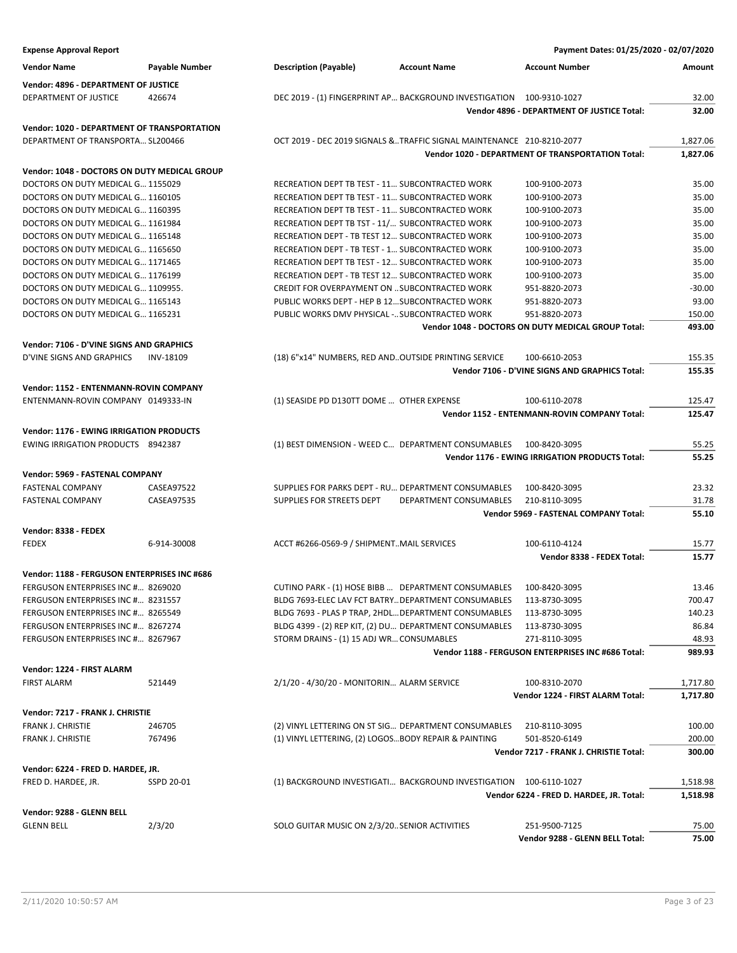| <b>Expense Approval Report</b>                            |                       |                                                                       |                        | Payment Dates: 01/25/2020 - 02/07/2020                          |                |
|-----------------------------------------------------------|-----------------------|-----------------------------------------------------------------------|------------------------|-----------------------------------------------------------------|----------------|
| <b>Vendor Name</b>                                        | <b>Payable Number</b> | <b>Description (Payable)</b>                                          | <b>Account Name</b>    | <b>Account Number</b>                                           | Amount         |
| Vendor: 4896 - DEPARTMENT OF JUSTICE                      |                       |                                                                       |                        |                                                                 |                |
| DEPARTMENT OF JUSTICE                                     | 426674                | DEC 2019 - (1) FINGERPRINT AP BACKGROUND INVESTIGATION 100-9310-1027  |                        |                                                                 | 32.00          |
|                                                           |                       |                                                                       |                        | Vendor 4896 - DEPARTMENT OF JUSTICE Total:                      | 32.00          |
| Vendor: 1020 - DEPARTMENT OF TRANSPORTATION               |                       |                                                                       |                        |                                                                 |                |
| DEPARTMENT OF TRANSPORTA SL200466                         |                       | OCT 2019 - DEC 2019 SIGNALS &TRAFFIC SIGNAL MAINTENANCE 210-8210-2077 |                        |                                                                 | 1,827.06       |
|                                                           |                       |                                                                       |                        | <b>Vendor 1020 - DEPARTMENT OF TRANSPORTATION Total:</b>        | 1,827.06       |
| Vendor: 1048 - DOCTORS ON DUTY MEDICAL GROUP              |                       |                                                                       |                        |                                                                 |                |
| DOCTORS ON DUTY MEDICAL G 1155029                         |                       | RECREATION DEPT TB TEST - 11 SUBCONTRACTED WORK                       |                        | 100-9100-2073                                                   | 35.00          |
| DOCTORS ON DUTY MEDICAL G 1160105                         |                       | RECREATION DEPT TB TEST - 11 SUBCONTRACTED WORK                       |                        | 100-9100-2073                                                   | 35.00          |
| DOCTORS ON DUTY MEDICAL G 1160395                         |                       | RECREATION DEPT TB TEST - 11 SUBCONTRACTED WORK                       |                        | 100-9100-2073                                                   | 35.00          |
| DOCTORS ON DUTY MEDICAL G 1161984                         |                       | RECREATION DEPT TB TST - 11/ SUBCONTRACTED WORK                       |                        | 100-9100-2073                                                   | 35.00          |
| DOCTORS ON DUTY MEDICAL G 1165148                         |                       | RECREATION DEPT - TB TEST 12 SUBCONTRACTED WORK                       |                        | 100-9100-2073                                                   | 35.00          |
| DOCTORS ON DUTY MEDICAL G 1165650                         |                       | RECREATION DEPT - TB TEST - 1 SUBCONTRACTED WORK                      |                        | 100-9100-2073                                                   | 35.00          |
| DOCTORS ON DUTY MEDICAL G 1171465                         |                       | RECREATION DEPT TB TEST - 12 SUBCONTRACTED WORK                       |                        | 100-9100-2073                                                   | 35.00          |
| DOCTORS ON DUTY MEDICAL G 1176199                         |                       | RECREATION DEPT - TB TEST 12 SUBCONTRACTED WORK                       |                        | 100-9100-2073                                                   | 35.00          |
| DOCTORS ON DUTY MEDICAL G 1109955.                        |                       | CREDIT FOR OVERPAYMENT ON  SUBCONTRACTED WORK                         |                        | 951-8820-2073                                                   | $-30.00$       |
| DOCTORS ON DUTY MEDICAL G 1165143                         |                       | PUBLIC WORKS DEPT - HEP B 12 SUBCONTRACTED WORK                       |                        | 951-8820-2073                                                   | 93.00          |
| DOCTORS ON DUTY MEDICAL G 1165231                         |                       | PUBLIC WORKS DMV PHYSICAL - SUBCONTRACTED WORK                        |                        | 951-8820-2073                                                   | 150.00         |
|                                                           |                       |                                                                       |                        | Vendor 1048 - DOCTORS ON DUTY MEDICAL GROUP Total:              | 493.00         |
| Vendor: 7106 - D'VINE SIGNS AND GRAPHICS                  |                       |                                                                       |                        |                                                                 |                |
| D'VINE SIGNS AND GRAPHICS                                 | <b>INV-18109</b>      | (18) 6"x14" NUMBERS, RED AND. OUTSIDE PRINTING SERVICE                |                        | 100-6610-2053                                                   | 155.35         |
|                                                           |                       |                                                                       |                        | Vendor 7106 - D'VINE SIGNS AND GRAPHICS Total:                  | 155.35         |
| Vendor: 1152 - ENTENMANN-ROVIN COMPANY                    |                       |                                                                       |                        |                                                                 |                |
| ENTENMANN-ROVIN COMPANY 0149333-IN                        |                       | (1) SEASIDE PD D130TT DOME  OTHER EXPENSE                             |                        | 100-6110-2078                                                   | 125.47         |
|                                                           |                       |                                                                       |                        | Vendor 1152 - ENTENMANN-ROVIN COMPANY Total:                    | 125.47         |
|                                                           |                       |                                                                       |                        |                                                                 |                |
| <b>Vendor: 1176 - EWING IRRIGATION PRODUCTS</b>           |                       |                                                                       |                        |                                                                 |                |
| EWING IRRIGATION PRODUCTS 8942387                         |                       | (1) BEST DIMENSION - WEED C DEPARTMENT CONSUMABLES                    |                        | 100-8420-3095<br>Vendor 1176 - EWING IRRIGATION PRODUCTS Total: | 55.25<br>55.25 |
|                                                           |                       |                                                                       |                        |                                                                 |                |
| Vendor: 5969 - FASTENAL COMPANY                           |                       |                                                                       |                        |                                                                 |                |
| <b>FASTENAL COMPANY</b>                                   | CASEA97522            | SUPPLIES FOR PARKS DEPT - RU DEPARTMENT CONSUMABLES                   |                        | 100-8420-3095                                                   | 23.32          |
| <b>FASTENAL COMPANY</b>                                   | CASEA97535            | SUPPLIES FOR STREETS DEPT                                             | DEPARTMENT CONSUMABLES | 210-8110-3095                                                   | 31.78          |
|                                                           |                       |                                                                       |                        | Vendor 5969 - FASTENAL COMPANY Total:                           | 55.10          |
| Vendor: 8338 - FEDEX                                      |                       |                                                                       |                        |                                                                 |                |
| <b>FEDEX</b>                                              | 6-914-30008           | ACCT #6266-0569-9 / SHIPMENTMAIL SERVICES                             |                        | 100-6110-4124                                                   | 15.77          |
|                                                           |                       |                                                                       |                        | Vendor 8338 - FEDEX Total:                                      | 15.77          |
| Vendor: 1188 - FERGUSON ENTERPRISES INC #686              |                       |                                                                       |                        |                                                                 |                |
| FERGUSON ENTERPRISES INC # 8269020                        |                       | CUTINO PARK - (1) HOSE BIBB  DEPARTMENT CONSUMABLES                   |                        | 100-8420-3095                                                   | 13.46          |
| FERGUSON ENTERPRISES INC # 8231557                        |                       | BLDG 7693-ELEC LAV FCT BATRY DEPARTMENT CONSUMABLES                   |                        | 113-8730-3095                                                   | 700.47         |
| FERGUSON ENTERPRISES INC # 8265549                        |                       | BLDG 7693 - PLAS P TRAP, 2HDL DEPARTMENT CONSUMABLES                  |                        | 113-8730-3095                                                   | 140.23         |
| FERGUSON ENTERPRISES INC # 8267274                        |                       | BLDG 4399 - (2) REP KIT, (2) DU DEPARTMENT CONSUMABLES                |                        | 113-8730-3095                                                   | 86.84          |
| FERGUSON ENTERPRISES INC # 8267967                        |                       | STORM DRAINS - (1) 15 ADJ WR CONSUMABLES                              |                        | 271-8110-3095                                                   | 48.93          |
|                                                           |                       |                                                                       |                        | Vendor 1188 - FERGUSON ENTERPRISES INC #686 Total:              | 989.93         |
| Vendor: 1224 - FIRST ALARM                                |                       |                                                                       |                        |                                                                 |                |
| <b>FIRST ALARM</b>                                        | 521449                | 2/1/20 - 4/30/20 - MONITORIN ALARM SERVICE                            |                        | 100-8310-2070                                                   | 1,717.80       |
|                                                           |                       |                                                                       |                        | Vendor 1224 - FIRST ALARM Total:                                | 1,717.80       |
| Vendor: 7217 - FRANK J. CHRISTIE                          |                       |                                                                       |                        |                                                                 |                |
| <b>FRANK J. CHRISTIE</b>                                  | 246705                | (2) VINYL LETTERING ON ST SIG DEPARTMENT CONSUMABLES                  |                        | 210-8110-3095                                                   | 100.00         |
| FRANK J. CHRISTIE                                         | 767496                | (1) VINYL LETTERING, (2) LOGOS BODY REPAIR & PAINTING                 |                        | 501-8520-6149                                                   | 200.00         |
|                                                           |                       |                                                                       |                        | Vendor 7217 - FRANK J. CHRISTIE Total:                          | 300.00         |
|                                                           |                       |                                                                       |                        |                                                                 |                |
| Vendor: 6224 - FRED D. HARDEE, JR.<br>FRED D. HARDEE, JR. | SSPD 20-01            | (1) BACKGROUND INVESTIGATI BACKGROUND INVESTIGATION 100-6110-1027     |                        |                                                                 | 1,518.98       |
|                                                           |                       |                                                                       |                        | Vendor 6224 - FRED D. HARDEE, JR. Total:                        | 1,518.98       |
|                                                           |                       |                                                                       |                        |                                                                 |                |
| Vendor: 9288 - GLENN BELL                                 |                       |                                                                       |                        |                                                                 |                |
| <b>GLENN BELL</b>                                         | 2/3/20                | SOLO GUITAR MUSIC ON 2/3/20. SENIOR ACTIVITIES                        |                        | 251-9500-7125                                                   | 75.00          |
|                                                           |                       |                                                                       |                        | Vendor 9288 - GLENN BELL Total:                                 | 75.00          |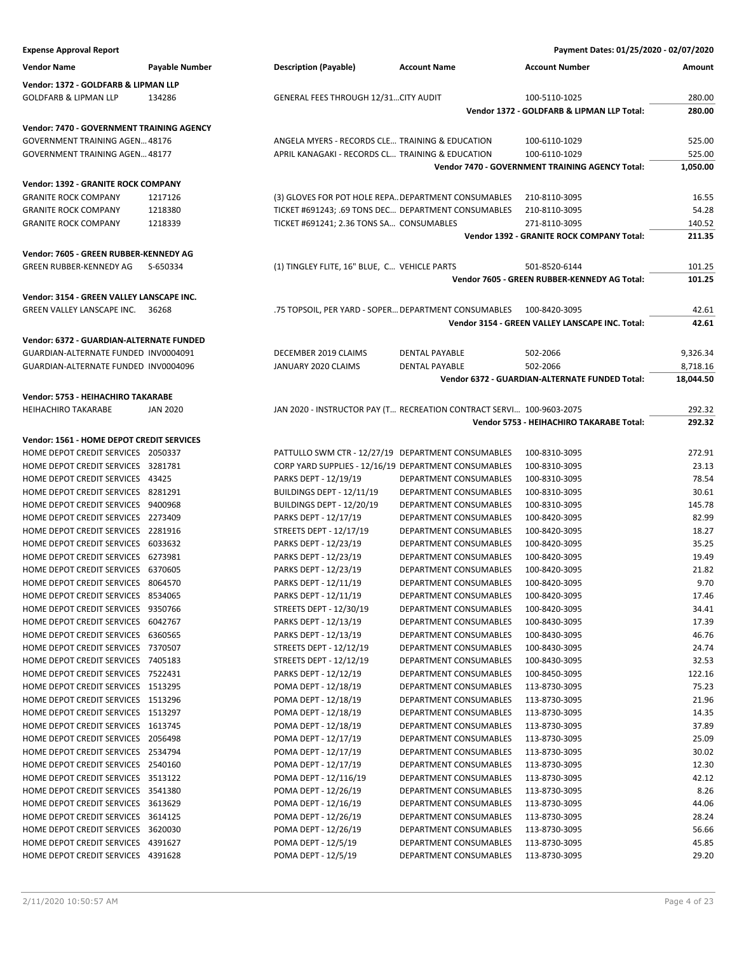| <b>Expense Approval Report</b>                                           |                       |                                                                      |                                                  | Payment Dates: 01/25/2020 - 02/07/2020                           |                |
|--------------------------------------------------------------------------|-----------------------|----------------------------------------------------------------------|--------------------------------------------------|------------------------------------------------------------------|----------------|
| <b>Vendor Name</b>                                                       | <b>Payable Number</b> | <b>Description (Payable)</b>                                         | <b>Account Name</b>                              | <b>Account Number</b>                                            | Amount         |
| Vendor: 1372 - GOLDFARB & LIPMAN LLP                                     |                       |                                                                      |                                                  |                                                                  |                |
| <b>GOLDFARB &amp; LIPMAN LLP</b>                                         | 134286                | <b>GENERAL FEES THROUGH 12/31CITY AUDIT</b>                          |                                                  | 100-5110-1025                                                    | 280.00         |
|                                                                          |                       |                                                                      |                                                  | Vendor 1372 - GOLDFARB & LIPMAN LLP Total:                       | 280.00         |
| Vendor: 7470 - GOVERNMENT TRAINING AGENCY                                |                       |                                                                      |                                                  |                                                                  |                |
| GOVERNMENT TRAINING AGEN 48176                                           |                       | ANGELA MYERS - RECORDS CLE TRAINING & EDUCATION                      |                                                  | 100-6110-1029                                                    | 525.00         |
| GOVERNMENT TRAINING AGEN 48177                                           |                       | APRIL KANAGAKI - RECORDS CL TRAINING & EDUCATION                     |                                                  | 100-6110-1029                                                    | 525.00         |
|                                                                          |                       |                                                                      |                                                  | Vendor 7470 - GOVERNMENT TRAINING AGENCY Total:                  | 1,050.00       |
| Vendor: 1392 - GRANITE ROCK COMPANY                                      |                       |                                                                      |                                                  |                                                                  |                |
| <b>GRANITE ROCK COMPANY</b>                                              | 1217126               | (3) GLOVES FOR POT HOLE REPA DEPARTMENT CONSUMABLES                  |                                                  | 210-8110-3095                                                    | 16.55          |
| <b>GRANITE ROCK COMPANY</b>                                              | 1218380               | TICKET #691243; .69 TONS DEC DEPARTMENT CONSUMABLES                  |                                                  | 210-8110-3095                                                    | 54.28          |
| <b>GRANITE ROCK COMPANY</b>                                              | 1218339               | TICKET #691241; 2.36 TONS SA CONSUMABLES                             |                                                  | 271-8110-3095                                                    | 140.52         |
|                                                                          |                       |                                                                      |                                                  | Vendor 1392 - GRANITE ROCK COMPANY Total:                        | 211.35         |
| Vendor: 7605 - GREEN RUBBER-KENNEDY AG                                   |                       |                                                                      |                                                  |                                                                  |                |
| GREEN RUBBER-KENNEDY AG                                                  | S-650334              | (1) TINGLEY FLITE, 16" BLUE, C VEHICLE PARTS                         |                                                  | 501-8520-6144                                                    | 101.25         |
|                                                                          |                       |                                                                      |                                                  | Vendor 7605 - GREEN RUBBER-KENNEDY AG Total:                     | 101.25         |
|                                                                          |                       |                                                                      |                                                  |                                                                  |                |
| Vendor: 3154 - GREEN VALLEY LANSCAPE INC.                                |                       |                                                                      |                                                  |                                                                  |                |
| GREEN VALLEY LANSCAPE INC.                                               | 36268                 | .75 TOPSOIL, PER YARD - SOPER DEPARTMENT CONSUMABLES                 |                                                  | 100-8420-3095<br>Vendor 3154 - GREEN VALLEY LANSCAPE INC. Total: | 42.61          |
|                                                                          |                       |                                                                      |                                                  |                                                                  | 42.61          |
| <b>Vendor: 6372 - GUARDIAN-ALTERNATE FUNDED</b>                          |                       |                                                                      |                                                  |                                                                  |                |
| GUARDIAN-ALTERNATE FUNDED INV0004091                                     |                       | DECEMBER 2019 CLAIMS                                                 | <b>DENTAL PAYABLE</b>                            | 502-2066                                                         | 9,326.34       |
| GUARDIAN-ALTERNATE FUNDED INV0004096                                     |                       | JANUARY 2020 CLAIMS                                                  | <b>DENTAL PAYABLE</b>                            | 502-2066                                                         | 8,718.16       |
|                                                                          |                       |                                                                      |                                                  | Vendor 6372 - GUARDIAN-ALTERNATE FUNDED Total:                   | 18,044.50      |
| Vendor: 5753 - HEIHACHIRO TAKARABE                                       |                       |                                                                      |                                                  |                                                                  |                |
| <b>HEIHACHIRO TAKARABE</b>                                               | <b>JAN 2020</b>       | JAN 2020 - INSTRUCTOR PAY (T RECREATION CONTRACT SERVI 100-9603-2075 |                                                  |                                                                  | 292.32         |
|                                                                          |                       |                                                                      |                                                  | Vendor 5753 - HEIHACHIRO TAKARABE Total:                         | 292.32         |
| Vendor: 1561 - HOME DEPOT CREDIT SERVICES                                |                       |                                                                      |                                                  |                                                                  |                |
| HOME DEPOT CREDIT SERVICES 2050337                                       |                       | PATTULLO SWM CTR - 12/27/19 DEPARTMENT CONSUMABLES                   |                                                  | 100-8310-3095                                                    | 272.91         |
| HOME DEPOT CREDIT SERVICES 3281781                                       |                       | CORP YARD SUPPLIES - 12/16/19 DEPARTMENT CONSUMABLES                 |                                                  | 100-8310-3095                                                    | 23.13          |
| HOME DEPOT CREDIT SERVICES 43425                                         |                       | PARKS DEPT - 12/19/19                                                | DEPARTMENT CONSUMABLES                           | 100-8310-3095                                                    | 78.54          |
| HOME DEPOT CREDIT SERVICES 8281291                                       |                       | BUILDINGS DEPT - 12/11/19                                            | DEPARTMENT CONSUMABLES                           | 100-8310-3095                                                    | 30.61          |
| HOME DEPOT CREDIT SERVICES 9400968                                       |                       | BUILDINGS DEPT - 12/20/19                                            | DEPARTMENT CONSUMABLES                           | 100-8310-3095                                                    | 145.78         |
| HOME DEPOT CREDIT SERVICES 2273409                                       |                       | PARKS DEPT - 12/17/19                                                | DEPARTMENT CONSUMABLES                           | 100-8420-3095                                                    | 82.99          |
| HOME DEPOT CREDIT SERVICES 2281916                                       |                       | STREETS DEPT - 12/17/19                                              | DEPARTMENT CONSUMABLES                           | 100-8420-3095                                                    | 18.27          |
| HOME DEPOT CREDIT SERVICES 6033632                                       |                       | PARKS DEPT - 12/23/19                                                | DEPARTMENT CONSUMABLES                           | 100-8420-3095                                                    | 35.25          |
| HOME DEPOT CREDIT SERVICES 6273981                                       |                       | PARKS DEPT - 12/23/19                                                | DEPARTMENT CONSUMABLES                           | 100-8420-3095                                                    | 19.49          |
| HOME DEPOT CREDIT SERVICES 6370605                                       |                       | PARKS DEPT - 12/23/19                                                | DEPARTMENT CONSUMABLES                           | 100-8420-3095                                                    | 21.82          |
| HOME DEPOT CREDIT SERVICES 8064570                                       |                       | PARKS DEPT - 12/11/19                                                | DEPARTMENT CONSUMABLES                           | 100-8420-3095                                                    | 9.70           |
| HOME DEPOT CREDIT SERVICES 8534065                                       |                       | PARKS DEPT - 12/11/19                                                | DEPARTMENT CONSUMABLES                           | 100-8420-3095                                                    | 17.46          |
| HOME DEPOT CREDIT SERVICES 9350766                                       |                       | STREETS DEPT - 12/30/19                                              | DEPARTMENT CONSUMABLES                           | 100-8420-3095                                                    | 34.41          |
| HOME DEPOT CREDIT SERVICES 6042767                                       |                       | PARKS DEPT - 12/13/19                                                | DEPARTMENT CONSUMABLES                           | 100-8430-3095                                                    | 17.39          |
| HOME DEPOT CREDIT SERVICES 6360565                                       |                       | PARKS DEPT - 12/13/19                                                | DEPARTMENT CONSUMABLES                           | 100-8430-3095                                                    | 46.76          |
| HOME DEPOT CREDIT SERVICES 7370507                                       |                       | STREETS DEPT - 12/12/19                                              | DEPARTMENT CONSUMABLES                           | 100-8430-3095                                                    | 24.74          |
| HOME DEPOT CREDIT SERVICES 7405183                                       |                       | STREETS DEPT - 12/12/19                                              | DEPARTMENT CONSUMABLES                           | 100-8430-3095                                                    | 32.53          |
| HOME DEPOT CREDIT SERVICES 7522431                                       |                       | PARKS DEPT - 12/12/19                                                | DEPARTMENT CONSUMABLES<br>DEPARTMENT CONSUMABLES | 100-8450-3095                                                    | 122.16         |
| HOME DEPOT CREDIT SERVICES 1513295<br>HOME DEPOT CREDIT SERVICES 1513296 |                       | POMA DEPT - 12/18/19<br>POMA DEPT - 12/18/19                         | DEPARTMENT CONSUMABLES                           | 113-8730-3095                                                    | 75.23<br>21.96 |
| HOME DEPOT CREDIT SERVICES 1513297                                       |                       | POMA DEPT - 12/18/19                                                 | DEPARTMENT CONSUMABLES                           | 113-8730-3095<br>113-8730-3095                                   | 14.35          |
| HOME DEPOT CREDIT SERVICES 1613745                                       |                       | POMA DEPT - 12/18/19                                                 | DEPARTMENT CONSUMABLES                           | 113-8730-3095                                                    | 37.89          |
| HOME DEPOT CREDIT SERVICES 2056498                                       |                       | POMA DEPT - 12/17/19                                                 | DEPARTMENT CONSUMABLES                           | 113-8730-3095                                                    | 25.09          |
| HOME DEPOT CREDIT SERVICES 2534794                                       |                       | POMA DEPT - 12/17/19                                                 | DEPARTMENT CONSUMABLES                           | 113-8730-3095                                                    | 30.02          |
| HOME DEPOT CREDIT SERVICES 2540160                                       |                       | POMA DEPT - 12/17/19                                                 | DEPARTMENT CONSUMABLES                           | 113-8730-3095                                                    | 12.30          |
| HOME DEPOT CREDIT SERVICES 3513122                                       |                       | POMA DEPT - 12/116/19                                                | DEPARTMENT CONSUMABLES                           | 113-8730-3095                                                    | 42.12          |
| HOME DEPOT CREDIT SERVICES 3541380                                       |                       | POMA DEPT - 12/26/19                                                 | DEPARTMENT CONSUMABLES                           | 113-8730-3095                                                    | 8.26           |
| HOME DEPOT CREDIT SERVICES 3613629                                       |                       | POMA DEPT - 12/16/19                                                 | DEPARTMENT CONSUMABLES                           | 113-8730-3095                                                    | 44.06          |
| HOME DEPOT CREDIT SERVICES 3614125                                       |                       | POMA DEPT - 12/26/19                                                 | DEPARTMENT CONSUMABLES                           | 113-8730-3095                                                    | 28.24          |
| HOME DEPOT CREDIT SERVICES 3620030                                       |                       | POMA DEPT - 12/26/19                                                 | DEPARTMENT CONSUMABLES                           | 113-8730-3095                                                    | 56.66          |
| HOME DEPOT CREDIT SERVICES 4391627                                       |                       | POMA DEPT - 12/5/19                                                  | DEPARTMENT CONSUMABLES                           | 113-8730-3095                                                    | 45.85          |
| HOME DEPOT CREDIT SERVICES 4391628                                       |                       | POMA DEPT - 12/5/19                                                  | DEPARTMENT CONSUMABLES                           | 113-8730-3095                                                    | 29.20          |
|                                                                          |                       |                                                                      |                                                  |                                                                  |                |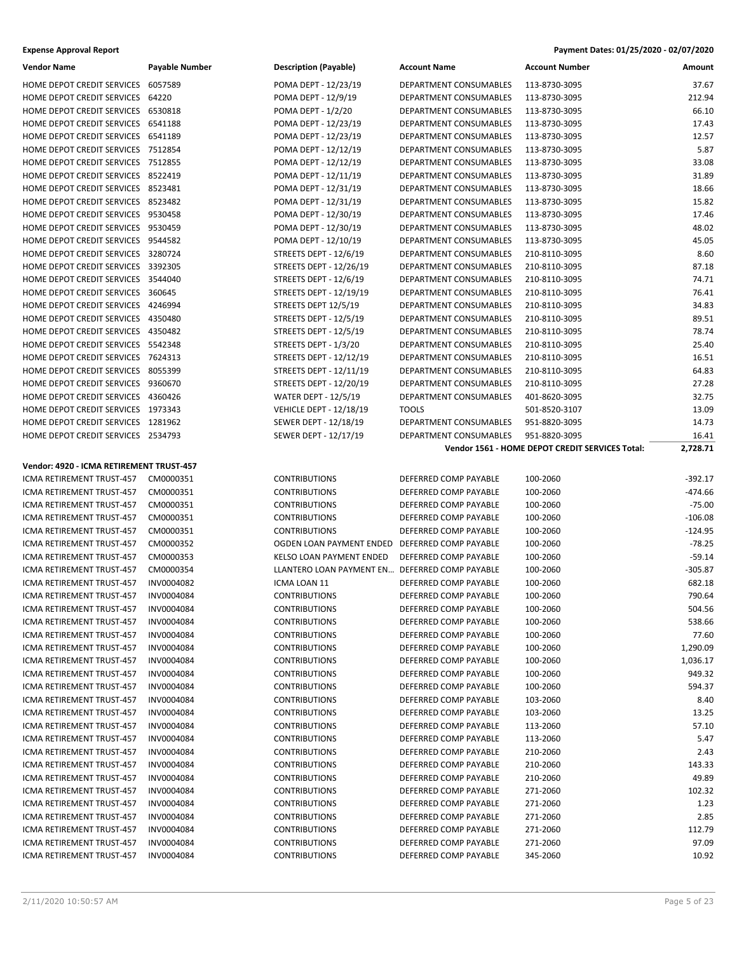| Vendor Name                                                              | Payable Number | <b>Description (Payable)</b>                   | <b>Account Name</b>                    | <b>Account Number</b>                                            | Amount    |
|--------------------------------------------------------------------------|----------------|------------------------------------------------|----------------------------------------|------------------------------------------------------------------|-----------|
| HOME DEPOT CREDIT SERVICES 6057589                                       |                | POMA DEPT - 12/23/19                           | DEPARTMENT CONSUMABLES                 | 113-8730-3095                                                    | 37.67     |
| HOME DEPOT CREDIT SERVICES 64220                                         |                | POMA DEPT - 12/9/19                            | DEPARTMENT CONSUMABLES                 | 113-8730-3095                                                    | 212.94    |
| HOME DEPOT CREDIT SERVICES 6530818                                       |                | POMA DEPT - 1/2/20                             | DEPARTMENT CONSUMABLES                 | 113-8730-3095                                                    | 66.10     |
| HOME DEPOT CREDIT SERVICES 6541188                                       |                | POMA DEPT - 12/23/19                           | DEPARTMENT CONSUMABLES                 | 113-8730-3095                                                    | 17.43     |
| HOME DEPOT CREDIT SERVICES 6541189                                       |                | POMA DEPT - 12/23/19                           | DEPARTMENT CONSUMABLES                 | 113-8730-3095                                                    | 12.57     |
| HOME DEPOT CREDIT SERVICES 7512854                                       |                | POMA DEPT - 12/12/19                           | DEPARTMENT CONSUMABLES                 | 113-8730-3095                                                    | 5.87      |
| HOME DEPOT CREDIT SERVICES 7512855                                       |                | POMA DEPT - 12/12/19                           | DEPARTMENT CONSUMABLES                 | 113-8730-3095                                                    | 33.08     |
| HOME DEPOT CREDIT SERVICES 8522419                                       |                | POMA DEPT - 12/11/19                           | DEPARTMENT CONSUMABLES                 | 113-8730-3095                                                    | 31.89     |
| HOME DEPOT CREDIT SERVICES 8523481                                       |                | POMA DEPT - 12/31/19                           | DEPARTMENT CONSUMABLES                 | 113-8730-3095                                                    | 18.66     |
| HOME DEPOT CREDIT SERVICES 8523482                                       |                | POMA DEPT - 12/31/19                           | DEPARTMENT CONSUMABLES                 | 113-8730-3095                                                    | 15.82     |
| HOME DEPOT CREDIT SERVICES 9530458                                       |                | POMA DEPT - 12/30/19                           | DEPARTMENT CONSUMABLES                 | 113-8730-3095                                                    | 17.46     |
| HOME DEPOT CREDIT SERVICES 9530459                                       |                | POMA DEPT - 12/30/19                           | DEPARTMENT CONSUMABLES                 | 113-8730-3095                                                    | 48.02     |
| HOME DEPOT CREDIT SERVICES 9544582                                       |                | POMA DEPT - 12/10/19                           | DEPARTMENT CONSUMABLES                 | 113-8730-3095                                                    | 45.05     |
| HOME DEPOT CREDIT SERVICES 3280724                                       |                | STREETS DEPT - 12/6/19                         | DEPARTMENT CONSUMABLES                 | 210-8110-3095                                                    | 8.60      |
| HOME DEPOT CREDIT SERVICES 3392305                                       |                | STREETS DEPT - 12/26/19                        | DEPARTMENT CONSUMABLES                 | 210-8110-3095                                                    | 87.18     |
| HOME DEPOT CREDIT SERVICES 3544040                                       |                | STREETS DEPT - 12/6/19                         | DEPARTMENT CONSUMABLES                 | 210-8110-3095                                                    | 74.71     |
| HOME DEPOT CREDIT SERVICES 360645                                        |                | STREETS DEPT - 12/19/19                        | DEPARTMENT CONSUMABLES                 | 210-8110-3095                                                    | 76.41     |
| HOME DEPOT CREDIT SERVICES 4246994                                       |                | STREETS DEPT 12/5/19                           | DEPARTMENT CONSUMABLES                 | 210-8110-3095                                                    | 34.83     |
| HOME DEPOT CREDIT SERVICES 4350480                                       |                | STREETS DEPT - 12/5/19                         | DEPARTMENT CONSUMABLES                 | 210-8110-3095                                                    | 89.51     |
| HOME DEPOT CREDIT SERVICES 4350482                                       |                | STREETS DEPT - 12/5/19                         | DEPARTMENT CONSUMABLES                 | 210-8110-3095                                                    | 78.74     |
| HOME DEPOT CREDIT SERVICES 5542348                                       |                | STREETS DEPT - 1/3/20                          | DEPARTMENT CONSUMABLES                 | 210-8110-3095                                                    | 25.40     |
| HOME DEPOT CREDIT SERVICES 7624313                                       |                | STREETS DEPT - 12/12/19                        | DEPARTMENT CONSUMABLES                 | 210-8110-3095                                                    | 16.51     |
| HOME DEPOT CREDIT SERVICES 8055399                                       |                | STREETS DEPT - 12/11/19                        | DEPARTMENT CONSUMABLES                 | 210-8110-3095                                                    | 64.83     |
| HOME DEPOT CREDIT SERVICES 9360670                                       |                | STREETS DEPT - 12/20/19                        | <b>DEPARTMENT CONSUMABLES</b>          | 210-8110-3095                                                    | 27.28     |
|                                                                          |                | <b>WATER DEPT - 12/5/19</b>                    |                                        | 401-8620-3095                                                    | 32.75     |
| HOME DEPOT CREDIT SERVICES 4360426<br>HOME DEPOT CREDIT SERVICES 1973343 |                |                                                | DEPARTMENT CONSUMABLES                 |                                                                  | 13.09     |
| HOME DEPOT CREDIT SERVICES 1281962                                       |                | <b>VEHICLE DEPT - 12/18/19</b>                 | <b>TOOLS</b><br>DEPARTMENT CONSUMABLES | 501-8520-3107<br>951-8820-3095                                   |           |
|                                                                          |                | SEWER DEPT - 12/18/19                          |                                        |                                                                  | 14.73     |
| HOME DEPOT CREDIT SERVICES 2534793                                       |                | SEWER DEPT - 12/17/19                          | DEPARTMENT CONSUMABLES                 | 951-8820-3095<br>Vendor 1561 - HOME DEPOT CREDIT SERVICES Total: | 16.41     |
|                                                                          |                |                                                |                                        |                                                                  | 2,728.71  |
|                                                                          |                |                                                |                                        |                                                                  |           |
| Vendor: 4920 - ICMA RETIREMENT TRUST-457                                 |                |                                                |                                        |                                                                  |           |
| ICMA RETIREMENT TRUST-457                                                | CM0000351      | <b>CONTRIBUTIONS</b>                           | DEFERRED COMP PAYABLE                  | 100-2060                                                         | -392.17   |
| ICMA RETIREMENT TRUST-457                                                | CM0000351      | <b>CONTRIBUTIONS</b>                           | DEFERRED COMP PAYABLE                  | 100-2060                                                         | -474.66   |
| ICMA RETIREMENT TRUST-457                                                | CM0000351      | <b>CONTRIBUTIONS</b>                           | DEFERRED COMP PAYABLE                  | 100-2060                                                         | $-75.00$  |
| ICMA RETIREMENT TRUST-457                                                | CM0000351      | <b>CONTRIBUTIONS</b>                           | DEFERRED COMP PAYABLE                  | 100-2060                                                         | $-106.08$ |
| ICMA RETIREMENT TRUST-457                                                | CM0000351      | <b>CONTRIBUTIONS</b>                           | DEFERRED COMP PAYABLE                  | 100-2060                                                         | $-124.95$ |
| ICMA RETIREMENT TRUST-457                                                | CM0000352      | OGDEN LOAN PAYMENT ENDED DEFERRED COMP PAYABLE |                                        | 100-2060                                                         | $-78.25$  |
| ICMA RETIREMENT TRUST-457                                                | CM0000353      | <b>KELSO LOAN PAYMENT ENDED</b>                | DEFERRED COMP PAYABLE                  | 100-2060                                                         | $-59.14$  |
| ICMA RETIREMENT TRUST-457                                                | CM0000354      | LLANTERO LOAN PAYMENT EN DEFERRED COMP PAYABLE |                                        | 100-2060                                                         | $-305.87$ |
| ICMA RETIREMENT TRUST-457                                                | INV0004082     | ICMA LOAN 11                                   | DEFERRED COMP PAYABLE                  | 100-2060                                                         | 682.18    |
| ICMA RETIREMENT TRUST-457                                                | INV0004084     | <b>CONTRIBUTIONS</b>                           | DEFERRED COMP PAYABLE                  | 100-2060                                                         | 790.64    |
| ICMA RETIREMENT TRUST-457                                                | INV0004084     | <b>CONTRIBUTIONS</b>                           | DEFERRED COMP PAYABLE                  | 100-2060                                                         | 504.56    |
| ICMA RETIREMENT TRUST-457                                                | INV0004084     | <b>CONTRIBUTIONS</b>                           | DEFERRED COMP PAYABLE                  | 100-2060                                                         | 538.66    |
| ICMA RETIREMENT TRUST-457                                                | INV0004084     | <b>CONTRIBUTIONS</b>                           | DEFERRED COMP PAYABLE                  | 100-2060                                                         | 77.60     |
| ICMA RETIREMENT TRUST-457                                                | INV0004084     | <b>CONTRIBUTIONS</b>                           | DEFERRED COMP PAYABLE                  | 100-2060                                                         | 1,290.09  |
| ICMA RETIREMENT TRUST-457                                                | INV0004084     | <b>CONTRIBUTIONS</b>                           | DEFERRED COMP PAYABLE                  | 100-2060                                                         | 1,036.17  |
| ICMA RETIREMENT TRUST-457                                                | INV0004084     | <b>CONTRIBUTIONS</b>                           | DEFERRED COMP PAYABLE                  | 100-2060                                                         | 949.32    |
| ICMA RETIREMENT TRUST-457                                                | INV0004084     | <b>CONTRIBUTIONS</b>                           | DEFERRED COMP PAYABLE                  | 100-2060                                                         | 594.37    |
| ICMA RETIREMENT TRUST-457                                                | INV0004084     | <b>CONTRIBUTIONS</b>                           | DEFERRED COMP PAYABLE                  | 103-2060                                                         | 8.40      |
| ICMA RETIREMENT TRUST-457                                                | INV0004084     | <b>CONTRIBUTIONS</b>                           | DEFERRED COMP PAYABLE                  | 103-2060                                                         | 13.25     |
| ICMA RETIREMENT TRUST-457                                                | INV0004084     | <b>CONTRIBUTIONS</b>                           | DEFERRED COMP PAYABLE                  | 113-2060                                                         | 57.10     |
| ICMA RETIREMENT TRUST-457                                                | INV0004084     | <b>CONTRIBUTIONS</b>                           | DEFERRED COMP PAYABLE                  | 113-2060                                                         | 5.47      |
| ICMA RETIREMENT TRUST-457                                                | INV0004084     | <b>CONTRIBUTIONS</b>                           | DEFERRED COMP PAYABLE                  | 210-2060                                                         | 2.43      |
| ICMA RETIREMENT TRUST-457                                                | INV0004084     | <b>CONTRIBUTIONS</b>                           | DEFERRED COMP PAYABLE                  | 210-2060                                                         | 143.33    |
| ICMA RETIREMENT TRUST-457                                                | INV0004084     | <b>CONTRIBUTIONS</b>                           | DEFERRED COMP PAYABLE                  | 210-2060                                                         | 49.89     |
| ICMA RETIREMENT TRUST-457                                                | INV0004084     | <b>CONTRIBUTIONS</b>                           | DEFERRED COMP PAYABLE                  | 271-2060                                                         | 102.32    |
| ICMA RETIREMENT TRUST-457                                                | INV0004084     | <b>CONTRIBUTIONS</b>                           | DEFERRED COMP PAYABLE                  | 271-2060                                                         | 1.23      |
| ICMA RETIREMENT TRUST-457                                                | INV0004084     | <b>CONTRIBUTIONS</b>                           | DEFERRED COMP PAYABLE                  | 271-2060                                                         | 2.85      |
| ICMA RETIREMENT TRUST-457                                                | INV0004084     | <b>CONTRIBUTIONS</b>                           | DEFERRED COMP PAYABLE                  | 271-2060                                                         | 112.79    |
| ICMA RETIREMENT TRUST-457                                                | INV0004084     | <b>CONTRIBUTIONS</b>                           | DEFERRED COMP PAYABLE                  | 271-2060                                                         | 97.09     |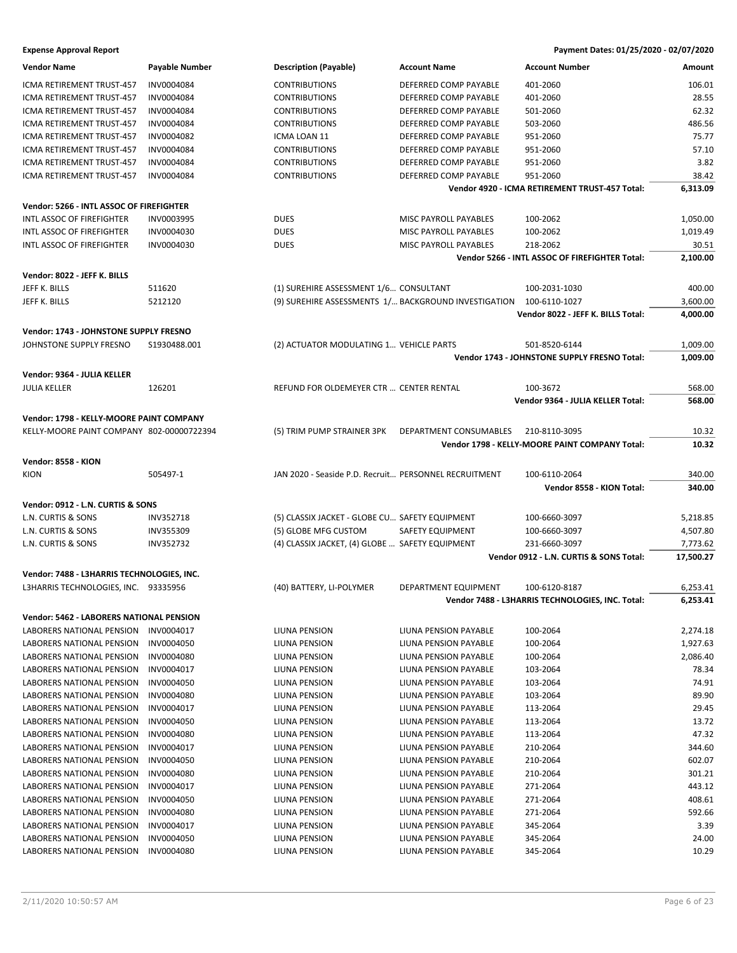| INV0004084<br><b>CONTRIBUTIONS</b><br>DEFERRED COMP PAYABLE<br>401-2060<br>106.01<br>ICMA RETIREMENT TRUST-457<br>28.55<br>INV0004084<br><b>CONTRIBUTIONS</b><br>DEFERRED COMP PAYABLE<br>401-2060<br>ICMA RETIREMENT TRUST-457<br>INV0004084<br><b>CONTRIBUTIONS</b><br>DEFERRED COMP PAYABLE<br>501-2060<br>62.32<br>ICMA RETIREMENT TRUST-457<br>ICMA RETIREMENT TRUST-457<br>INV0004084<br><b>CONTRIBUTIONS</b><br>DEFERRED COMP PAYABLE<br>503-2060<br>486.56<br>75.77<br>ICMA RETIREMENT TRUST-457<br>INV0004082<br>ICMA LOAN 11<br><b>DEFERRED COMP PAYABLE</b><br>951-2060<br>57.10<br>951-2060<br>ICMA RETIREMENT TRUST-457<br>INV0004084<br><b>CONTRIBUTIONS</b><br>DEFERRED COMP PAYABLE<br>3.82<br>DEFERRED COMP PAYABLE<br>951-2060<br>ICMA RETIREMENT TRUST-457<br>INV0004084<br><b>CONTRIBUTIONS</b><br>ICMA RETIREMENT TRUST-457<br>INV0004084<br><b>CONTRIBUTIONS</b><br>DEFERRED COMP PAYABLE<br>951-2060<br>38.42<br>Vendor 4920 - ICMA RETIREMENT TRUST-457 Total:<br>6,313.09<br>Vendor: 5266 - INTL ASSOC OF FIREFIGHTER<br>INTL ASSOC OF FIREFIGHTER<br><b>DUES</b><br>MISC PAYROLL PAYABLES<br>1,050.00<br>INV0003995<br>100-2062<br>INTL ASSOC OF FIREFIGHTER<br>INV0004030<br><b>DUES</b><br>MISC PAYROLL PAYABLES<br>100-2062<br>1,019.49<br>INTL ASSOC OF FIREFIGHTER<br>INV0004030<br><b>DUES</b><br>MISC PAYROLL PAYABLES<br>218-2062<br>30.51<br>Vendor 5266 - INTL ASSOC OF FIREFIGHTER Total:<br>2,100.00<br>Vendor: 8022 - JEFF K. BILLS<br>(1) SUREHIRE ASSESSMENT 1/6 CONSULTANT<br>JEFF K. BILLS<br>511620<br>100-2031-1030<br>400.00<br>(9) SUREHIRE ASSESSMENTS 1/ BACKGROUND INVESTIGATION<br>JEFF K. BILLS<br>100-6110-1027<br>3,600.00<br>5212120<br>Vendor 8022 - JEFF K. BILLS Total:<br>4,000.00<br>Vendor: 1743 - JOHNSTONE SUPPLY FRESNO<br>JOHNSTONE SUPPLY FRESNO<br>S1930488.001<br>(2) ACTUATOR MODULATING 1 VEHICLE PARTS<br>501-8520-6144<br>1,009.00<br>Vendor 1743 - JOHNSTONE SUPPLY FRESNO Total:<br>1,009.00<br>Vendor: 9364 - JULIA KELLER<br><b>JULIA KELLER</b><br>126201<br>REFUND FOR OLDEMEYER CTR  CENTER RENTAL<br>100-3672<br>568.00<br>568.00<br>Vendor 9364 - JULIA KELLER Total:<br>Vendor: 1798 - KELLY-MOORE PAINT COMPANY<br>KELLY-MOORE PAINT COMPANY 802-00000722394<br>(5) TRIM PUMP STRAINER 3PK<br>DEPARTMENT CONSUMABLES<br>210-8110-3095<br>10.32<br>10.32<br>Vendor 1798 - KELLY-MOORE PAINT COMPANY Total:<br>Vendor: 8558 - KION<br>505497-1<br><b>KION</b><br>JAN 2020 - Seaside P.D. Recruit PERSONNEL RECRUITMENT<br>100-6110-2064<br>340.00<br>340.00<br>Vendor 8558 - KION Total:<br>Vendor: 0912 - L.N. CURTIS & SONS<br>L.N. CURTIS & SONS<br>INV352718<br>(5) CLASSIX JACKET - GLOBE CU SAFETY EQUIPMENT<br>5,218.85<br>100-6660-3097<br>L.N. CURTIS & SONS<br>(5) GLOBE MFG CUSTOM<br>SAFETY EQUIPMENT<br>4,507.80<br><b>INV355309</b><br>100-6660-3097<br>L.N. CURTIS & SONS<br>INV352732<br>(4) CLASSIX JACKET, (4) GLOBE  SAFETY EQUIPMENT<br>231-6660-3097<br>7,773.62<br>Vendor 0912 - L.N. CURTIS & SONS Total:<br>17,500.27<br>Vendor: 7488 - L3HARRIS TECHNOLOGIES, INC.<br>L3HARRIS TECHNOLOGIES, INC. 93335956<br>(40) BATTERY, LI-POLYMER<br>6,253.41<br>DEPARTMENT EQUIPMENT<br>100-6120-8187<br>6,253.41<br>Vendor 7488 - L3HARRIS TECHNOLOGIES, INC. Total:<br>Vendor: 5462 - LABORERS NATIONAL PENSION<br>LIUNA PENSION<br>2,274.18<br>LABORERS NATIONAL PENSION<br>INV0004017<br>LIUNA PENSION PAYABLE<br>100-2064<br>INV0004050<br>1,927.63<br>LABORERS NATIONAL PENSION<br>LIUNA PENSION<br>LIUNA PENSION PAYABLE<br>100-2064<br>2,086.40<br>LABORERS NATIONAL PENSION<br>INV0004080<br>LIUNA PENSION<br>LIUNA PENSION PAYABLE<br>100-2064<br>78.34<br>LABORERS NATIONAL PENSION<br>INV0004017<br>LIUNA PENSION<br>LIUNA PENSION PAYABLE<br>103-2064<br>74.91<br>LABORERS NATIONAL PENSION<br>INV0004050<br>LIUNA PENSION<br>LIUNA PENSION PAYABLE<br>103-2064<br>LIUNA PENSION<br>LIUNA PENSION PAYABLE<br>89.90<br>LABORERS NATIONAL PENSION<br>INV0004080<br>103-2064<br>LABORERS NATIONAL PENSION<br>INV0004017<br>LIUNA PENSION<br>LIUNA PENSION PAYABLE<br>29.45<br>113-2064<br>LIUNA PENSION<br>13.72<br>LABORERS NATIONAL PENSION<br>INV0004050<br>LIUNA PENSION PAYABLE<br>113-2064<br>47.32<br>LABORERS NATIONAL PENSION<br>INV0004080<br>LIUNA PENSION<br>LIUNA PENSION PAYABLE<br>113-2064<br>344.60<br>LABORERS NATIONAL PENSION<br>INV0004017<br>LIUNA PENSION<br>LIUNA PENSION PAYABLE<br>210-2064<br>602.07<br>LABORERS NATIONAL PENSION<br>INV0004050<br>LIUNA PENSION<br>LIUNA PENSION PAYABLE<br>210-2064<br>LIUNA PENSION<br>301.21<br>LABORERS NATIONAL PENSION<br>INV0004080<br>LIUNA PENSION PAYABLE<br>210-2064<br>443.12<br>LABORERS NATIONAL PENSION<br>INV0004017<br>LIUNA PENSION<br>LIUNA PENSION PAYABLE<br>271-2064<br>408.61<br>LABORERS NATIONAL PENSION<br>INV0004050<br>LIUNA PENSION<br>LIUNA PENSION PAYABLE<br>271-2064<br>592.66<br>LABORERS NATIONAL PENSION<br>INV0004080<br>LIUNA PENSION<br>LIUNA PENSION PAYABLE<br>271-2064<br>LIUNA PENSION<br>3.39<br>LABORERS NATIONAL PENSION<br>INV0004017<br>LIUNA PENSION PAYABLE<br>345-2064 | <b>Vendor Name</b>        | <b>Payable Number</b> | <b>Description (Payable)</b> | <b>Account Name</b>   | <b>Account Number</b> | Amount |
|-------------------------------------------------------------------------------------------------------------------------------------------------------------------------------------------------------------------------------------------------------------------------------------------------------------------------------------------------------------------------------------------------------------------------------------------------------------------------------------------------------------------------------------------------------------------------------------------------------------------------------------------------------------------------------------------------------------------------------------------------------------------------------------------------------------------------------------------------------------------------------------------------------------------------------------------------------------------------------------------------------------------------------------------------------------------------------------------------------------------------------------------------------------------------------------------------------------------------------------------------------------------------------------------------------------------------------------------------------------------------------------------------------------------------------------------------------------------------------------------------------------------------------------------------------------------------------------------------------------------------------------------------------------------------------------------------------------------------------------------------------------------------------------------------------------------------------------------------------------------------------------------------------------------------------------------------------------------------------------------------------------------------------------------------------------------------------------------------------------------------------------------------------------------------------------------------------------------------------------------------------------------------------------------------------------------------------------------------------------------------------------------------------------------------------------------------------------------------------------------------------------------------------------------------------------------------------------------------------------------------------------------------------------------------------------------------------------------------------------------------------------------------------------------------------------------------------------------------------------------------------------------------------------------------------------------------------------------------------------------------------------------------------------------------------------------------------------------------------------------------------------------------------------------------------------------------------------------------------------------------------------------------------------------------------------------------------------------------------------------------------------------------------------------------------------------------------------------------------------------------------------------------------------------------------------------------------------------------------------------------------------------------------------------------------------------------------------------------------------------------------------------------------------------------------------------------------------------------------------------------------------------------------------------------------------------------------------------------------------------------------------------------------------------------------------------------------------------------------------------------------------------------------------------------------------------------------------------------------------------------------------------------------------------------------------------------------------------------------------------------------------------------------------------------------------------------------------------------------------------------------------------------------------------------------------------------------------------------------------------------------------------------------------------------------------------------------------------------------------------------------------------------------------------------------------------------------------------------------------------------------------------------------------------------------------------------------------------------------------------------------------------------------------------------------------------------------------------------|---------------------------|-----------------------|------------------------------|-----------------------|-----------------------|--------|
|                                                                                                                                                                                                                                                                                                                                                                                                                                                                                                                                                                                                                                                                                                                                                                                                                                                                                                                                                                                                                                                                                                                                                                                                                                                                                                                                                                                                                                                                                                                                                                                                                                                                                                                                                                                                                                                                                                                                                                                                                                                                                                                                                                                                                                                                                                                                                                                                                                                                                                                                                                                                                                                                                                                                                                                                                                                                                                                                                                                                                                                                                                                                                                                                                                                                                                                                                                                                                                                                                                                                                                                                                                                                                                                                                                                                                                                                                                                                                                                                                                                                                                                                                                                                                                                                                                                                                                                                                                                                                                                                                                                                                                                                                                                                                                                                                                                                                                                                                                                                                                                                                                 |                           |                       |                              |                       |                       |        |
|                                                                                                                                                                                                                                                                                                                                                                                                                                                                                                                                                                                                                                                                                                                                                                                                                                                                                                                                                                                                                                                                                                                                                                                                                                                                                                                                                                                                                                                                                                                                                                                                                                                                                                                                                                                                                                                                                                                                                                                                                                                                                                                                                                                                                                                                                                                                                                                                                                                                                                                                                                                                                                                                                                                                                                                                                                                                                                                                                                                                                                                                                                                                                                                                                                                                                                                                                                                                                                                                                                                                                                                                                                                                                                                                                                                                                                                                                                                                                                                                                                                                                                                                                                                                                                                                                                                                                                                                                                                                                                                                                                                                                                                                                                                                                                                                                                                                                                                                                                                                                                                                                                 |                           |                       |                              |                       |                       |        |
|                                                                                                                                                                                                                                                                                                                                                                                                                                                                                                                                                                                                                                                                                                                                                                                                                                                                                                                                                                                                                                                                                                                                                                                                                                                                                                                                                                                                                                                                                                                                                                                                                                                                                                                                                                                                                                                                                                                                                                                                                                                                                                                                                                                                                                                                                                                                                                                                                                                                                                                                                                                                                                                                                                                                                                                                                                                                                                                                                                                                                                                                                                                                                                                                                                                                                                                                                                                                                                                                                                                                                                                                                                                                                                                                                                                                                                                                                                                                                                                                                                                                                                                                                                                                                                                                                                                                                                                                                                                                                                                                                                                                                                                                                                                                                                                                                                                                                                                                                                                                                                                                                                 |                           |                       |                              |                       |                       |        |
|                                                                                                                                                                                                                                                                                                                                                                                                                                                                                                                                                                                                                                                                                                                                                                                                                                                                                                                                                                                                                                                                                                                                                                                                                                                                                                                                                                                                                                                                                                                                                                                                                                                                                                                                                                                                                                                                                                                                                                                                                                                                                                                                                                                                                                                                                                                                                                                                                                                                                                                                                                                                                                                                                                                                                                                                                                                                                                                                                                                                                                                                                                                                                                                                                                                                                                                                                                                                                                                                                                                                                                                                                                                                                                                                                                                                                                                                                                                                                                                                                                                                                                                                                                                                                                                                                                                                                                                                                                                                                                                                                                                                                                                                                                                                                                                                                                                                                                                                                                                                                                                                                                 |                           |                       |                              |                       |                       |        |
|                                                                                                                                                                                                                                                                                                                                                                                                                                                                                                                                                                                                                                                                                                                                                                                                                                                                                                                                                                                                                                                                                                                                                                                                                                                                                                                                                                                                                                                                                                                                                                                                                                                                                                                                                                                                                                                                                                                                                                                                                                                                                                                                                                                                                                                                                                                                                                                                                                                                                                                                                                                                                                                                                                                                                                                                                                                                                                                                                                                                                                                                                                                                                                                                                                                                                                                                                                                                                                                                                                                                                                                                                                                                                                                                                                                                                                                                                                                                                                                                                                                                                                                                                                                                                                                                                                                                                                                                                                                                                                                                                                                                                                                                                                                                                                                                                                                                                                                                                                                                                                                                                                 |                           |                       |                              |                       |                       |        |
|                                                                                                                                                                                                                                                                                                                                                                                                                                                                                                                                                                                                                                                                                                                                                                                                                                                                                                                                                                                                                                                                                                                                                                                                                                                                                                                                                                                                                                                                                                                                                                                                                                                                                                                                                                                                                                                                                                                                                                                                                                                                                                                                                                                                                                                                                                                                                                                                                                                                                                                                                                                                                                                                                                                                                                                                                                                                                                                                                                                                                                                                                                                                                                                                                                                                                                                                                                                                                                                                                                                                                                                                                                                                                                                                                                                                                                                                                                                                                                                                                                                                                                                                                                                                                                                                                                                                                                                                                                                                                                                                                                                                                                                                                                                                                                                                                                                                                                                                                                                                                                                                                                 |                           |                       |                              |                       |                       |        |
|                                                                                                                                                                                                                                                                                                                                                                                                                                                                                                                                                                                                                                                                                                                                                                                                                                                                                                                                                                                                                                                                                                                                                                                                                                                                                                                                                                                                                                                                                                                                                                                                                                                                                                                                                                                                                                                                                                                                                                                                                                                                                                                                                                                                                                                                                                                                                                                                                                                                                                                                                                                                                                                                                                                                                                                                                                                                                                                                                                                                                                                                                                                                                                                                                                                                                                                                                                                                                                                                                                                                                                                                                                                                                                                                                                                                                                                                                                                                                                                                                                                                                                                                                                                                                                                                                                                                                                                                                                                                                                                                                                                                                                                                                                                                                                                                                                                                                                                                                                                                                                                                                                 |                           |                       |                              |                       |                       |        |
|                                                                                                                                                                                                                                                                                                                                                                                                                                                                                                                                                                                                                                                                                                                                                                                                                                                                                                                                                                                                                                                                                                                                                                                                                                                                                                                                                                                                                                                                                                                                                                                                                                                                                                                                                                                                                                                                                                                                                                                                                                                                                                                                                                                                                                                                                                                                                                                                                                                                                                                                                                                                                                                                                                                                                                                                                                                                                                                                                                                                                                                                                                                                                                                                                                                                                                                                                                                                                                                                                                                                                                                                                                                                                                                                                                                                                                                                                                                                                                                                                                                                                                                                                                                                                                                                                                                                                                                                                                                                                                                                                                                                                                                                                                                                                                                                                                                                                                                                                                                                                                                                                                 |                           |                       |                              |                       |                       |        |
|                                                                                                                                                                                                                                                                                                                                                                                                                                                                                                                                                                                                                                                                                                                                                                                                                                                                                                                                                                                                                                                                                                                                                                                                                                                                                                                                                                                                                                                                                                                                                                                                                                                                                                                                                                                                                                                                                                                                                                                                                                                                                                                                                                                                                                                                                                                                                                                                                                                                                                                                                                                                                                                                                                                                                                                                                                                                                                                                                                                                                                                                                                                                                                                                                                                                                                                                                                                                                                                                                                                                                                                                                                                                                                                                                                                                                                                                                                                                                                                                                                                                                                                                                                                                                                                                                                                                                                                                                                                                                                                                                                                                                                                                                                                                                                                                                                                                                                                                                                                                                                                                                                 |                           |                       |                              |                       |                       |        |
|                                                                                                                                                                                                                                                                                                                                                                                                                                                                                                                                                                                                                                                                                                                                                                                                                                                                                                                                                                                                                                                                                                                                                                                                                                                                                                                                                                                                                                                                                                                                                                                                                                                                                                                                                                                                                                                                                                                                                                                                                                                                                                                                                                                                                                                                                                                                                                                                                                                                                                                                                                                                                                                                                                                                                                                                                                                                                                                                                                                                                                                                                                                                                                                                                                                                                                                                                                                                                                                                                                                                                                                                                                                                                                                                                                                                                                                                                                                                                                                                                                                                                                                                                                                                                                                                                                                                                                                                                                                                                                                                                                                                                                                                                                                                                                                                                                                                                                                                                                                                                                                                                                 |                           |                       |                              |                       |                       |        |
|                                                                                                                                                                                                                                                                                                                                                                                                                                                                                                                                                                                                                                                                                                                                                                                                                                                                                                                                                                                                                                                                                                                                                                                                                                                                                                                                                                                                                                                                                                                                                                                                                                                                                                                                                                                                                                                                                                                                                                                                                                                                                                                                                                                                                                                                                                                                                                                                                                                                                                                                                                                                                                                                                                                                                                                                                                                                                                                                                                                                                                                                                                                                                                                                                                                                                                                                                                                                                                                                                                                                                                                                                                                                                                                                                                                                                                                                                                                                                                                                                                                                                                                                                                                                                                                                                                                                                                                                                                                                                                                                                                                                                                                                                                                                                                                                                                                                                                                                                                                                                                                                                                 |                           |                       |                              |                       |                       |        |
|                                                                                                                                                                                                                                                                                                                                                                                                                                                                                                                                                                                                                                                                                                                                                                                                                                                                                                                                                                                                                                                                                                                                                                                                                                                                                                                                                                                                                                                                                                                                                                                                                                                                                                                                                                                                                                                                                                                                                                                                                                                                                                                                                                                                                                                                                                                                                                                                                                                                                                                                                                                                                                                                                                                                                                                                                                                                                                                                                                                                                                                                                                                                                                                                                                                                                                                                                                                                                                                                                                                                                                                                                                                                                                                                                                                                                                                                                                                                                                                                                                                                                                                                                                                                                                                                                                                                                                                                                                                                                                                                                                                                                                                                                                                                                                                                                                                                                                                                                                                                                                                                                                 |                           |                       |                              |                       |                       |        |
|                                                                                                                                                                                                                                                                                                                                                                                                                                                                                                                                                                                                                                                                                                                                                                                                                                                                                                                                                                                                                                                                                                                                                                                                                                                                                                                                                                                                                                                                                                                                                                                                                                                                                                                                                                                                                                                                                                                                                                                                                                                                                                                                                                                                                                                                                                                                                                                                                                                                                                                                                                                                                                                                                                                                                                                                                                                                                                                                                                                                                                                                                                                                                                                                                                                                                                                                                                                                                                                                                                                                                                                                                                                                                                                                                                                                                                                                                                                                                                                                                                                                                                                                                                                                                                                                                                                                                                                                                                                                                                                                                                                                                                                                                                                                                                                                                                                                                                                                                                                                                                                                                                 |                           |                       |                              |                       |                       |        |
|                                                                                                                                                                                                                                                                                                                                                                                                                                                                                                                                                                                                                                                                                                                                                                                                                                                                                                                                                                                                                                                                                                                                                                                                                                                                                                                                                                                                                                                                                                                                                                                                                                                                                                                                                                                                                                                                                                                                                                                                                                                                                                                                                                                                                                                                                                                                                                                                                                                                                                                                                                                                                                                                                                                                                                                                                                                                                                                                                                                                                                                                                                                                                                                                                                                                                                                                                                                                                                                                                                                                                                                                                                                                                                                                                                                                                                                                                                                                                                                                                                                                                                                                                                                                                                                                                                                                                                                                                                                                                                                                                                                                                                                                                                                                                                                                                                                                                                                                                                                                                                                                                                 |                           |                       |                              |                       |                       |        |
|                                                                                                                                                                                                                                                                                                                                                                                                                                                                                                                                                                                                                                                                                                                                                                                                                                                                                                                                                                                                                                                                                                                                                                                                                                                                                                                                                                                                                                                                                                                                                                                                                                                                                                                                                                                                                                                                                                                                                                                                                                                                                                                                                                                                                                                                                                                                                                                                                                                                                                                                                                                                                                                                                                                                                                                                                                                                                                                                                                                                                                                                                                                                                                                                                                                                                                                                                                                                                                                                                                                                                                                                                                                                                                                                                                                                                                                                                                                                                                                                                                                                                                                                                                                                                                                                                                                                                                                                                                                                                                                                                                                                                                                                                                                                                                                                                                                                                                                                                                                                                                                                                                 |                           |                       |                              |                       |                       |        |
|                                                                                                                                                                                                                                                                                                                                                                                                                                                                                                                                                                                                                                                                                                                                                                                                                                                                                                                                                                                                                                                                                                                                                                                                                                                                                                                                                                                                                                                                                                                                                                                                                                                                                                                                                                                                                                                                                                                                                                                                                                                                                                                                                                                                                                                                                                                                                                                                                                                                                                                                                                                                                                                                                                                                                                                                                                                                                                                                                                                                                                                                                                                                                                                                                                                                                                                                                                                                                                                                                                                                                                                                                                                                                                                                                                                                                                                                                                                                                                                                                                                                                                                                                                                                                                                                                                                                                                                                                                                                                                                                                                                                                                                                                                                                                                                                                                                                                                                                                                                                                                                                                                 |                           |                       |                              |                       |                       |        |
|                                                                                                                                                                                                                                                                                                                                                                                                                                                                                                                                                                                                                                                                                                                                                                                                                                                                                                                                                                                                                                                                                                                                                                                                                                                                                                                                                                                                                                                                                                                                                                                                                                                                                                                                                                                                                                                                                                                                                                                                                                                                                                                                                                                                                                                                                                                                                                                                                                                                                                                                                                                                                                                                                                                                                                                                                                                                                                                                                                                                                                                                                                                                                                                                                                                                                                                                                                                                                                                                                                                                                                                                                                                                                                                                                                                                                                                                                                                                                                                                                                                                                                                                                                                                                                                                                                                                                                                                                                                                                                                                                                                                                                                                                                                                                                                                                                                                                                                                                                                                                                                                                                 |                           |                       |                              |                       |                       |        |
|                                                                                                                                                                                                                                                                                                                                                                                                                                                                                                                                                                                                                                                                                                                                                                                                                                                                                                                                                                                                                                                                                                                                                                                                                                                                                                                                                                                                                                                                                                                                                                                                                                                                                                                                                                                                                                                                                                                                                                                                                                                                                                                                                                                                                                                                                                                                                                                                                                                                                                                                                                                                                                                                                                                                                                                                                                                                                                                                                                                                                                                                                                                                                                                                                                                                                                                                                                                                                                                                                                                                                                                                                                                                                                                                                                                                                                                                                                                                                                                                                                                                                                                                                                                                                                                                                                                                                                                                                                                                                                                                                                                                                                                                                                                                                                                                                                                                                                                                                                                                                                                                                                 |                           |                       |                              |                       |                       |        |
|                                                                                                                                                                                                                                                                                                                                                                                                                                                                                                                                                                                                                                                                                                                                                                                                                                                                                                                                                                                                                                                                                                                                                                                                                                                                                                                                                                                                                                                                                                                                                                                                                                                                                                                                                                                                                                                                                                                                                                                                                                                                                                                                                                                                                                                                                                                                                                                                                                                                                                                                                                                                                                                                                                                                                                                                                                                                                                                                                                                                                                                                                                                                                                                                                                                                                                                                                                                                                                                                                                                                                                                                                                                                                                                                                                                                                                                                                                                                                                                                                                                                                                                                                                                                                                                                                                                                                                                                                                                                                                                                                                                                                                                                                                                                                                                                                                                                                                                                                                                                                                                                                                 |                           |                       |                              |                       |                       |        |
|                                                                                                                                                                                                                                                                                                                                                                                                                                                                                                                                                                                                                                                                                                                                                                                                                                                                                                                                                                                                                                                                                                                                                                                                                                                                                                                                                                                                                                                                                                                                                                                                                                                                                                                                                                                                                                                                                                                                                                                                                                                                                                                                                                                                                                                                                                                                                                                                                                                                                                                                                                                                                                                                                                                                                                                                                                                                                                                                                                                                                                                                                                                                                                                                                                                                                                                                                                                                                                                                                                                                                                                                                                                                                                                                                                                                                                                                                                                                                                                                                                                                                                                                                                                                                                                                                                                                                                                                                                                                                                                                                                                                                                                                                                                                                                                                                                                                                                                                                                                                                                                                                                 |                           |                       |                              |                       |                       |        |
|                                                                                                                                                                                                                                                                                                                                                                                                                                                                                                                                                                                                                                                                                                                                                                                                                                                                                                                                                                                                                                                                                                                                                                                                                                                                                                                                                                                                                                                                                                                                                                                                                                                                                                                                                                                                                                                                                                                                                                                                                                                                                                                                                                                                                                                                                                                                                                                                                                                                                                                                                                                                                                                                                                                                                                                                                                                                                                                                                                                                                                                                                                                                                                                                                                                                                                                                                                                                                                                                                                                                                                                                                                                                                                                                                                                                                                                                                                                                                                                                                                                                                                                                                                                                                                                                                                                                                                                                                                                                                                                                                                                                                                                                                                                                                                                                                                                                                                                                                                                                                                                                                                 |                           |                       |                              |                       |                       |        |
|                                                                                                                                                                                                                                                                                                                                                                                                                                                                                                                                                                                                                                                                                                                                                                                                                                                                                                                                                                                                                                                                                                                                                                                                                                                                                                                                                                                                                                                                                                                                                                                                                                                                                                                                                                                                                                                                                                                                                                                                                                                                                                                                                                                                                                                                                                                                                                                                                                                                                                                                                                                                                                                                                                                                                                                                                                                                                                                                                                                                                                                                                                                                                                                                                                                                                                                                                                                                                                                                                                                                                                                                                                                                                                                                                                                                                                                                                                                                                                                                                                                                                                                                                                                                                                                                                                                                                                                                                                                                                                                                                                                                                                                                                                                                                                                                                                                                                                                                                                                                                                                                                                 |                           |                       |                              |                       |                       |        |
|                                                                                                                                                                                                                                                                                                                                                                                                                                                                                                                                                                                                                                                                                                                                                                                                                                                                                                                                                                                                                                                                                                                                                                                                                                                                                                                                                                                                                                                                                                                                                                                                                                                                                                                                                                                                                                                                                                                                                                                                                                                                                                                                                                                                                                                                                                                                                                                                                                                                                                                                                                                                                                                                                                                                                                                                                                                                                                                                                                                                                                                                                                                                                                                                                                                                                                                                                                                                                                                                                                                                                                                                                                                                                                                                                                                                                                                                                                                                                                                                                                                                                                                                                                                                                                                                                                                                                                                                                                                                                                                                                                                                                                                                                                                                                                                                                                                                                                                                                                                                                                                                                                 |                           |                       |                              |                       |                       |        |
|                                                                                                                                                                                                                                                                                                                                                                                                                                                                                                                                                                                                                                                                                                                                                                                                                                                                                                                                                                                                                                                                                                                                                                                                                                                                                                                                                                                                                                                                                                                                                                                                                                                                                                                                                                                                                                                                                                                                                                                                                                                                                                                                                                                                                                                                                                                                                                                                                                                                                                                                                                                                                                                                                                                                                                                                                                                                                                                                                                                                                                                                                                                                                                                                                                                                                                                                                                                                                                                                                                                                                                                                                                                                                                                                                                                                                                                                                                                                                                                                                                                                                                                                                                                                                                                                                                                                                                                                                                                                                                                                                                                                                                                                                                                                                                                                                                                                                                                                                                                                                                                                                                 |                           |                       |                              |                       |                       |        |
|                                                                                                                                                                                                                                                                                                                                                                                                                                                                                                                                                                                                                                                                                                                                                                                                                                                                                                                                                                                                                                                                                                                                                                                                                                                                                                                                                                                                                                                                                                                                                                                                                                                                                                                                                                                                                                                                                                                                                                                                                                                                                                                                                                                                                                                                                                                                                                                                                                                                                                                                                                                                                                                                                                                                                                                                                                                                                                                                                                                                                                                                                                                                                                                                                                                                                                                                                                                                                                                                                                                                                                                                                                                                                                                                                                                                                                                                                                                                                                                                                                                                                                                                                                                                                                                                                                                                                                                                                                                                                                                                                                                                                                                                                                                                                                                                                                                                                                                                                                                                                                                                                                 |                           |                       |                              |                       |                       |        |
|                                                                                                                                                                                                                                                                                                                                                                                                                                                                                                                                                                                                                                                                                                                                                                                                                                                                                                                                                                                                                                                                                                                                                                                                                                                                                                                                                                                                                                                                                                                                                                                                                                                                                                                                                                                                                                                                                                                                                                                                                                                                                                                                                                                                                                                                                                                                                                                                                                                                                                                                                                                                                                                                                                                                                                                                                                                                                                                                                                                                                                                                                                                                                                                                                                                                                                                                                                                                                                                                                                                                                                                                                                                                                                                                                                                                                                                                                                                                                                                                                                                                                                                                                                                                                                                                                                                                                                                                                                                                                                                                                                                                                                                                                                                                                                                                                                                                                                                                                                                                                                                                                                 |                           |                       |                              |                       |                       |        |
|                                                                                                                                                                                                                                                                                                                                                                                                                                                                                                                                                                                                                                                                                                                                                                                                                                                                                                                                                                                                                                                                                                                                                                                                                                                                                                                                                                                                                                                                                                                                                                                                                                                                                                                                                                                                                                                                                                                                                                                                                                                                                                                                                                                                                                                                                                                                                                                                                                                                                                                                                                                                                                                                                                                                                                                                                                                                                                                                                                                                                                                                                                                                                                                                                                                                                                                                                                                                                                                                                                                                                                                                                                                                                                                                                                                                                                                                                                                                                                                                                                                                                                                                                                                                                                                                                                                                                                                                                                                                                                                                                                                                                                                                                                                                                                                                                                                                                                                                                                                                                                                                                                 |                           |                       |                              |                       |                       |        |
|                                                                                                                                                                                                                                                                                                                                                                                                                                                                                                                                                                                                                                                                                                                                                                                                                                                                                                                                                                                                                                                                                                                                                                                                                                                                                                                                                                                                                                                                                                                                                                                                                                                                                                                                                                                                                                                                                                                                                                                                                                                                                                                                                                                                                                                                                                                                                                                                                                                                                                                                                                                                                                                                                                                                                                                                                                                                                                                                                                                                                                                                                                                                                                                                                                                                                                                                                                                                                                                                                                                                                                                                                                                                                                                                                                                                                                                                                                                                                                                                                                                                                                                                                                                                                                                                                                                                                                                                                                                                                                                                                                                                                                                                                                                                                                                                                                                                                                                                                                                                                                                                                                 |                           |                       |                              |                       |                       |        |
|                                                                                                                                                                                                                                                                                                                                                                                                                                                                                                                                                                                                                                                                                                                                                                                                                                                                                                                                                                                                                                                                                                                                                                                                                                                                                                                                                                                                                                                                                                                                                                                                                                                                                                                                                                                                                                                                                                                                                                                                                                                                                                                                                                                                                                                                                                                                                                                                                                                                                                                                                                                                                                                                                                                                                                                                                                                                                                                                                                                                                                                                                                                                                                                                                                                                                                                                                                                                                                                                                                                                                                                                                                                                                                                                                                                                                                                                                                                                                                                                                                                                                                                                                                                                                                                                                                                                                                                                                                                                                                                                                                                                                                                                                                                                                                                                                                                                                                                                                                                                                                                                                                 |                           |                       |                              |                       |                       |        |
|                                                                                                                                                                                                                                                                                                                                                                                                                                                                                                                                                                                                                                                                                                                                                                                                                                                                                                                                                                                                                                                                                                                                                                                                                                                                                                                                                                                                                                                                                                                                                                                                                                                                                                                                                                                                                                                                                                                                                                                                                                                                                                                                                                                                                                                                                                                                                                                                                                                                                                                                                                                                                                                                                                                                                                                                                                                                                                                                                                                                                                                                                                                                                                                                                                                                                                                                                                                                                                                                                                                                                                                                                                                                                                                                                                                                                                                                                                                                                                                                                                                                                                                                                                                                                                                                                                                                                                                                                                                                                                                                                                                                                                                                                                                                                                                                                                                                                                                                                                                                                                                                                                 |                           |                       |                              |                       |                       |        |
|                                                                                                                                                                                                                                                                                                                                                                                                                                                                                                                                                                                                                                                                                                                                                                                                                                                                                                                                                                                                                                                                                                                                                                                                                                                                                                                                                                                                                                                                                                                                                                                                                                                                                                                                                                                                                                                                                                                                                                                                                                                                                                                                                                                                                                                                                                                                                                                                                                                                                                                                                                                                                                                                                                                                                                                                                                                                                                                                                                                                                                                                                                                                                                                                                                                                                                                                                                                                                                                                                                                                                                                                                                                                                                                                                                                                                                                                                                                                                                                                                                                                                                                                                                                                                                                                                                                                                                                                                                                                                                                                                                                                                                                                                                                                                                                                                                                                                                                                                                                                                                                                                                 |                           |                       |                              |                       |                       |        |
|                                                                                                                                                                                                                                                                                                                                                                                                                                                                                                                                                                                                                                                                                                                                                                                                                                                                                                                                                                                                                                                                                                                                                                                                                                                                                                                                                                                                                                                                                                                                                                                                                                                                                                                                                                                                                                                                                                                                                                                                                                                                                                                                                                                                                                                                                                                                                                                                                                                                                                                                                                                                                                                                                                                                                                                                                                                                                                                                                                                                                                                                                                                                                                                                                                                                                                                                                                                                                                                                                                                                                                                                                                                                                                                                                                                                                                                                                                                                                                                                                                                                                                                                                                                                                                                                                                                                                                                                                                                                                                                                                                                                                                                                                                                                                                                                                                                                                                                                                                                                                                                                                                 |                           |                       |                              |                       |                       |        |
|                                                                                                                                                                                                                                                                                                                                                                                                                                                                                                                                                                                                                                                                                                                                                                                                                                                                                                                                                                                                                                                                                                                                                                                                                                                                                                                                                                                                                                                                                                                                                                                                                                                                                                                                                                                                                                                                                                                                                                                                                                                                                                                                                                                                                                                                                                                                                                                                                                                                                                                                                                                                                                                                                                                                                                                                                                                                                                                                                                                                                                                                                                                                                                                                                                                                                                                                                                                                                                                                                                                                                                                                                                                                                                                                                                                                                                                                                                                                                                                                                                                                                                                                                                                                                                                                                                                                                                                                                                                                                                                                                                                                                                                                                                                                                                                                                                                                                                                                                                                                                                                                                                 |                           |                       |                              |                       |                       |        |
|                                                                                                                                                                                                                                                                                                                                                                                                                                                                                                                                                                                                                                                                                                                                                                                                                                                                                                                                                                                                                                                                                                                                                                                                                                                                                                                                                                                                                                                                                                                                                                                                                                                                                                                                                                                                                                                                                                                                                                                                                                                                                                                                                                                                                                                                                                                                                                                                                                                                                                                                                                                                                                                                                                                                                                                                                                                                                                                                                                                                                                                                                                                                                                                                                                                                                                                                                                                                                                                                                                                                                                                                                                                                                                                                                                                                                                                                                                                                                                                                                                                                                                                                                                                                                                                                                                                                                                                                                                                                                                                                                                                                                                                                                                                                                                                                                                                                                                                                                                                                                                                                                                 |                           |                       |                              |                       |                       |        |
|                                                                                                                                                                                                                                                                                                                                                                                                                                                                                                                                                                                                                                                                                                                                                                                                                                                                                                                                                                                                                                                                                                                                                                                                                                                                                                                                                                                                                                                                                                                                                                                                                                                                                                                                                                                                                                                                                                                                                                                                                                                                                                                                                                                                                                                                                                                                                                                                                                                                                                                                                                                                                                                                                                                                                                                                                                                                                                                                                                                                                                                                                                                                                                                                                                                                                                                                                                                                                                                                                                                                                                                                                                                                                                                                                                                                                                                                                                                                                                                                                                                                                                                                                                                                                                                                                                                                                                                                                                                                                                                                                                                                                                                                                                                                                                                                                                                                                                                                                                                                                                                                                                 |                           |                       |                              |                       |                       |        |
|                                                                                                                                                                                                                                                                                                                                                                                                                                                                                                                                                                                                                                                                                                                                                                                                                                                                                                                                                                                                                                                                                                                                                                                                                                                                                                                                                                                                                                                                                                                                                                                                                                                                                                                                                                                                                                                                                                                                                                                                                                                                                                                                                                                                                                                                                                                                                                                                                                                                                                                                                                                                                                                                                                                                                                                                                                                                                                                                                                                                                                                                                                                                                                                                                                                                                                                                                                                                                                                                                                                                                                                                                                                                                                                                                                                                                                                                                                                                                                                                                                                                                                                                                                                                                                                                                                                                                                                                                                                                                                                                                                                                                                                                                                                                                                                                                                                                                                                                                                                                                                                                                                 |                           |                       |                              |                       |                       |        |
|                                                                                                                                                                                                                                                                                                                                                                                                                                                                                                                                                                                                                                                                                                                                                                                                                                                                                                                                                                                                                                                                                                                                                                                                                                                                                                                                                                                                                                                                                                                                                                                                                                                                                                                                                                                                                                                                                                                                                                                                                                                                                                                                                                                                                                                                                                                                                                                                                                                                                                                                                                                                                                                                                                                                                                                                                                                                                                                                                                                                                                                                                                                                                                                                                                                                                                                                                                                                                                                                                                                                                                                                                                                                                                                                                                                                                                                                                                                                                                                                                                                                                                                                                                                                                                                                                                                                                                                                                                                                                                                                                                                                                                                                                                                                                                                                                                                                                                                                                                                                                                                                                                 |                           |                       |                              |                       |                       |        |
|                                                                                                                                                                                                                                                                                                                                                                                                                                                                                                                                                                                                                                                                                                                                                                                                                                                                                                                                                                                                                                                                                                                                                                                                                                                                                                                                                                                                                                                                                                                                                                                                                                                                                                                                                                                                                                                                                                                                                                                                                                                                                                                                                                                                                                                                                                                                                                                                                                                                                                                                                                                                                                                                                                                                                                                                                                                                                                                                                                                                                                                                                                                                                                                                                                                                                                                                                                                                                                                                                                                                                                                                                                                                                                                                                                                                                                                                                                                                                                                                                                                                                                                                                                                                                                                                                                                                                                                                                                                                                                                                                                                                                                                                                                                                                                                                                                                                                                                                                                                                                                                                                                 |                           |                       |                              |                       |                       |        |
|                                                                                                                                                                                                                                                                                                                                                                                                                                                                                                                                                                                                                                                                                                                                                                                                                                                                                                                                                                                                                                                                                                                                                                                                                                                                                                                                                                                                                                                                                                                                                                                                                                                                                                                                                                                                                                                                                                                                                                                                                                                                                                                                                                                                                                                                                                                                                                                                                                                                                                                                                                                                                                                                                                                                                                                                                                                                                                                                                                                                                                                                                                                                                                                                                                                                                                                                                                                                                                                                                                                                                                                                                                                                                                                                                                                                                                                                                                                                                                                                                                                                                                                                                                                                                                                                                                                                                                                                                                                                                                                                                                                                                                                                                                                                                                                                                                                                                                                                                                                                                                                                                                 |                           |                       |                              |                       |                       |        |
|                                                                                                                                                                                                                                                                                                                                                                                                                                                                                                                                                                                                                                                                                                                                                                                                                                                                                                                                                                                                                                                                                                                                                                                                                                                                                                                                                                                                                                                                                                                                                                                                                                                                                                                                                                                                                                                                                                                                                                                                                                                                                                                                                                                                                                                                                                                                                                                                                                                                                                                                                                                                                                                                                                                                                                                                                                                                                                                                                                                                                                                                                                                                                                                                                                                                                                                                                                                                                                                                                                                                                                                                                                                                                                                                                                                                                                                                                                                                                                                                                                                                                                                                                                                                                                                                                                                                                                                                                                                                                                                                                                                                                                                                                                                                                                                                                                                                                                                                                                                                                                                                                                 |                           |                       |                              |                       |                       |        |
|                                                                                                                                                                                                                                                                                                                                                                                                                                                                                                                                                                                                                                                                                                                                                                                                                                                                                                                                                                                                                                                                                                                                                                                                                                                                                                                                                                                                                                                                                                                                                                                                                                                                                                                                                                                                                                                                                                                                                                                                                                                                                                                                                                                                                                                                                                                                                                                                                                                                                                                                                                                                                                                                                                                                                                                                                                                                                                                                                                                                                                                                                                                                                                                                                                                                                                                                                                                                                                                                                                                                                                                                                                                                                                                                                                                                                                                                                                                                                                                                                                                                                                                                                                                                                                                                                                                                                                                                                                                                                                                                                                                                                                                                                                                                                                                                                                                                                                                                                                                                                                                                                                 |                           |                       |                              |                       |                       |        |
|                                                                                                                                                                                                                                                                                                                                                                                                                                                                                                                                                                                                                                                                                                                                                                                                                                                                                                                                                                                                                                                                                                                                                                                                                                                                                                                                                                                                                                                                                                                                                                                                                                                                                                                                                                                                                                                                                                                                                                                                                                                                                                                                                                                                                                                                                                                                                                                                                                                                                                                                                                                                                                                                                                                                                                                                                                                                                                                                                                                                                                                                                                                                                                                                                                                                                                                                                                                                                                                                                                                                                                                                                                                                                                                                                                                                                                                                                                                                                                                                                                                                                                                                                                                                                                                                                                                                                                                                                                                                                                                                                                                                                                                                                                                                                                                                                                                                                                                                                                                                                                                                                                 |                           |                       |                              |                       |                       |        |
|                                                                                                                                                                                                                                                                                                                                                                                                                                                                                                                                                                                                                                                                                                                                                                                                                                                                                                                                                                                                                                                                                                                                                                                                                                                                                                                                                                                                                                                                                                                                                                                                                                                                                                                                                                                                                                                                                                                                                                                                                                                                                                                                                                                                                                                                                                                                                                                                                                                                                                                                                                                                                                                                                                                                                                                                                                                                                                                                                                                                                                                                                                                                                                                                                                                                                                                                                                                                                                                                                                                                                                                                                                                                                                                                                                                                                                                                                                                                                                                                                                                                                                                                                                                                                                                                                                                                                                                                                                                                                                                                                                                                                                                                                                                                                                                                                                                                                                                                                                                                                                                                                                 |                           |                       |                              |                       |                       |        |
|                                                                                                                                                                                                                                                                                                                                                                                                                                                                                                                                                                                                                                                                                                                                                                                                                                                                                                                                                                                                                                                                                                                                                                                                                                                                                                                                                                                                                                                                                                                                                                                                                                                                                                                                                                                                                                                                                                                                                                                                                                                                                                                                                                                                                                                                                                                                                                                                                                                                                                                                                                                                                                                                                                                                                                                                                                                                                                                                                                                                                                                                                                                                                                                                                                                                                                                                                                                                                                                                                                                                                                                                                                                                                                                                                                                                                                                                                                                                                                                                                                                                                                                                                                                                                                                                                                                                                                                                                                                                                                                                                                                                                                                                                                                                                                                                                                                                                                                                                                                                                                                                                                 |                           |                       |                              |                       |                       |        |
|                                                                                                                                                                                                                                                                                                                                                                                                                                                                                                                                                                                                                                                                                                                                                                                                                                                                                                                                                                                                                                                                                                                                                                                                                                                                                                                                                                                                                                                                                                                                                                                                                                                                                                                                                                                                                                                                                                                                                                                                                                                                                                                                                                                                                                                                                                                                                                                                                                                                                                                                                                                                                                                                                                                                                                                                                                                                                                                                                                                                                                                                                                                                                                                                                                                                                                                                                                                                                                                                                                                                                                                                                                                                                                                                                                                                                                                                                                                                                                                                                                                                                                                                                                                                                                                                                                                                                                                                                                                                                                                                                                                                                                                                                                                                                                                                                                                                                                                                                                                                                                                                                                 |                           |                       |                              |                       |                       |        |
|                                                                                                                                                                                                                                                                                                                                                                                                                                                                                                                                                                                                                                                                                                                                                                                                                                                                                                                                                                                                                                                                                                                                                                                                                                                                                                                                                                                                                                                                                                                                                                                                                                                                                                                                                                                                                                                                                                                                                                                                                                                                                                                                                                                                                                                                                                                                                                                                                                                                                                                                                                                                                                                                                                                                                                                                                                                                                                                                                                                                                                                                                                                                                                                                                                                                                                                                                                                                                                                                                                                                                                                                                                                                                                                                                                                                                                                                                                                                                                                                                                                                                                                                                                                                                                                                                                                                                                                                                                                                                                                                                                                                                                                                                                                                                                                                                                                                                                                                                                                                                                                                                                 |                           |                       |                              |                       |                       |        |
|                                                                                                                                                                                                                                                                                                                                                                                                                                                                                                                                                                                                                                                                                                                                                                                                                                                                                                                                                                                                                                                                                                                                                                                                                                                                                                                                                                                                                                                                                                                                                                                                                                                                                                                                                                                                                                                                                                                                                                                                                                                                                                                                                                                                                                                                                                                                                                                                                                                                                                                                                                                                                                                                                                                                                                                                                                                                                                                                                                                                                                                                                                                                                                                                                                                                                                                                                                                                                                                                                                                                                                                                                                                                                                                                                                                                                                                                                                                                                                                                                                                                                                                                                                                                                                                                                                                                                                                                                                                                                                                                                                                                                                                                                                                                                                                                                                                                                                                                                                                                                                                                                                 |                           |                       |                              |                       |                       |        |
|                                                                                                                                                                                                                                                                                                                                                                                                                                                                                                                                                                                                                                                                                                                                                                                                                                                                                                                                                                                                                                                                                                                                                                                                                                                                                                                                                                                                                                                                                                                                                                                                                                                                                                                                                                                                                                                                                                                                                                                                                                                                                                                                                                                                                                                                                                                                                                                                                                                                                                                                                                                                                                                                                                                                                                                                                                                                                                                                                                                                                                                                                                                                                                                                                                                                                                                                                                                                                                                                                                                                                                                                                                                                                                                                                                                                                                                                                                                                                                                                                                                                                                                                                                                                                                                                                                                                                                                                                                                                                                                                                                                                                                                                                                                                                                                                                                                                                                                                                                                                                                                                                                 |                           |                       |                              |                       |                       |        |
|                                                                                                                                                                                                                                                                                                                                                                                                                                                                                                                                                                                                                                                                                                                                                                                                                                                                                                                                                                                                                                                                                                                                                                                                                                                                                                                                                                                                                                                                                                                                                                                                                                                                                                                                                                                                                                                                                                                                                                                                                                                                                                                                                                                                                                                                                                                                                                                                                                                                                                                                                                                                                                                                                                                                                                                                                                                                                                                                                                                                                                                                                                                                                                                                                                                                                                                                                                                                                                                                                                                                                                                                                                                                                                                                                                                                                                                                                                                                                                                                                                                                                                                                                                                                                                                                                                                                                                                                                                                                                                                                                                                                                                                                                                                                                                                                                                                                                                                                                                                                                                                                                                 |                           |                       |                              |                       |                       |        |
|                                                                                                                                                                                                                                                                                                                                                                                                                                                                                                                                                                                                                                                                                                                                                                                                                                                                                                                                                                                                                                                                                                                                                                                                                                                                                                                                                                                                                                                                                                                                                                                                                                                                                                                                                                                                                                                                                                                                                                                                                                                                                                                                                                                                                                                                                                                                                                                                                                                                                                                                                                                                                                                                                                                                                                                                                                                                                                                                                                                                                                                                                                                                                                                                                                                                                                                                                                                                                                                                                                                                                                                                                                                                                                                                                                                                                                                                                                                                                                                                                                                                                                                                                                                                                                                                                                                                                                                                                                                                                                                                                                                                                                                                                                                                                                                                                                                                                                                                                                                                                                                                                                 |                           |                       |                              |                       |                       |        |
|                                                                                                                                                                                                                                                                                                                                                                                                                                                                                                                                                                                                                                                                                                                                                                                                                                                                                                                                                                                                                                                                                                                                                                                                                                                                                                                                                                                                                                                                                                                                                                                                                                                                                                                                                                                                                                                                                                                                                                                                                                                                                                                                                                                                                                                                                                                                                                                                                                                                                                                                                                                                                                                                                                                                                                                                                                                                                                                                                                                                                                                                                                                                                                                                                                                                                                                                                                                                                                                                                                                                                                                                                                                                                                                                                                                                                                                                                                                                                                                                                                                                                                                                                                                                                                                                                                                                                                                                                                                                                                                                                                                                                                                                                                                                                                                                                                                                                                                                                                                                                                                                                                 |                           |                       |                              |                       |                       |        |
|                                                                                                                                                                                                                                                                                                                                                                                                                                                                                                                                                                                                                                                                                                                                                                                                                                                                                                                                                                                                                                                                                                                                                                                                                                                                                                                                                                                                                                                                                                                                                                                                                                                                                                                                                                                                                                                                                                                                                                                                                                                                                                                                                                                                                                                                                                                                                                                                                                                                                                                                                                                                                                                                                                                                                                                                                                                                                                                                                                                                                                                                                                                                                                                                                                                                                                                                                                                                                                                                                                                                                                                                                                                                                                                                                                                                                                                                                                                                                                                                                                                                                                                                                                                                                                                                                                                                                                                                                                                                                                                                                                                                                                                                                                                                                                                                                                                                                                                                                                                                                                                                                                 |                           |                       |                              |                       |                       |        |
|                                                                                                                                                                                                                                                                                                                                                                                                                                                                                                                                                                                                                                                                                                                                                                                                                                                                                                                                                                                                                                                                                                                                                                                                                                                                                                                                                                                                                                                                                                                                                                                                                                                                                                                                                                                                                                                                                                                                                                                                                                                                                                                                                                                                                                                                                                                                                                                                                                                                                                                                                                                                                                                                                                                                                                                                                                                                                                                                                                                                                                                                                                                                                                                                                                                                                                                                                                                                                                                                                                                                                                                                                                                                                                                                                                                                                                                                                                                                                                                                                                                                                                                                                                                                                                                                                                                                                                                                                                                                                                                                                                                                                                                                                                                                                                                                                                                                                                                                                                                                                                                                                                 |                           |                       |                              |                       |                       |        |
|                                                                                                                                                                                                                                                                                                                                                                                                                                                                                                                                                                                                                                                                                                                                                                                                                                                                                                                                                                                                                                                                                                                                                                                                                                                                                                                                                                                                                                                                                                                                                                                                                                                                                                                                                                                                                                                                                                                                                                                                                                                                                                                                                                                                                                                                                                                                                                                                                                                                                                                                                                                                                                                                                                                                                                                                                                                                                                                                                                                                                                                                                                                                                                                                                                                                                                                                                                                                                                                                                                                                                                                                                                                                                                                                                                                                                                                                                                                                                                                                                                                                                                                                                                                                                                                                                                                                                                                                                                                                                                                                                                                                                                                                                                                                                                                                                                                                                                                                                                                                                                                                                                 |                           |                       |                              |                       |                       |        |
|                                                                                                                                                                                                                                                                                                                                                                                                                                                                                                                                                                                                                                                                                                                                                                                                                                                                                                                                                                                                                                                                                                                                                                                                                                                                                                                                                                                                                                                                                                                                                                                                                                                                                                                                                                                                                                                                                                                                                                                                                                                                                                                                                                                                                                                                                                                                                                                                                                                                                                                                                                                                                                                                                                                                                                                                                                                                                                                                                                                                                                                                                                                                                                                                                                                                                                                                                                                                                                                                                                                                                                                                                                                                                                                                                                                                                                                                                                                                                                                                                                                                                                                                                                                                                                                                                                                                                                                                                                                                                                                                                                                                                                                                                                                                                                                                                                                                                                                                                                                                                                                                                                 |                           |                       |                              |                       |                       |        |
|                                                                                                                                                                                                                                                                                                                                                                                                                                                                                                                                                                                                                                                                                                                                                                                                                                                                                                                                                                                                                                                                                                                                                                                                                                                                                                                                                                                                                                                                                                                                                                                                                                                                                                                                                                                                                                                                                                                                                                                                                                                                                                                                                                                                                                                                                                                                                                                                                                                                                                                                                                                                                                                                                                                                                                                                                                                                                                                                                                                                                                                                                                                                                                                                                                                                                                                                                                                                                                                                                                                                                                                                                                                                                                                                                                                                                                                                                                                                                                                                                                                                                                                                                                                                                                                                                                                                                                                                                                                                                                                                                                                                                                                                                                                                                                                                                                                                                                                                                                                                                                                                                                 |                           |                       |                              |                       |                       |        |
|                                                                                                                                                                                                                                                                                                                                                                                                                                                                                                                                                                                                                                                                                                                                                                                                                                                                                                                                                                                                                                                                                                                                                                                                                                                                                                                                                                                                                                                                                                                                                                                                                                                                                                                                                                                                                                                                                                                                                                                                                                                                                                                                                                                                                                                                                                                                                                                                                                                                                                                                                                                                                                                                                                                                                                                                                                                                                                                                                                                                                                                                                                                                                                                                                                                                                                                                                                                                                                                                                                                                                                                                                                                                                                                                                                                                                                                                                                                                                                                                                                                                                                                                                                                                                                                                                                                                                                                                                                                                                                                                                                                                                                                                                                                                                                                                                                                                                                                                                                                                                                                                                                 |                           |                       |                              |                       |                       |        |
|                                                                                                                                                                                                                                                                                                                                                                                                                                                                                                                                                                                                                                                                                                                                                                                                                                                                                                                                                                                                                                                                                                                                                                                                                                                                                                                                                                                                                                                                                                                                                                                                                                                                                                                                                                                                                                                                                                                                                                                                                                                                                                                                                                                                                                                                                                                                                                                                                                                                                                                                                                                                                                                                                                                                                                                                                                                                                                                                                                                                                                                                                                                                                                                                                                                                                                                                                                                                                                                                                                                                                                                                                                                                                                                                                                                                                                                                                                                                                                                                                                                                                                                                                                                                                                                                                                                                                                                                                                                                                                                                                                                                                                                                                                                                                                                                                                                                                                                                                                                                                                                                                                 |                           |                       |                              |                       |                       |        |
|                                                                                                                                                                                                                                                                                                                                                                                                                                                                                                                                                                                                                                                                                                                                                                                                                                                                                                                                                                                                                                                                                                                                                                                                                                                                                                                                                                                                                                                                                                                                                                                                                                                                                                                                                                                                                                                                                                                                                                                                                                                                                                                                                                                                                                                                                                                                                                                                                                                                                                                                                                                                                                                                                                                                                                                                                                                                                                                                                                                                                                                                                                                                                                                                                                                                                                                                                                                                                                                                                                                                                                                                                                                                                                                                                                                                                                                                                                                                                                                                                                                                                                                                                                                                                                                                                                                                                                                                                                                                                                                                                                                                                                                                                                                                                                                                                                                                                                                                                                                                                                                                                                 | LABORERS NATIONAL PENSION | INV0004050            | LIUNA PENSION                | LIUNA PENSION PAYABLE | 345-2064              | 24.00  |
| 10.29<br>INV0004080<br>LIUNA PENSION<br>LABORERS NATIONAL PENSION<br>LIUNA PENSION PAYABLE<br>345-2064                                                                                                                                                                                                                                                                                                                                                                                                                                                                                                                                                                                                                                                                                                                                                                                                                                                                                                                                                                                                                                                                                                                                                                                                                                                                                                                                                                                                                                                                                                                                                                                                                                                                                                                                                                                                                                                                                                                                                                                                                                                                                                                                                                                                                                                                                                                                                                                                                                                                                                                                                                                                                                                                                                                                                                                                                                                                                                                                                                                                                                                                                                                                                                                                                                                                                                                                                                                                                                                                                                                                                                                                                                                                                                                                                                                                                                                                                                                                                                                                                                                                                                                                                                                                                                                                                                                                                                                                                                                                                                                                                                                                                                                                                                                                                                                                                                                                                                                                                                                          |                           |                       |                              |                       |                       |        |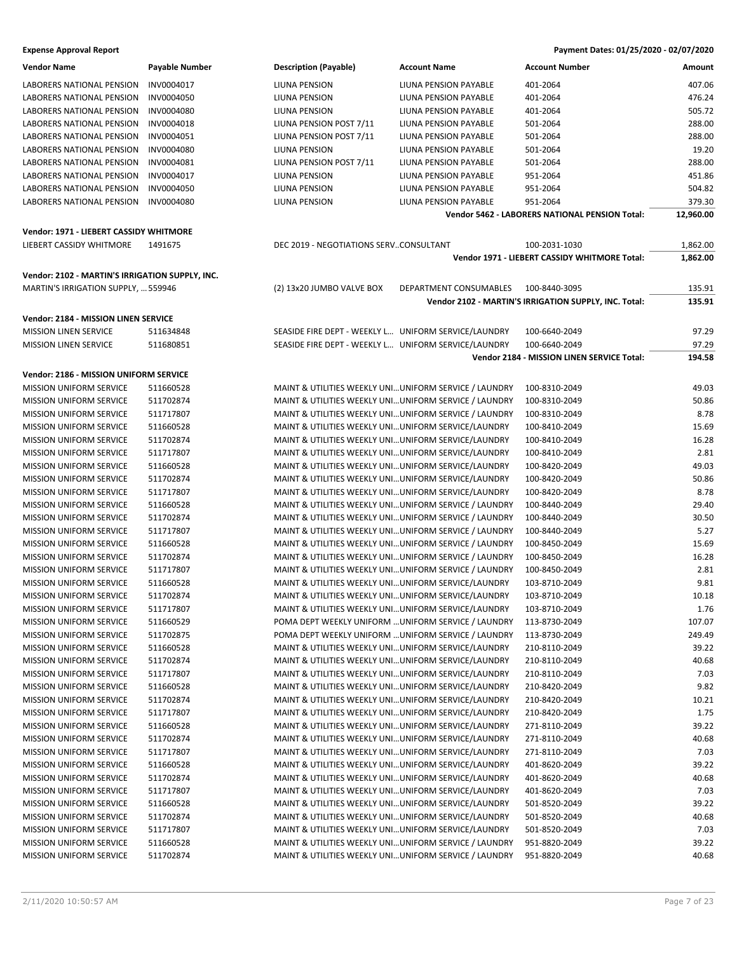| <b>Vendor Name</b>                              | Payable Number | <b>Description (Payable)</b>                          | <b>Account Name</b>          | <b>Account Number</b>                                 | Amount    |
|-------------------------------------------------|----------------|-------------------------------------------------------|------------------------------|-------------------------------------------------------|-----------|
| LABORERS NATIONAL PENSION                       | INV0004017     | LIUNA PENSION                                         | LIUNA PENSION PAYABLE        | 401-2064                                              | 407.06    |
| <b>LABORERS NATIONAL PENSION</b>                | INV0004050     | <b>LIUNA PENSION</b>                                  | LIUNA PENSION PAYABLE        | 401-2064                                              | 476.24    |
| LABORERS NATIONAL PENSION                       | INV0004080     | LIUNA PENSION                                         | LIUNA PENSION PAYABLE        | 401-2064                                              | 505.72    |
| LABORERS NATIONAL PENSION                       | INV0004018     | LIUNA PENSION POST 7/11                               | LIUNA PENSION PAYABLE        | 501-2064                                              | 288.00    |
| LABORERS NATIONAL PENSION                       | INV0004051     | LIUNA PENSION POST 7/11                               | LIUNA PENSION PAYABLE        | 501-2064                                              | 288.00    |
| LABORERS NATIONAL PENSION                       | INV0004080     | LIUNA PENSION                                         | LIUNA PENSION PAYABLE        | 501-2064                                              | 19.20     |
| LABORERS NATIONAL PENSION                       | INV0004081     | LIUNA PENSION POST 7/11                               | LIUNA PENSION PAYABLE        | 501-2064                                              | 288.00    |
| <b>LABORERS NATIONAL PENSION</b>                | INV0004017     | LIUNA PENSION                                         | LIUNA PENSION PAYABLE        | 951-2064                                              | 451.86    |
| LABORERS NATIONAL PENSION                       | INV0004050     | LIUNA PENSION                                         | LIUNA PENSION PAYABLE        | 951-2064                                              | 504.82    |
| LABORERS NATIONAL PENSION                       | INV0004080     | LIUNA PENSION                                         | <b>LIUNA PENSION PAYABLE</b> | 951-2064                                              | 379.30    |
|                                                 |                |                                                       |                              | Vendor 5462 - LABORERS NATIONAL PENSION Total:        | 12,960.00 |
| Vendor: 1971 - LIEBERT CASSIDY WHITMORE         |                |                                                       |                              |                                                       |           |
| LIEBERT CASSIDY WHITMORE                        | 1491675        | DEC 2019 - NEGOTIATIONS SERVCONSULTANT                |                              | 100-2031-1030                                         | 1,862.00  |
|                                                 |                |                                                       |                              | Vendor 1971 - LIEBERT CASSIDY WHITMORE Total:         | 1,862.00  |
| Vendor: 2102 - MARTIN'S IRRIGATION SUPPLY, INC. |                |                                                       |                              |                                                       |           |
| MARTIN'S IRRIGATION SUPPLY,  559946             |                |                                                       | DEPARTMENT CONSUMABLES       | 100-8440-3095                                         | 135.91    |
|                                                 |                | (2) 13x20 JUMBO VALVE BOX                             |                              | Vendor 2102 - MARTIN'S IRRIGATION SUPPLY, INC. Total: | 135.91    |
|                                                 |                |                                                       |                              |                                                       |           |
| Vendor: 2184 - MISSION LINEN SERVICE            |                |                                                       |                              |                                                       |           |
| <b>MISSION LINEN SERVICE</b>                    | 511634848      | SEASIDE FIRE DEPT - WEEKLY L UNIFORM SERVICE/LAUNDRY  |                              | 100-6640-2049                                         | 97.29     |
| <b>MISSION LINEN SERVICE</b>                    | 511680851      | SEASIDE FIRE DEPT - WEEKLY L UNIFORM SERVICE/LAUNDRY  |                              | 100-6640-2049                                         | 97.29     |
|                                                 |                |                                                       |                              | Vendor 2184 - MISSION LINEN SERVICE Total:            | 194.58    |
| Vendor: 2186 - MISSION UNIFORM SERVICE          |                |                                                       |                              |                                                       |           |
| <b>MISSION UNIFORM SERVICE</b>                  | 511660528      | MAINT & UTILITIES WEEKLY UNIUNIFORM SERVICE / LAUNDRY |                              | 100-8310-2049                                         | 49.03     |
| <b>MISSION UNIFORM SERVICE</b>                  | 511702874      | MAINT & UTILITIES WEEKLY UNIUNIFORM SERVICE / LAUNDRY |                              | 100-8310-2049                                         | 50.86     |
|                                                 |                |                                                       |                              |                                                       |           |
| <b>MISSION UNIFORM SERVICE</b>                  | 511717807      | MAINT & UTILITIES WEEKLY UNIUNIFORM SERVICE / LAUNDRY |                              | 100-8310-2049                                         | 8.78      |
| MISSION UNIFORM SERVICE                         | 511660528      | MAINT & UTILITIES WEEKLY UNI UNIFORM SERVICE/LAUNDRY  |                              | 100-8410-2049                                         | 15.69     |
| <b>MISSION UNIFORM SERVICE</b>                  | 511702874      | MAINT & UTILITIES WEEKLY UNI UNIFORM SERVICE/LAUNDRY  |                              | 100-8410-2049                                         | 16.28     |
| <b>MISSION UNIFORM SERVICE</b>                  | 511717807      | MAINT & UTILITIES WEEKLY UNIUNIFORM SERVICE/LAUNDRY   |                              | 100-8410-2049                                         | 2.81      |
| <b>MISSION UNIFORM SERVICE</b>                  | 511660528      | MAINT & UTILITIES WEEKLY UNI UNIFORM SERVICE/LAUNDRY  |                              | 100-8420-2049                                         | 49.03     |
| <b>MISSION UNIFORM SERVICE</b>                  | 511702874      | MAINT & UTILITIES WEEKLY UNI UNIFORM SERVICE/LAUNDRY  |                              | 100-8420-2049                                         | 50.86     |
| MISSION UNIFORM SERVICE                         | 511717807      | MAINT & UTILITIES WEEKLY UNI UNIFORM SERVICE/LAUNDRY  |                              | 100-8420-2049                                         | 8.78      |
| <b>MISSION UNIFORM SERVICE</b>                  | 511660528      | MAINT & UTILITIES WEEKLY UNIUNIFORM SERVICE / LAUNDRY |                              | 100-8440-2049                                         | 29.40     |
| <b>MISSION UNIFORM SERVICE</b>                  | 511702874      | MAINT & UTILITIES WEEKLY UNIUNIFORM SERVICE / LAUNDRY |                              | 100-8440-2049                                         | 30.50     |
| <b>MISSION UNIFORM SERVICE</b>                  | 511717807      | MAINT & UTILITIES WEEKLY UNIUNIFORM SERVICE / LAUNDRY |                              | 100-8440-2049                                         | 5.27      |
| <b>MISSION UNIFORM SERVICE</b>                  | 511660528      | MAINT & UTILITIES WEEKLY UNIUNIFORM SERVICE / LAUNDRY |                              | 100-8450-2049                                         | 15.69     |
| MISSION UNIFORM SERVICE                         | 511702874      | MAINT & UTILITIES WEEKLY UNIUNIFORM SERVICE / LAUNDRY |                              | 100-8450-2049                                         | 16.28     |
| <b>MISSION UNIFORM SERVICE</b>                  | 511717807      | MAINT & UTILITIES WEEKLY UNIUNIFORM SERVICE / LAUNDRY |                              | 100-8450-2049                                         | 2.81      |
| <b>MISSION UNIFORM SERVICE</b>                  | 511660528      | MAINT & UTILITIES WEEKLY UNIUNIFORM SERVICE/LAUNDRY   |                              | 103-8710-2049                                         | 9.81      |
| MISSION UNIFORM SERVICE                         | 511702874      | MAINT & UTILITIES WEEKLY UNIUNIFORM SERVICE/LAUNDRY   |                              | 103-8710-2049                                         | 10.18     |
| <b>MISSION UNIFORM SERVICE</b>                  | 511717807      | MAINT & UTILITIES WEEKLY UNIUNIFORM SERVICE/LAUNDRY   |                              | 103-8710-2049                                         | 1.76      |
| <b>MISSION UNIFORM SERVICE</b>                  | 511660529      | POMA DEPT WEEKLY UNIFORM  UNIFORM SERVICE / LAUNDRY   |                              | 113-8730-2049                                         | 107.07    |
| MISSION UNIFORM SERVICE                         | 511702875      | POMA DEPT WEEKLY UNIFORM  UNIFORM SERVICE / LAUNDRY   |                              | 113-8730-2049                                         | 249.49    |
| <b>MISSION UNIFORM SERVICE</b>                  | 511660528      | MAINT & UTILITIES WEEKLY UNIUNIFORM SERVICE/LAUNDRY   |                              | 210-8110-2049                                         | 39.22     |
| <b>MISSION UNIFORM SERVICE</b>                  | 511702874      | MAINT & UTILITIES WEEKLY UNIUNIFORM SERVICE/LAUNDRY   |                              | 210-8110-2049                                         | 40.68     |
| MISSION UNIFORM SERVICE                         | 511717807      | MAINT & UTILITIES WEEKLY UNI UNIFORM SERVICE/LAUNDRY  |                              | 210-8110-2049                                         | 7.03      |
| MISSION UNIFORM SERVICE                         | 511660528      | MAINT & UTILITIES WEEKLY UNIUNIFORM SERVICE/LAUNDRY   |                              | 210-8420-2049                                         | 9.82      |
| <b>MISSION UNIFORM SERVICE</b>                  | 511702874      | MAINT & UTILITIES WEEKLY UNIUNIFORM SERVICE/LAUNDRY   |                              | 210-8420-2049                                         | 10.21     |
| <b>MISSION UNIFORM SERVICE</b>                  | 511717807      | MAINT & UTILITIES WEEKLY UNIUNIFORM SERVICE/LAUNDRY   |                              | 210-8420-2049                                         | 1.75      |
| <b>MISSION UNIFORM SERVICE</b>                  | 511660528      | MAINT & UTILITIES WEEKLY UNIUNIFORM SERVICE/LAUNDRY   |                              | 271-8110-2049                                         | 39.22     |
| <b>MISSION UNIFORM SERVICE</b>                  | 511702874      | MAINT & UTILITIES WEEKLY UNI UNIFORM SERVICE/LAUNDRY  |                              | 271-8110-2049                                         | 40.68     |
| MISSION UNIFORM SERVICE                         | 511717807      | MAINT & UTILITIES WEEKLY UNIUNIFORM SERVICE/LAUNDRY   |                              | 271-8110-2049                                         | 7.03      |
|                                                 |                |                                                       |                              |                                                       |           |
| MISSION UNIFORM SERVICE                         | 511660528      | MAINT & UTILITIES WEEKLY UNIUNIFORM SERVICE/LAUNDRY   |                              | 401-8620-2049                                         | 39.22     |
| <b>MISSION UNIFORM SERVICE</b>                  | 511702874      | MAINT & UTILITIES WEEKLY UNIUNIFORM SERVICE/LAUNDRY   |                              | 401-8620-2049                                         | 40.68     |
| <b>MISSION UNIFORM SERVICE</b>                  | 511717807      | MAINT & UTILITIES WEEKLY UNIUNIFORM SERVICE/LAUNDRY   |                              | 401-8620-2049                                         | 7.03      |
| MISSION UNIFORM SERVICE                         | 511660528      | MAINT & UTILITIES WEEKLY UNI UNIFORM SERVICE/LAUNDRY  |                              | 501-8520-2049                                         | 39.22     |
| MISSION UNIFORM SERVICE                         | 511702874      | MAINT & UTILITIES WEEKLY UNIUNIFORM SERVICE/LAUNDRY   |                              | 501-8520-2049                                         | 40.68     |
| MISSION UNIFORM SERVICE                         | 511717807      | MAINT & UTILITIES WEEKLY UNIUNIFORM SERVICE/LAUNDRY   |                              | 501-8520-2049                                         | 7.03      |
| MISSION UNIFORM SERVICE                         | 511660528      | MAINT & UTILITIES WEEKLY UNIUNIFORM SERVICE / LAUNDRY |                              | 951-8820-2049                                         | 39.22     |
| MISSION UNIFORM SERVICE                         | 511702874      | MAINT & UTILITIES WEEKLY UNIUNIFORM SERVICE / LAUNDRY |                              | 951-8820-2049                                         | 40.68     |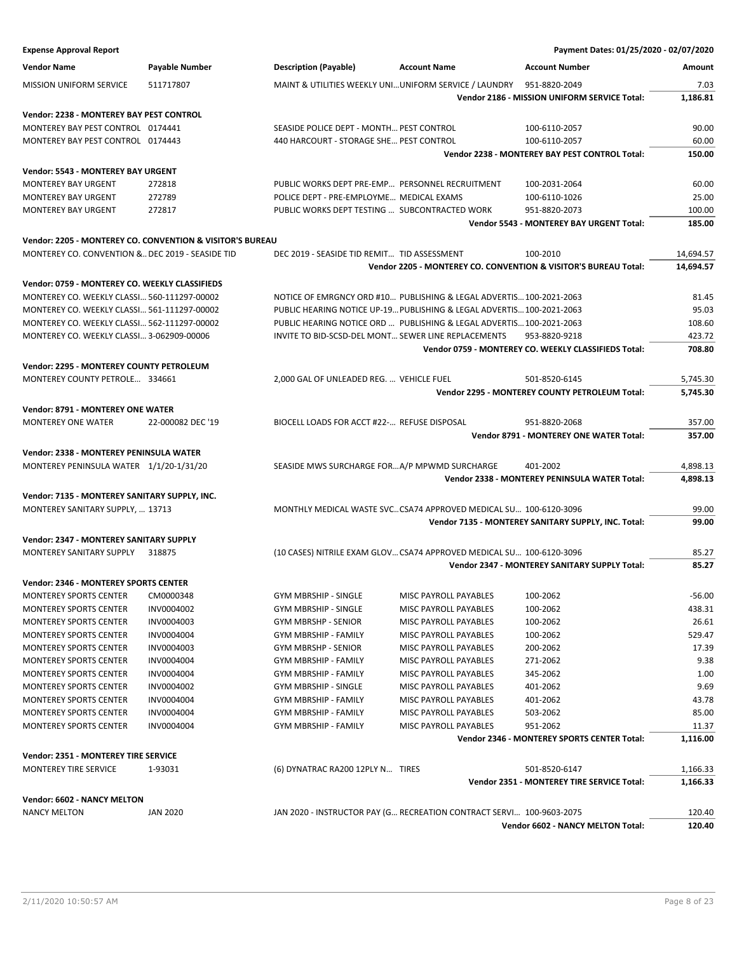**Expense Approval Report Payment Dates: 01/25/2020 - 02/07/2020 Vendor Name Payable Number Description (Payable) Account Name Account Number Amount** MISSION UNIFORM SERVICE 511717807 MAINT & UTILITIES WEEKLY UNI…UNIFORM SERVICE / LAUNDRY 951-8820-2049 7.03 **Vendor 2186 - MISSION UNIFORM SERVICE Total: 1,186.81 Vendor: 2238 - MONTEREY BAY PEST CONTROL** MONTEREY BAY PEST CONTROL 0174441 SEASIDE POLICE DEPT - MONTH... PEST CONTROL 100-6110-2057 90.00 MONTEREY BAY PEST CONTROL 0174443 40 HARCOURT - STORAGE SHE... PEST CONTROL 100-6110-2057 60.00 **Vendor 2238 - MONTEREY BAY PEST CONTROL Total: 150.00 Vendor: 5543 - MONTEREY BAY URGENT** MONTEREY BAY URGENT 272818 PUBLIC WORKS DEPT PRE-EMP… PERSONNEL RECRUITMENT 100-2031-2064 60.00 MONTEREY BAY URGENT 272789 25.00 POLICE DEPT - PRE-EMPLOYME... MEDICAL EXAMS 100-6110-1026 25.00 MONTEREY BAY URGENT 272817 PUBLIC WORKS DEPT TESTING … SUBCONTRACTED WORK 951-8820-2073 100.00 **Vendor 5543 - MONTEREY BAY URGENT Total: 185.00 Vendor: 2205 - MONTEREY CO. CONVENTION & VISITOR'S BUREAU** MONTEREY CO. CONVENTION &…DEC 2019 - SEASIDE TID DEC 2019 - SEASIDE TID REMIT… TID ASSESSMENT 100-2010 100-2010 **Vendor 2205 - MONTEREY CO. CONVENTION & VISITOR'S BUREAU Total: 14,694.57 Vendor: 0759 - MONTEREY CO. WEEKLY CLASSIFIEDS** MONTEREY CO. WEEKLY CLASSI… 560-111297-00002 NOTICE OF EMRGNCY ORD #10… PUBLISHING & LEGAL ADVERTIS…100-2021-2063 81.45 MONTEREY CO. WEEKLY CLASSI… 561-111297-00002 PUBLIC HEARING NOTICE UP-19…PUBLISHING & LEGAL ADVERTIS…100-2021-2063 95.03 MONTEREY CO. WEEKLY CLASSI… 562-111297-00002 PUBLIC HEARING NOTICE ORD … PUBLISHING & LEGAL ADVERTIS…100-2021-2063 108.60 MONTEREY CO. WEEKLY CLASSI… 3-062909-00006 INVITE TO BID-SCSD-DEL MONT… SEWER LINE REPLACEMENTS 953-8820-9218 423.72 **Vendor 0759 - MONTEREY CO. WEEKLY CLASSIFIEDS Total: 708.80 Vendor: 2295 - MONTEREY COUNTY PETROLEUM** MONTEREY COUNTY PETROLE... 334661 2,000 GAL OF UNLEADED REG. ... VEHICLE FUEL 501-8520-6145 501-8520-6145 **Vendor 2295 - MONTEREY COUNTY PETROLEUM Total: 5,745.30 Vendor: 8791 - MONTEREY ONE WATER** MONTEREY ONE WATER 22-000082 DEC '19 BIOCELL LOADS FOR ACCT #22-... REFUSE DISPOSAL 951-8820-2068 357.00 357.00 **Vendor 8791 - MONTEREY ONE WATER Total: 357.00 Vendor: 2338 - MONTEREY PENINSULA WATER** MONTEREY PENINSULA WATER 1/1/20-1/31/20 SEASIDE MWS SURCHARGE FOR…A/P MPWMD SURCHARGE 401-2002 4,898.13 **Vendor 2338 - MONTEREY PENINSULA WATER Total: 4,898.13 Vendor: 7135 - MONTEREY SANITARY SUPPLY, INC.** MONTEREY SANITARY SUPPLY, … 13713 MONTHLY MEDICAL WASTE SVC…CSA74 APPROVED MEDICAL SU… 100-6120-3096 99.00 **Vendor 7135 - MONTEREY SANITARY SUPPLY, INC. Total: 99.00 Vendor: 2347 - MONTEREY SANITARY SUPPLY** MONTEREY SANITARY SUPPLY 318875 (10 CASES) NITRILE EXAM GLOV…CSA74 APPROVED MEDICAL SU… 100-6120-3096 85.27 **Vendor 2347 - MONTEREY SANITARY SUPPLY Total: 85.27 Vendor: 2346 - MONTEREY SPORTS CENTER** MONTEREY SPORTS CENTER CM0000348 GYM MBRSHIP - SINGLE MISC PAYROLL PAYABLES 100-2062 -56.00 MONTEREY SPORTS CENTER INV0004002 GYM MBRSHIP - SINGLE MISC PAYROLL PAYABLES 100-2062 438.31 MONTEREY SPORTS CENTER INV0004003 GYM MBRSHP - SENIOR MISC PAYROLL PAYABLES 100-2062 26.61 MONTEREY SPORTS CENTER INV0004004 GYM MBRSHIP - FAMILY MISC PAYROLL PAYABLES 100-2062 529.47 MONTEREY SPORTS CENTER INV0004003 GYM MBRSHP - SENIOR MISC PAYROLL PAYABLES 200-2062 17.39 MONTEREY SPORTS CENTER INV0004004 GYM MBRSHIP - FAMILY MISC PAYROLL PAYABLES 271-2062 9.38 MONTEREY SPORTS CENTER INVOODADOA GYM MRRSHIP - FAMILY MISC PAYROLL PAYABLES 345-2062 MONTEREY SPORTS CENTER INV0004002 GYM MBRSHIP - SINGLE MISC PAYROLL PAYABLES 401-2062 9.69 MONTEREY SPORTS CENTER INV0004004 GYM MBRSHIP - FAMILY MISC PAYROLL PAYABLES 401-2062 43.78 MONTEREY SPORTS CENTER INV0004004 GYM MBRSHIP - FAMILY MISC PAYROLL PAYABLES 503-2062 85.00 MONTEREY SPORTS CENTER INV0004004 GYM MBRSHIP - FAMILY MISC PAYROLL PAYABLES 951-2062 11.37 **Vendor 2346 - MONTEREY SPORTS CENTER Total: 1,116.00 Vendor: 2351 - MONTEREY TIRE SERVICE** MONTEREY TIRE SERVICE 1-93031 (6) DYNATRAC RA200 12PLY N... TIRES 501-8520-6147 1,166.33 **Vendor 2351 - MONTEREY TIRE SERVICE Total: 1,166.33 Vendor: 6602 - NANCY MELTON** NANCY MELTON JAN 2020 JAN 2020 - INSTRUCTOR PAY (G… RECREATION CONTRACT SERVI… 100-9603-2075 120.40 **Vendor 6602 - NANCY MELTON Total: 120.40**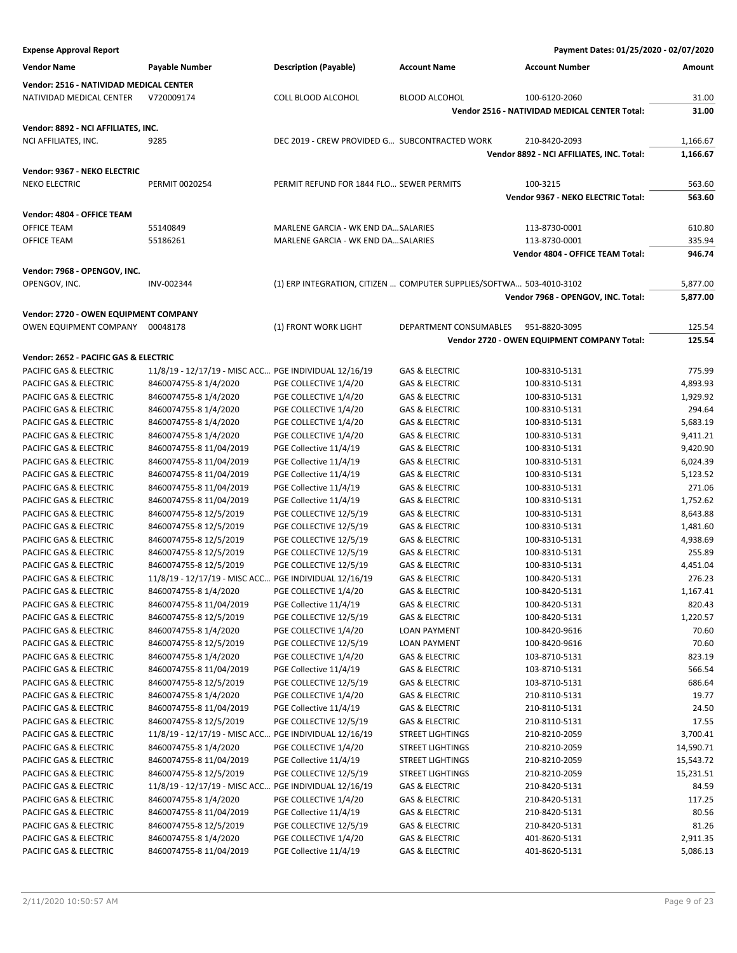**Expense Approval Report Payment Dates: 01/25/2020 - 02/07/2020 Vendor Name Payable Number Description (Payable) Account Name Account Number Amount Vendor: 2516 - NATIVIDAD MEDICAL CENTER** NATIVIDAD MEDICAL CENTER V720009174 COLL BLOOD ALCOHOL BLOOD ALCOHOL 100-6120-2060 31.00 **Vendor 2516 - NATIVIDAD MEDICAL CENTER Total: 31.00 Vendor: 8892 - NCI AFFILIATES, INC.** NCI AFFILIATES, INC. 9285 9285 DEC 2019 - CREW PROVIDED G... SUBCONTRACTED WORK 210-8420-2093 1,166.67 **Vendor 8892 - NCI AFFILIATES, INC. Total: 1,166.67 Vendor: 9367 - NEKO ELECTRIC** NEKO ELECTRIC **PERMIT 0020254** PERMIT REFUND FOR 1844 FLO... SEWER PERMITS 100-3215 563.60 **Vendor 9367 - NEKO ELECTRIC Total: 563.60 Vendor: 4804 - OFFICE TEAM** OFFICE TEAM 55140849 55140849 MARLENE GARCIA - WK END DA…SALARIES 113-8730-0001 610.80 OFFICE TEAM 55186261 55186261 MARLENE GARCIA - WK END DA…SALARIES 313-8730-0001 335.94 **Vendor 4804 - OFFICE TEAM Total: 946.74 Vendor: 7968 - OPENGOV, INC.** OPENGOV, INC. INV-002344 (1) ERP INTEGRATION, CITIZEN … COMPUTER SUPPLIES/SOFTWA… 503-4010-3102 5,877.00 **Vendor 7968 - OPENGOV, INC. Total: 5,877.00 Vendor: 2720 - OWEN EQUIPMENT COMPANY** OWEN EQUIPMENT COMPANY 00048178 (1) FRONT WORK LIGHT DEPARTMENT CONSUMABLES 951-8820-3095 125.54 **Vendor 2720 - OWEN EQUIPMENT COMPANY Total: 125.54 Vendor: 2652 - PACIFIC GAS & ELECTRIC** PACIFIC GAS & ELECTRIC 11/8/19 - 12/17/19 - MISC ACC... PGE INDIVIDUAL 12/16/19 GAS & ELECTRIC 100-8310-5131 775.99 PACIFIC GAS & ELECTRIC 8460074755-8 1/4/2020 PGE COLLECTIVE 1/4/20 GAS & ELECTRIC 100-8310-5131 4,893.93 PACIFIC GAS & ELECTRIC 8460074755-8 1/4/2020 PGE COLLECTIVE 1/4/20 GAS & ELECTRIC 100-8310-5131 1,929.92 PACIFIC GAS & ELECTRIC 8460074755-8 1/4/2020 PGE COLLECTIVE 1/4/20 GAS & ELECTRIC 100-8310-5131 294.64 PACIFIC GAS & ELECTRIC 8460074755-8 1/4/2020 PGE COLLECTIVE 1/4/20 GAS & ELECTRIC 100-8310-5131 5,683.19 PACIFIC GAS & ELECTRIC 8460074755-8 1/4/2020 PGE COLLECTIVE 1/4/20 GAS & ELECTRIC 100-8310-5131 9,411.21 PACIFIC GAS & ELECTRIC 8460074755-8 11/04/2019 PGE Collective 11/4/19 GAS & ELECTRIC 100-8310-5131 9,420.90 PACIFIC GAS & ELECTRIC 8460074755-8 11/04/2019 PGE Collective 11/4/19 GAS & ELECTRIC 100-8310-5131 6,024.39 PACIFIC GAS & ELECTRIC 8460074755-8 11/04/2019 PGE Collective 11/4/19 GAS & ELECTRIC 100-8310-5131 5,123.52 PACIFIC GAS & ELECTRIC 8460074755-8 11/04/2019 PGE Collective 11/4/19 GAS & ELECTRIC 100-8310-5131 271.06 PACIFIC GAS & ELECTRIC 8460074755-8 11/04/2019 PGE Collective 11/4/19 GAS & ELECTRIC 100-8310-5131 1,752.62 PACIFIC GAS & ELECTRIC 8460074755-8 12/5/2019 PGE COLLECTIVE 12/5/19 GAS & ELECTRIC 100-8310-5131 8,643.88 PACIFIC GAS & ELECTRIC 8460074755-8 12/5/2019 PGE COLLECTIVE 12/5/19 GAS & ELECTRIC 100-8310-5131 1,481.60 PACIFIC GAS & ELECTRIC 8460074755-8 12/5/2019 PGE COLLECTIVE 12/5/19 GAS & ELECTRIC 100-8310-5131 4,938.69 PACIFIC GAS & ELECTRIC 8460074755-8 12/5/2019 PGE COLLECTIVE 12/5/19 GAS & ELECTRIC 100-8310-5131 255.89 PACIFIC GAS & ELECTRIC 8460074755-8 12/5/2019 PGE COLLECTIVE 12/5/19 GAS & ELECTRIC 100-8310-5131 4,451.04 PACIFIC GAS & ELECTRIC 11/8/19 - 12/17/19 - MISC ACC... PGE INDIVIDUAL 12/16/19 GAS & ELECTRIC 100-8420-5131 276.23 PACIFIC GAS & ELECTRIC 8460074755-8 1/4/2020 PGE COLLECTIVE 1/4/20 GAS & ELECTRIC 100-8420-5131 1,167.41 PACIFIC GAS & ELECTRIC 8460074755-8 11/04/2019 PGE Collective 11/4/19 GAS & ELECTRIC 100-8420-5131 820.43 PACIFIC GAS & ELECTRIC 8460074755-8 12/5/2019 PGE COLLECTIVE 12/5/19 GAS & ELECTRIC 100-8420-5131 1,220.57 PACIFIC GAS & ELECTRIC 8460074755-8 1/4/2020 PGE COLLECTIVE 1/4/20 LOAN PAYMENT 100-8420-9616 70.60 PACIFIC GAS & ELECTRIC 8460074755-8 12/5/2019 PGE COLLECTIVE 12/5/19 LOAN PAYMENT 100-8420-9616 70.60 PACIFIC GAS & ELECTRIC 8460074755-8 1/4/2020 PGE COLLECTIVE 1/4/20 GAS & ELECTRIC 103-8710-5131 823.19 PACIFIC GAS & ELECTRIC 8460074755-8 11/04/2019 PGE Collective 11/4/19 GAS & ELECTRIC 103-8710-5131 566.54 PACIFIC GAS & ELECTRIC 8460074755-8 12/5/2019 PGE COLLECTIVE 12/5/19 GAS & ELECTRIC 103-8710-5131 686.64 PACIFIC GAS & ELECTRIC 8460074755-8 1/4/2020 PGE COLLECTIVE 1/4/20 GAS & ELECTRIC 210-8110-5131 20.77 PACIFIC GAS & ELECTRIC 8460074755-8 11/04/2019 PGE Collective 11/4/19 GAS & ELECTRIC 210-8110-5131 24.50 PACIFIC GAS & ELECTRIC 8460074755-8 12/5/2019 PGE COLLECTIVE 12/5/19 GAS & ELECTRIC 210-8110-5131 210-8110-5131 PACIFIC GAS & ELECTRIC 11/8/19 - 12/17/19 - MISC ACC… PGE INDIVIDUAL 12/16/19 STREET LIGHTINGS 210-8210-2059 3,700.41 PACIFIC GAS & ELECTRIC 8460074755-8 1/4/2020 PGE COLLECTIVE 1/4/20 STREET LIGHTINGS 210-8210-2059 14,590.71 PACIFIC GAS & ELECTRIC 8460074755-8 11/04/2019 PGE Collective 11/4/19 STREET LIGHTINGS 210-8210-2059 15,543.72 PACIFIC GAS & ELECTRIC 8460074755-8 12/5/2019 PGE COLLECTIVE 12/5/19 STREET LIGHTINGS 210-8210-2059 15,231.51 PACIFIC GAS & ELECTRIC 11/8/19 - 12/17/19 - MISC ACC… PGE INDIVIDUAL 12/16/19 GAS & ELECTRIC 210-8420-5131 84.59 PACIFIC GAS & ELECTRIC 8460074755-8 1/4/2020 PGE COLLECTIVE 1/4/20 GAS & ELECTRIC 210-8420-5131 217.25 PACIFIC GAS & ELECTRIC 8460074755-8 11/04/2019 PGE Collective 11/4/19 GAS & ELECTRIC 210-8420-5131 80.56 PACIFIC GAS & ELECTRIC 8460074755-8 12/5/2019 PGE COLLECTIVE 12/5/19 GAS & ELECTRIC 210-8420-5131 81.26 PACIFIC GAS & ELECTRIC 8460074755-8 1/4/2020 PGE COLLECTIVE 1/4/20 GAS & ELECTRIC 401-8620-5131 2,911.35 PACIFIC GAS & ELECTRIC 8460074755-8 11/04/2019 PGE Collective 11/4/19 GAS & ELECTRIC 401-8620-5131 5,086.13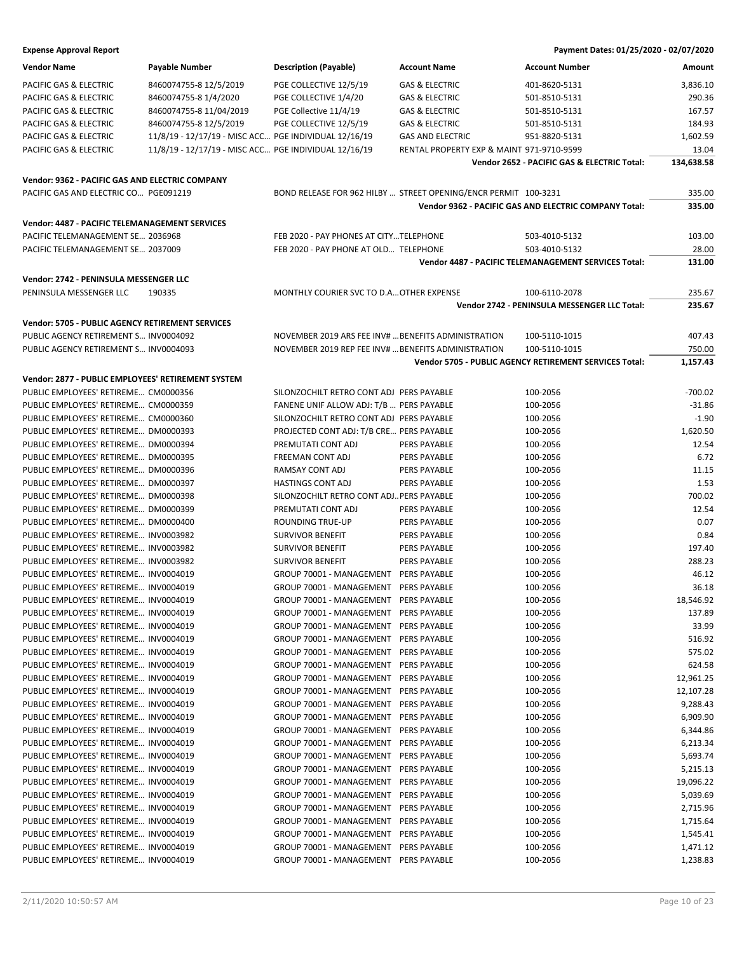| <b>Vendor Name</b>                                      | <b>Payable Number</b>                                 | <b>Description (Payable)</b>                        | <b>Account Name</b>                                             | <b>Account Number</b>                                        | Amount     |
|---------------------------------------------------------|-------------------------------------------------------|-----------------------------------------------------|-----------------------------------------------------------------|--------------------------------------------------------------|------------|
| PACIFIC GAS & ELECTRIC                                  | 8460074755-8 12/5/2019                                | PGE COLLECTIVE 12/5/19                              | <b>GAS &amp; ELECTRIC</b>                                       | 401-8620-5131                                                | 3,836.10   |
| PACIFIC GAS & ELECTRIC                                  | 8460074755-8 1/4/2020                                 | PGE COLLECTIVE 1/4/20                               | <b>GAS &amp; ELECTRIC</b>                                       | 501-8510-5131                                                | 290.36     |
| PACIFIC GAS & ELECTRIC                                  | 8460074755-8 11/04/2019                               | PGE Collective 11/4/19                              | <b>GAS &amp; ELECTRIC</b>                                       | 501-8510-5131                                                | 167.57     |
| PACIFIC GAS & ELECTRIC                                  | 8460074755-8 12/5/2019                                | PGE COLLECTIVE 12/5/19                              | <b>GAS &amp; ELECTRIC</b>                                       | 501-8510-5131                                                | 184.93     |
| PACIFIC GAS & ELECTRIC                                  | 11/8/19 - 12/17/19 - MISC ACC PGE INDIVIDUAL 12/16/19 |                                                     | <b>GAS AND ELECTRIC</b>                                         | 951-8820-5131                                                | 1,602.59   |
| PACIFIC GAS & ELECTRIC                                  | 11/8/19 - 12/17/19 - MISC ACC PGE INDIVIDUAL 12/16/19 |                                                     | RENTAL PROPERTY EXP & MAINT 971-9710-9599                       |                                                              | 13.04      |
|                                                         |                                                       |                                                     |                                                                 | Vendor 2652 - PACIFIC GAS & ELECTRIC Total:                  | 134,638.58 |
|                                                         |                                                       |                                                     |                                                                 |                                                              |            |
| Vendor: 9362 - PACIFIC GAS AND ELECTRIC COMPANY         |                                                       |                                                     |                                                                 |                                                              |            |
| PACIFIC GAS AND ELECTRIC CO PGE091219                   |                                                       |                                                     | BOND RELEASE FOR 962 HILBY  STREET OPENING/ENCR PERMIT 100-3231 |                                                              | 335.00     |
|                                                         |                                                       |                                                     |                                                                 | <b>Vendor 9362 - PACIFIC GAS AND ELECTRIC COMPANY Total:</b> | 335.00     |
| Vendor: 4487 - PACIFIC TELEMANAGEMENT SERVICES          |                                                       |                                                     |                                                                 |                                                              |            |
| PACIFIC TELEMANAGEMENT SE 2036968                       |                                                       | FEB 2020 - PAY PHONES AT CITYTELEPHONE              |                                                                 | 503-4010-5132                                                | 103.00     |
| PACIFIC TELEMANAGEMENT SE 2037009                       |                                                       | FEB 2020 - PAY PHONE AT OLD TELEPHONE               |                                                                 | 503-4010-5132                                                | 28.00      |
|                                                         |                                                       |                                                     |                                                                 | Vendor 4487 - PACIFIC TELEMANAGEMENT SERVICES Total:         | 131.00     |
|                                                         |                                                       |                                                     |                                                                 |                                                              |            |
| Vendor: 2742 - PENINSULA MESSENGER LLC                  |                                                       |                                                     |                                                                 |                                                              |            |
| PENINSULA MESSENGER LLC                                 | 190335                                                | MONTHLY COURIER SVC TO D.A OTHER EXPENSE            |                                                                 | 100-6110-2078                                                | 235.67     |
|                                                         |                                                       |                                                     |                                                                 | Vendor 2742 - PENINSULA MESSENGER LLC Total:                 | 235.67     |
| <b>Vendor: 5705 - PUBLIC AGENCY RETIREMENT SERVICES</b> |                                                       |                                                     |                                                                 |                                                              |            |
| PUBLIC AGENCY RETIREMENT S INV0004092                   |                                                       | NOVEMBER 2019 ARS FEE INV#  BENEFITS ADMINISTRATION |                                                                 | 100-5110-1015                                                | 407.43     |
| PUBLIC AGENCY RETIREMENT S INV0004093                   |                                                       | NOVEMBER 2019 REP FEE INV#  BENEFITS ADMINISTRATION |                                                                 | 100-5110-1015                                                | 750.00     |
|                                                         |                                                       |                                                     |                                                                 | Vendor 5705 - PUBLIC AGENCY RETIREMENT SERVICES Total:       | 1,157.43   |
| Vendor: 2877 - PUBLIC EMPLOYEES' RETIREMENT SYSTEM      |                                                       |                                                     |                                                                 |                                                              |            |
| PUBLIC EMPLOYEES' RETIREME CM0000356                    |                                                       |                                                     |                                                                 | 100-2056                                                     | $-700.02$  |
|                                                         |                                                       | SILONZOCHILT RETRO CONT ADJ PERS PAYABLE            |                                                                 |                                                              | $-31.86$   |
| PUBLIC EMPLOYEES' RETIREME CM0000359                    |                                                       | FANENE UNIF ALLOW ADJ: T/B  PERS PAYABLE            |                                                                 | 100-2056                                                     |            |
| PUBLIC EMPLOYEES' RETIREME CM0000360                    |                                                       | SILONZOCHILT RETRO CONT ADJ PERS PAYABLE            |                                                                 | 100-2056                                                     | $-1.90$    |
| PUBLIC EMPLOYEES' RETIREME DM0000393                    |                                                       | PROJECTED CONT ADJ: T/B CRE PERS PAYABLE            |                                                                 | 100-2056                                                     | 1,620.50   |
| PUBLIC EMPLOYEES' RETIREME DM0000394                    |                                                       | PREMUTATI CONT ADJ                                  | PERS PAYABLE                                                    | 100-2056                                                     | 12.54      |
| PUBLIC EMPLOYEES' RETIREME DM0000395                    |                                                       | FREEMAN CONT ADJ                                    | PERS PAYABLE                                                    | 100-2056                                                     | 6.72       |
| PUBLIC EMPLOYEES' RETIREME DM0000396                    |                                                       | RAMSAY CONT ADJ                                     | <b>PERS PAYABLE</b>                                             | 100-2056                                                     | 11.15      |
| PUBLIC EMPLOYEES' RETIREME DM0000397                    |                                                       | <b>HASTINGS CONT ADJ</b>                            | <b>PERS PAYABLE</b>                                             | 100-2056                                                     | 1.53       |
| PUBLIC EMPLOYEES' RETIREME DM0000398                    |                                                       | SILONZOCHILT RETRO CONT ADJ PERS PAYABLE            |                                                                 | 100-2056                                                     | 700.02     |
| PUBLIC EMPLOYEES' RETIREME DM0000399                    |                                                       | PREMUTATI CONT ADJ                                  | PERS PAYABLE                                                    | 100-2056                                                     | 12.54      |
| PUBLIC EMPLOYEES' RETIREME DM0000400                    |                                                       | <b>ROUNDING TRUE-UP</b>                             | PERS PAYABLE                                                    | 100-2056                                                     | 0.07       |
| PUBLIC EMPLOYEES' RETIREME INV0003982                   |                                                       | <b>SURVIVOR BENEFIT</b>                             | <b>PERS PAYABLE</b>                                             | 100-2056                                                     | 0.84       |
| PUBLIC EMPLOYEES' RETIREME INV0003982                   |                                                       | <b>SURVIVOR BENEFIT</b>                             | <b>PERS PAYABLE</b>                                             | 100-2056                                                     | 197.40     |
| PUBLIC EMPLOYEES' RETIREME INV0003982                   |                                                       | <b>SURVIVOR BENEFIT</b>                             | PERS PAYABLE                                                    | 100-2056                                                     | 288.23     |
| PUBLIC EMPLOYEES' RETIREME INV0004019                   |                                                       | GROUP 70001 - MANAGEMENT PERS PAYABLE               |                                                                 | 100-2056                                                     | 46.12      |
| PUBLIC EMPLOYEES' RETIREME INV0004019                   |                                                       | GROUP 70001 - MANAGEMENT PERS PAYABLE               |                                                                 | 100-2056                                                     | 36.18      |
| PUBLIC EMPLOYEES' RETIREME INV0004019                   |                                                       | GROUP 70001 - MANAGEMENT PERS PAYABLE               |                                                                 | 100-2056                                                     | 18,546.92  |
| PUBLIC EMPLOYEES' RETIREME INV0004019                   |                                                       | GROUP 70001 - MANAGEMENT PERS PAYABLE               |                                                                 | 100-2056                                                     | 137.89     |
| PUBLIC EMPLOYEES' RETIREME INV0004019                   |                                                       | GROUP 70001 - MANAGEMENT PERS PAYABLE               |                                                                 | 100-2056                                                     | 33.99      |
| PUBLIC EMPLOYEES' RETIREME INV0004019                   |                                                       | GROUP 70001 - MANAGEMENT PERS PAYABLE               |                                                                 | 100-2056                                                     | 516.92     |
| PUBLIC EMPLOYEES' RETIREME INV0004019                   |                                                       | GROUP 70001 - MANAGEMENT PERS PAYABLE               |                                                                 | 100-2056                                                     | 575.02     |
| PUBLIC EMPLOYEES' RETIREME INV0004019                   |                                                       | GROUP 70001 - MANAGEMENT PERS PAYABLE               |                                                                 | 100-2056                                                     | 624.58     |
| PUBLIC EMPLOYEES' RETIREME INV0004019                   |                                                       | GROUP 70001 - MANAGEMENT PERS PAYABLE               |                                                                 | 100-2056                                                     | 12,961.25  |
| PUBLIC EMPLOYEES' RETIREME INV0004019                   |                                                       | GROUP 70001 - MANAGEMENT PERS PAYABLE               |                                                                 | 100-2056                                                     | 12,107.28  |
| PUBLIC EMPLOYEES' RETIREME INV0004019                   |                                                       | GROUP 70001 - MANAGEMENT PERS PAYABLE               |                                                                 | 100-2056                                                     | 9,288.43   |
| PUBLIC EMPLOYEES' RETIREME INV0004019                   |                                                       | GROUP 70001 - MANAGEMENT PERS PAYABLE               |                                                                 | 100-2056                                                     | 6,909.90   |
| PUBLIC EMPLOYEES' RETIREME INV0004019                   |                                                       | GROUP 70001 - MANAGEMENT PERS PAYABLE               |                                                                 | 100-2056                                                     | 6,344.86   |
| PUBLIC EMPLOYEES' RETIREME INV0004019                   |                                                       | GROUP 70001 - MANAGEMENT PERS PAYABLE               |                                                                 | 100-2056                                                     | 6,213.34   |
| PUBLIC EMPLOYEES' RETIREME INV0004019                   |                                                       | GROUP 70001 - MANAGEMENT PERS PAYABLE               |                                                                 | 100-2056                                                     | 5,693.74   |
| PUBLIC EMPLOYEES' RETIREME INV0004019                   |                                                       | GROUP 70001 - MANAGEMENT PERS PAYABLE               |                                                                 | 100-2056                                                     | 5,215.13   |
| PUBLIC EMPLOYEES' RETIREME INV0004019                   |                                                       | GROUP 70001 - MANAGEMENT PERS PAYABLE               |                                                                 | 100-2056                                                     | 19,096.22  |
| PUBLIC EMPLOYEES' RETIREME INV0004019                   |                                                       | GROUP 70001 - MANAGEMENT PERS PAYABLE               |                                                                 | 100-2056                                                     | 5,039.69   |
| PUBLIC EMPLOYEES' RETIREME INV0004019                   |                                                       | GROUP 70001 - MANAGEMENT PERS PAYABLE               |                                                                 | 100-2056                                                     | 2,715.96   |
| PUBLIC EMPLOYEES' RETIREME INV0004019                   |                                                       | GROUP 70001 - MANAGEMENT PERS PAYABLE               |                                                                 | 100-2056                                                     | 1,715.64   |
| PUBLIC EMPLOYEES' RETIREME INV0004019                   |                                                       | GROUP 70001 - MANAGEMENT PERS PAYABLE               |                                                                 | 100-2056                                                     | 1,545.41   |
| PUBLIC EMPLOYEES' RETIREME INV0004019                   |                                                       | GROUP 70001 - MANAGEMENT                            | PERS PAYABLE                                                    | 100-2056                                                     | 1,471.12   |
| PUBLIC EMPLOYEES' RETIREME INV0004019                   |                                                       | GROUP 70001 - MANAGEMENT PERS PAYABLE               |                                                                 | 100-2056                                                     | 1,238.83   |
|                                                         |                                                       |                                                     |                                                                 |                                                              |            |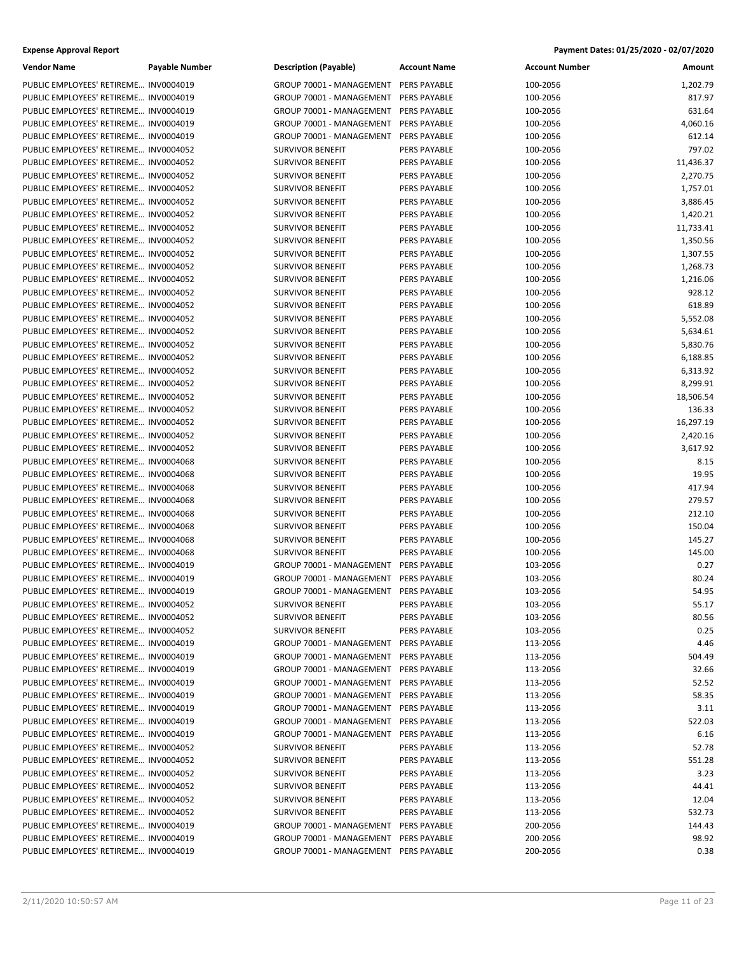| <b>Vendor Name</b>                                                             | Payable Number | <b>Description (Payable)</b>                        | <b>Account Name</b> | <b>Account Number</b> | Amount         |
|--------------------------------------------------------------------------------|----------------|-----------------------------------------------------|---------------------|-----------------------|----------------|
| PUBLIC EMPLOYEES' RETIREME INV0004019                                          |                | GROUP 70001 - MANAGEMENT PERS PAYABLE               |                     | 100-2056              | 1,202.79       |
| PUBLIC EMPLOYEES' RETIREME INV0004019                                          |                | GROUP 70001 - MANAGEMENT                            | PERS PAYABLE        | 100-2056              | 817.97         |
| PUBLIC EMPLOYEES' RETIREME INV0004019                                          |                | GROUP 70001 - MANAGEMENT                            | <b>PERS PAYABLE</b> | 100-2056              | 631.64         |
| PUBLIC EMPLOYEES' RETIREME INV0004019                                          |                | GROUP 70001 - MANAGEMENT                            | <b>PERS PAYABLE</b> | 100-2056              | 4,060.16       |
| PUBLIC EMPLOYEES' RETIREME INV0004019                                          |                | GROUP 70001 - MANAGEMENT                            | <b>PERS PAYABLE</b> | 100-2056              | 612.14         |
| PUBLIC EMPLOYEES' RETIREME INV0004052                                          |                | <b>SURVIVOR BENEFIT</b>                             | PERS PAYABLE        | 100-2056              | 797.02         |
| PUBLIC EMPLOYEES' RETIREME INV0004052                                          |                | <b>SURVIVOR BENEFIT</b>                             | <b>PERS PAYABLE</b> | 100-2056              | 11,436.37      |
| PUBLIC EMPLOYEES' RETIREME INV0004052                                          |                | <b>SURVIVOR BENEFIT</b>                             | PERS PAYABLE        | 100-2056              | 2,270.75       |
| PUBLIC EMPLOYEES' RETIREME INV0004052                                          |                | <b>SURVIVOR BENEFIT</b>                             | PERS PAYABLE        | 100-2056              | 1,757.01       |
| PUBLIC EMPLOYEES' RETIREME INV0004052                                          |                | <b>SURVIVOR BENEFIT</b>                             | PERS PAYABLE        | 100-2056              | 3,886.45       |
| PUBLIC EMPLOYEES' RETIREME INV0004052                                          |                | <b>SURVIVOR BENEFIT</b>                             | PERS PAYABLE        | 100-2056              | 1,420.21       |
| PUBLIC EMPLOYEES' RETIREME INV0004052                                          |                | <b>SURVIVOR BENEFIT</b>                             | <b>PERS PAYABLE</b> | 100-2056              | 11,733.41      |
| PUBLIC EMPLOYEES' RETIREME INV0004052                                          |                | <b>SURVIVOR BENEFIT</b>                             | PERS PAYABLE        | 100-2056              | 1,350.56       |
| PUBLIC EMPLOYEES' RETIREME INV0004052                                          |                | <b>SURVIVOR BENEFIT</b>                             | PERS PAYABLE        | 100-2056              | 1,307.55       |
| PUBLIC EMPLOYEES' RETIREME INV0004052                                          |                | <b>SURVIVOR BENEFIT</b>                             | PERS PAYABLE        | 100-2056              | 1,268.73       |
| PUBLIC EMPLOYEES' RETIREME INV0004052                                          |                | <b>SURVIVOR BENEFIT</b>                             | PERS PAYABLE        | 100-2056              | 1,216.06       |
| PUBLIC EMPLOYEES' RETIREME INV0004052                                          |                | <b>SURVIVOR BENEFIT</b>                             | PERS PAYABLE        | 100-2056              | 928.12         |
| PUBLIC EMPLOYEES' RETIREME INV0004052                                          |                | <b>SURVIVOR BENEFIT</b>                             | PERS PAYABLE        | 100-2056              | 618.89         |
| PUBLIC EMPLOYEES' RETIREME INV0004052                                          |                | <b>SURVIVOR BENEFIT</b>                             | PERS PAYABLE        | 100-2056              | 5,552.08       |
| PUBLIC EMPLOYEES' RETIREME INV0004052                                          |                | <b>SURVIVOR BENEFIT</b>                             | PERS PAYABLE        | 100-2056              | 5,634.61       |
| PUBLIC EMPLOYEES' RETIREME INV0004052                                          |                | <b>SURVIVOR BENEFIT</b>                             | PERS PAYABLE        | 100-2056              | 5,830.76       |
| PUBLIC EMPLOYEES' RETIREME INV0004052                                          |                | <b>SURVIVOR BENEFIT</b>                             | PERS PAYABLE        | 100-2056              | 6,188.85       |
| PUBLIC EMPLOYEES' RETIREME INV0004052                                          |                | <b>SURVIVOR BENEFIT</b>                             | PERS PAYABLE        | 100-2056              | 6,313.92       |
| PUBLIC EMPLOYEES' RETIREME INV0004052                                          |                | <b>SURVIVOR BENEFIT</b>                             | PERS PAYABLE        | 100-2056              | 8,299.91       |
| PUBLIC EMPLOYEES' RETIREME INV0004052                                          |                | <b>SURVIVOR BENEFIT</b>                             | PERS PAYABLE        | 100-2056              | 18,506.54      |
| PUBLIC EMPLOYEES' RETIREME INV0004052                                          |                | <b>SURVIVOR BENEFIT</b>                             | PERS PAYABLE        | 100-2056              | 136.33         |
| PUBLIC EMPLOYEES' RETIREME INV0004052                                          |                | <b>SURVIVOR BENEFIT</b>                             | PERS PAYABLE        | 100-2056              | 16,297.19      |
| PUBLIC EMPLOYEES' RETIREME INV0004052                                          |                | <b>SURVIVOR BENEFIT</b>                             | PERS PAYABLE        | 100-2056              | 2,420.16       |
| PUBLIC EMPLOYEES' RETIREME INV0004052                                          |                | <b>SURVIVOR BENEFIT</b>                             | PERS PAYABLE        | 100-2056              | 3,617.92       |
| PUBLIC EMPLOYEES' RETIREME INV0004068                                          |                | <b>SURVIVOR BENEFIT</b>                             | PERS PAYABLE        | 100-2056              | 8.15           |
| PUBLIC EMPLOYEES' RETIREME INV0004068                                          |                | <b>SURVIVOR BENEFIT</b>                             | PERS PAYABLE        | 100-2056              | 19.95          |
| PUBLIC EMPLOYEES' RETIREME INV0004068                                          |                | <b>SURVIVOR BENEFIT</b>                             | PERS PAYABLE        | 100-2056              | 417.94         |
| PUBLIC EMPLOYEES' RETIREME INV0004068                                          |                | <b>SURVIVOR BENEFIT</b>                             | PERS PAYABLE        | 100-2056              | 279.57         |
| PUBLIC EMPLOYEES' RETIREME INV0004068                                          |                | <b>SURVIVOR BENEFIT</b>                             | PERS PAYABLE        | 100-2056              | 212.10         |
| PUBLIC EMPLOYEES' RETIREME INV0004068                                          |                | <b>SURVIVOR BENEFIT</b>                             | PERS PAYABLE        | 100-2056              | 150.04         |
| PUBLIC EMPLOYEES' RETIREME INV0004068                                          |                | <b>SURVIVOR BENEFIT</b>                             | PERS PAYABLE        | 100-2056              | 145.27         |
| PUBLIC EMPLOYEES' RETIREME INV0004068                                          |                | <b>SURVIVOR BENEFIT</b><br>GROUP 70001 - MANAGEMENT | <b>PERS PAYABLE</b> | 100-2056              | 145.00         |
| PUBLIC EMPLOYEES' RETIREME INV0004019                                          |                | GROUP 70001 - MANAGEMENT                            | <b>PERS PAYABLE</b> | 103-2056              | 0.27           |
| PUBLIC EMPLOYEES' RETIREME INV0004019<br>PUBLIC EMPLOYEES' RETIREME INV0004019 |                | GROUP 70001 - MANAGEMENT PERS PAYABLE               | <b>PERS PAYABLE</b> | 103-2056              | 80.24<br>54.95 |
| PUBLIC EMPLOYEES' RETIREME INV0004052                                          |                | <b>SURVIVOR BENEFIT</b>                             | PERS PAYABLE        | 103-2056<br>103-2056  | 55.17          |
| PUBLIC EMPLOYEES' RETIREME INV0004052                                          |                | <b>SURVIVOR BENEFIT</b>                             | PERS PAYABLE        | 103-2056              | 80.56          |
| PUBLIC EMPLOYEES' RETIREME INV0004052                                          |                | <b>SURVIVOR BENEFIT</b>                             | PERS PAYABLE        | 103-2056              | 0.25           |
| PUBLIC EMPLOYEES' RETIREME INV0004019                                          |                | GROUP 70001 - MANAGEMENT                            | PERS PAYABLE        | 113-2056              | 4.46           |
| PUBLIC EMPLOYEES' RETIREME INV0004019                                          |                | GROUP 70001 - MANAGEMENT                            | PERS PAYABLE        | 113-2056              | 504.49         |
| PUBLIC EMPLOYEES' RETIREME INV0004019                                          |                | GROUP 70001 - MANAGEMENT                            | PERS PAYABLE        | 113-2056              | 32.66          |
| PUBLIC EMPLOYEES' RETIREME INV0004019                                          |                | GROUP 70001 - MANAGEMENT                            | PERS PAYABLE        | 113-2056              | 52.52          |
| PUBLIC EMPLOYEES' RETIREME INV0004019                                          |                | GROUP 70001 - MANAGEMENT                            | PERS PAYABLE        | 113-2056              | 58.35          |
| PUBLIC EMPLOYEES' RETIREME INV0004019                                          |                | GROUP 70001 - MANAGEMENT PERS PAYABLE               |                     | 113-2056              | 3.11           |
| PUBLIC EMPLOYEES' RETIREME INV0004019                                          |                | GROUP 70001 - MANAGEMENT                            | PERS PAYABLE        | 113-2056              | 522.03         |
| PUBLIC EMPLOYEES' RETIREME INV0004019                                          |                | GROUP 70001 - MANAGEMENT                            | PERS PAYABLE        | 113-2056              | 6.16           |
| PUBLIC EMPLOYEES' RETIREME INV0004052                                          |                | <b>SURVIVOR BENEFIT</b>                             | PERS PAYABLE        | 113-2056              | 52.78          |
| PUBLIC EMPLOYEES' RETIREME INV0004052                                          |                | <b>SURVIVOR BENEFIT</b>                             | PERS PAYABLE        | 113-2056              | 551.28         |
| PUBLIC EMPLOYEES' RETIREME INV0004052                                          |                | <b>SURVIVOR BENEFIT</b>                             | PERS PAYABLE        | 113-2056              | 3.23           |
| PUBLIC EMPLOYEES' RETIREME INV0004052                                          |                | <b>SURVIVOR BENEFIT</b>                             | PERS PAYABLE        | 113-2056              | 44.41          |
| PUBLIC EMPLOYEES' RETIREME INV0004052                                          |                | <b>SURVIVOR BENEFIT</b>                             | PERS PAYABLE        | 113-2056              | 12.04          |
| PUBLIC EMPLOYEES' RETIREME INV0004052                                          |                | <b>SURVIVOR BENEFIT</b>                             | PERS PAYABLE        | 113-2056              | 532.73         |
| PUBLIC EMPLOYEES' RETIREME INV0004019                                          |                | GROUP 70001 - MANAGEMENT                            | PERS PAYABLE        | 200-2056              | 144.43         |
| PUBLIC EMPLOYEES' RETIREME INV0004019                                          |                | GROUP 70001 - MANAGEMENT PERS PAYABLE               |                     | 200-2056              | 98.92          |
| PUBLIC EMPLOYEES' RETIREME INV0004019                                          |                | GROUP 70001 - MANAGEMENT PERS PAYABLE               |                     | 200-2056              | 0.38           |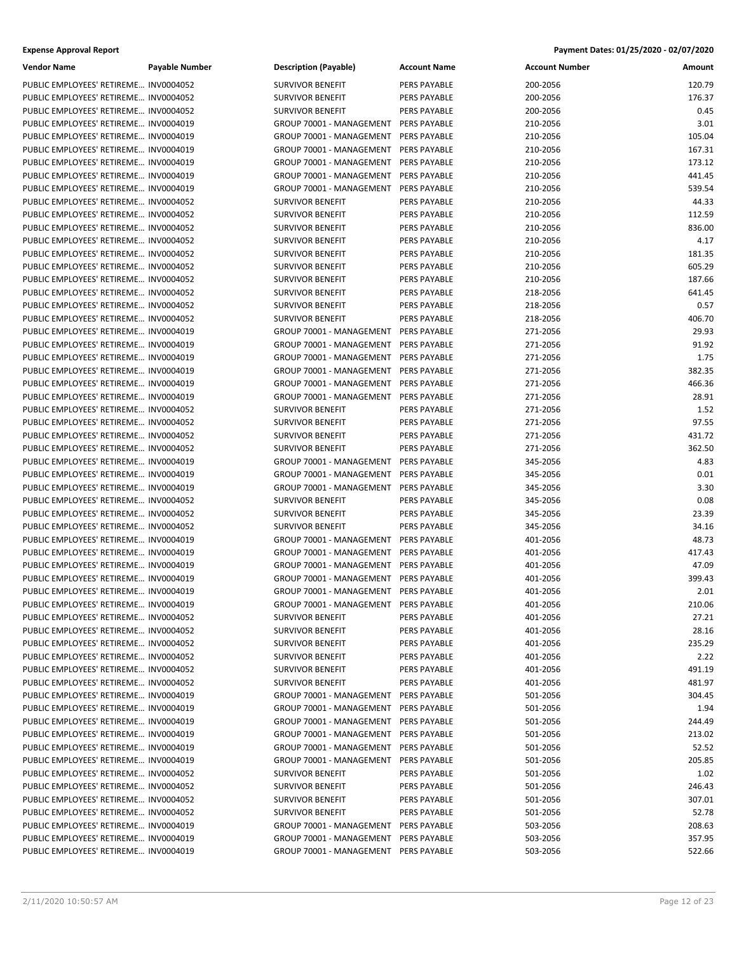| Vendor Name                           | Payable Number | <b>Description (Payable)</b>          | <b>Account Name</b> | <b>Account Number</b> | Amount |
|---------------------------------------|----------------|---------------------------------------|---------------------|-----------------------|--------|
| PUBLIC EMPLOYEES' RETIREME INV0004052 |                | <b>SURVIVOR BENEFIT</b>               | PERS PAYABLE        | 200-2056              | 120.79 |
| PUBLIC EMPLOYEES' RETIREME INV0004052 |                | <b>SURVIVOR BENEFIT</b>               | PERS PAYABLE        | 200-2056              | 176.37 |
| PUBLIC EMPLOYEES' RETIREME INV0004052 |                | <b>SURVIVOR BENEFIT</b>               | PERS PAYABLE        | 200-2056              | 0.45   |
| PUBLIC EMPLOYEES' RETIREME INV0004019 |                | GROUP 70001 - MANAGEMENT              | PERS PAYABLE        | 210-2056              | 3.01   |
| PUBLIC EMPLOYEES' RETIREME INV0004019 |                | GROUP 70001 - MANAGEMENT              | PERS PAYABLE        | 210-2056              | 105.04 |
| PUBLIC EMPLOYEES' RETIREME INV0004019 |                | GROUP 70001 - MANAGEMENT              | PERS PAYABLE        | 210-2056              | 167.31 |
| PUBLIC EMPLOYEES' RETIREME INV0004019 |                | GROUP 70001 - MANAGEMENT              | PERS PAYABLE        | 210-2056              | 173.12 |
| PUBLIC EMPLOYEES' RETIREME INV0004019 |                | GROUP 70001 - MANAGEMENT              | PERS PAYABLE        | 210-2056              | 441.45 |
| PUBLIC EMPLOYEES' RETIREME INV0004019 |                | GROUP 70001 - MANAGEMENT              | PERS PAYABLE        | 210-2056              | 539.54 |
| PUBLIC EMPLOYEES' RETIREME INV0004052 |                | <b>SURVIVOR BENEFIT</b>               | PERS PAYABLE        | 210-2056              | 44.33  |
| PUBLIC EMPLOYEES' RETIREME INV0004052 |                | <b>SURVIVOR BENEFIT</b>               | PERS PAYABLE        | 210-2056              | 112.59 |
| PUBLIC EMPLOYEES' RETIREME INV0004052 |                | <b>SURVIVOR BENEFIT</b>               | PERS PAYABLE        | 210-2056              | 836.00 |
| PUBLIC EMPLOYEES' RETIREME INV0004052 |                | <b>SURVIVOR BENEFIT</b>               | PERS PAYABLE        | 210-2056              | 4.17   |
| PUBLIC EMPLOYEES' RETIREME INV0004052 |                | <b>SURVIVOR BENEFIT</b>               | PERS PAYABLE        | 210-2056              | 181.35 |
| PUBLIC EMPLOYEES' RETIREME INV0004052 |                | <b>SURVIVOR BENEFIT</b>               | PERS PAYABLE        | 210-2056              | 605.29 |
| PUBLIC EMPLOYEES' RETIREME INV0004052 |                | <b>SURVIVOR BENEFIT</b>               | PERS PAYABLE        | 210-2056              | 187.66 |
| PUBLIC EMPLOYEES' RETIREME INV0004052 |                | <b>SURVIVOR BENEFIT</b>               | PERS PAYABLE        | 218-2056              | 641.45 |
| PUBLIC EMPLOYEES' RETIREME INV0004052 |                | <b>SURVIVOR BENEFIT</b>               | PERS PAYABLE        | 218-2056              | 0.57   |
| PUBLIC EMPLOYEES' RETIREME INV0004052 |                | <b>SURVIVOR BENEFIT</b>               | PERS PAYABLE        | 218-2056              | 406.70 |
| PUBLIC EMPLOYEES' RETIREME INV0004019 |                | GROUP 70001 - MANAGEMENT              | PERS PAYABLE        | 271-2056              | 29.93  |
| PUBLIC EMPLOYEES' RETIREME INV0004019 |                | GROUP 70001 - MANAGEMENT              | PERS PAYABLE        | 271-2056              | 91.92  |
| PUBLIC EMPLOYEES' RETIREME INV0004019 |                | GROUP 70001 - MANAGEMENT PERS PAYABLE |                     | 271-2056              | 1.75   |
| PUBLIC EMPLOYEES' RETIREME INV0004019 |                | GROUP 70001 - MANAGEMENT              | PERS PAYABLE        | 271-2056              | 382.35 |
| PUBLIC EMPLOYEES' RETIREME INV0004019 |                | GROUP 70001 - MANAGEMENT              | PERS PAYABLE        | 271-2056              | 466.36 |
| PUBLIC EMPLOYEES' RETIREME INV0004019 |                | GROUP 70001 - MANAGEMENT              | PERS PAYABLE        | 271-2056              | 28.91  |
| PUBLIC EMPLOYEES' RETIREME INV0004052 |                | <b>SURVIVOR BENEFIT</b>               | PERS PAYABLE        | 271-2056              | 1.52   |
| PUBLIC EMPLOYEES' RETIREME INV0004052 |                | <b>SURVIVOR BENEFIT</b>               | PERS PAYABLE        | 271-2056              | 97.55  |
| PUBLIC EMPLOYEES' RETIREME INV0004052 |                | <b>SURVIVOR BENEFIT</b>               | PERS PAYABLE        | 271-2056              | 431.72 |
| PUBLIC EMPLOYEES' RETIREME INV0004052 |                | <b>SURVIVOR BENEFIT</b>               | PERS PAYABLE        | 271-2056              | 362.50 |
| PUBLIC EMPLOYEES' RETIREME INV0004019 |                | GROUP 70001 - MANAGEMENT              | PERS PAYABLE        | 345-2056              | 4.83   |
| PUBLIC EMPLOYEES' RETIREME INV0004019 |                | GROUP 70001 - MANAGEMENT              | PERS PAYABLE        | 345-2056              | 0.01   |
| PUBLIC EMPLOYEES' RETIREME INV0004019 |                | GROUP 70001 - MANAGEMENT              | PERS PAYABLE        | 345-2056              | 3.30   |
| PUBLIC EMPLOYEES' RETIREME INV0004052 |                | <b>SURVIVOR BENEFIT</b>               | PERS PAYABLE        | 345-2056              | 0.08   |
| PUBLIC EMPLOYEES' RETIREME INV0004052 |                | <b>SURVIVOR BENEFIT</b>               | PERS PAYABLE        | 345-2056              | 23.39  |
| PUBLIC EMPLOYEES' RETIREME INV0004052 |                | <b>SURVIVOR BENEFIT</b>               | PERS PAYABLE        | 345-2056              | 34.16  |
| PUBLIC EMPLOYEES' RETIREME INV0004019 |                | GROUP 70001 - MANAGEMENT PERS PAYABLE |                     | 401-2056              | 48.73  |
| PUBLIC EMPLOYEES' RETIREME INV0004019 |                | GROUP 70001 - MANAGEMENT PERS PAYABLE |                     | 401-2056              | 417.43 |
| PUBLIC EMPLOYEES' RETIREME INV0004019 |                | GROUP 70001 - MANAGEMENT PERS PAYABLE |                     | 401-2056              | 47.09  |
| PUBLIC EMPLOYEES' RETIREME INV0004019 |                | GROUP 70001 - MANAGEMENT PERS PAYABLE |                     | 401-2056              | 399.43 |
| PUBLIC EMPLOYEES' RETIREME INV0004019 |                | GROUP 70001 - MANAGEMENT PERS PAYABLE |                     | 401-2056              | 2.01   |
| PUBLIC EMPLOYEES' RETIREME INV0004019 |                | GROUP 70001 - MANAGEMENT PERS PAYABLE |                     | 401-2056              | 210.06 |
| PUBLIC EMPLOYEES' RETIREME INV0004052 |                | <b>SURVIVOR BENEFIT</b>               | PERS PAYABLE        | 401-2056              | 27.21  |
| PUBLIC EMPLOYEES' RETIREME INV0004052 |                | <b>SURVIVOR BENEFIT</b>               | PERS PAYABLE        | 401-2056              | 28.16  |
| PUBLIC EMPLOYEES' RETIREME INV0004052 |                | <b>SURVIVOR BENEFIT</b>               | PERS PAYABLE        | 401-2056              | 235.29 |
| PUBLIC EMPLOYEES' RETIREME INV0004052 |                | <b>SURVIVOR BENEFIT</b>               | PERS PAYABLE        | 401-2056              | 2.22   |
| PUBLIC EMPLOYEES' RETIREME INV0004052 |                | <b>SURVIVOR BENEFIT</b>               | PERS PAYABLE        | 401-2056              | 491.19 |
| PUBLIC EMPLOYEES' RETIREME INV0004052 |                | <b>SURVIVOR BENEFIT</b>               | PERS PAYABLE        | 401-2056              | 481.97 |
| PUBLIC EMPLOYEES' RETIREME INV0004019 |                | GROUP 70001 - MANAGEMENT              | PERS PAYABLE        | 501-2056              | 304.45 |
| PUBLIC EMPLOYEES' RETIREME INV0004019 |                | GROUP 70001 - MANAGEMENT              | PERS PAYABLE        | 501-2056              | 1.94   |
| PUBLIC EMPLOYEES' RETIREME INV0004019 |                | GROUP 70001 - MANAGEMENT              | PERS PAYABLE        | 501-2056              | 244.49 |
| PUBLIC EMPLOYEES' RETIREME INV0004019 |                | GROUP 70001 - MANAGEMENT              | PERS PAYABLE        | 501-2056              | 213.02 |
| PUBLIC EMPLOYEES' RETIREME INV0004019 |                | GROUP 70001 - MANAGEMENT              | PERS PAYABLE        | 501-2056              | 52.52  |
| PUBLIC EMPLOYEES' RETIREME INV0004019 |                | GROUP 70001 - MANAGEMENT              | PERS PAYABLE        | 501-2056              | 205.85 |
| PUBLIC EMPLOYEES' RETIREME INV0004052 |                | <b>SURVIVOR BENEFIT</b>               | PERS PAYABLE        | 501-2056              | 1.02   |
| PUBLIC EMPLOYEES' RETIREME INV0004052 |                | <b>SURVIVOR BENEFIT</b>               | PERS PAYABLE        | 501-2056              | 246.43 |
| PUBLIC EMPLOYEES' RETIREME INV0004052 |                | <b>SURVIVOR BENEFIT</b>               | PERS PAYABLE        | 501-2056              | 307.01 |
| PUBLIC EMPLOYEES' RETIREME INV0004052 |                | <b>SURVIVOR BENEFIT</b>               | PERS PAYABLE        | 501-2056              | 52.78  |
| PUBLIC EMPLOYEES' RETIREME INV0004019 |                | GROUP 70001 - MANAGEMENT PERS PAYABLE |                     | 503-2056              | 208.63 |
| PUBLIC EMPLOYEES' RETIREME INV0004019 |                | GROUP 70001 - MANAGEMENT              | PERS PAYABLE        | 503-2056              | 357.95 |
| PUBLIC EMPLOYEES' RETIREME INV0004019 |                | GROUP 70001 - MANAGEMENT PERS PAYABLE |                     | 503-2056              | 522.66 |
|                                       |                |                                       |                     |                       |        |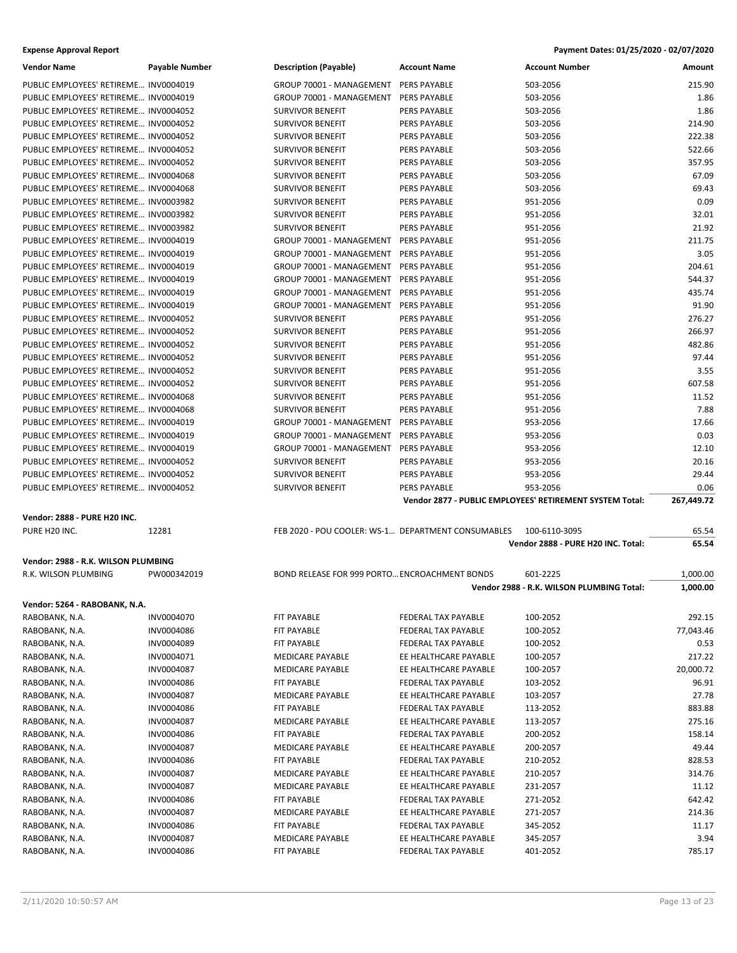| <b>Vendor Name</b>                    | <b>Payable Number</b> | <b>Description (Payable)</b>                       | <b>Account Name</b>   | <b>Account Number</b>                                    | Amount     |
|---------------------------------------|-----------------------|----------------------------------------------------|-----------------------|----------------------------------------------------------|------------|
| PUBLIC EMPLOYEES' RETIREME INV0004019 |                       | GROUP 70001 - MANAGEMENT                           | PERS PAYABLE          | 503-2056                                                 | 215.90     |
| PUBLIC EMPLOYEES' RETIREME INV0004019 |                       | GROUP 70001 - MANAGEMENT                           | PERS PAYABLE          | 503-2056                                                 | 1.86       |
| PUBLIC EMPLOYEES' RETIREME INV0004052 |                       | <b>SURVIVOR BENEFIT</b>                            | <b>PERS PAYABLE</b>   | 503-2056                                                 | 1.86       |
| PUBLIC EMPLOYEES' RETIREME INV0004052 |                       | <b>SURVIVOR BENEFIT</b>                            | PERS PAYABLE          | 503-2056                                                 | 214.90     |
| PUBLIC EMPLOYEES' RETIREME INV0004052 |                       | <b>SURVIVOR BENEFIT</b>                            | PERS PAYABLE          | 503-2056                                                 | 222.38     |
| PUBLIC EMPLOYEES' RETIREME INV0004052 |                       | <b>SURVIVOR BENEFIT</b>                            | PERS PAYABLE          | 503-2056                                                 | 522.66     |
| PUBLIC EMPLOYEES' RETIREME INV0004052 |                       | <b>SURVIVOR BENEFIT</b>                            | <b>PERS PAYABLE</b>   | 503-2056                                                 | 357.95     |
| PUBLIC EMPLOYEES' RETIREME INV0004068 |                       | <b>SURVIVOR BENEFIT</b>                            | PERS PAYABLE          | 503-2056                                                 | 67.09      |
| PUBLIC EMPLOYEES' RETIREME INV0004068 |                       | <b>SURVIVOR BENEFIT</b>                            | PERS PAYABLE          | 503-2056                                                 | 69.43      |
| PUBLIC EMPLOYEES' RETIREME INV0003982 |                       | <b>SURVIVOR BENEFIT</b>                            | PERS PAYABLE          | 951-2056                                                 | 0.09       |
| PUBLIC EMPLOYEES' RETIREME INV0003982 |                       | <b>SURVIVOR BENEFIT</b>                            | PERS PAYABLE          | 951-2056                                                 | 32.01      |
| PUBLIC EMPLOYEES' RETIREME INV0003982 |                       | <b>SURVIVOR BENEFIT</b>                            | <b>PERS PAYABLE</b>   | 951-2056                                                 | 21.92      |
| PUBLIC EMPLOYEES' RETIREME INV0004019 |                       | GROUP 70001 - MANAGEMENT PERS PAYABLE              |                       | 951-2056                                                 | 211.75     |
| PUBLIC EMPLOYEES' RETIREME INV0004019 |                       | GROUP 70001 - MANAGEMENT PERS PAYABLE              |                       | 951-2056                                                 | 3.05       |
| PUBLIC EMPLOYEES' RETIREME INV0004019 |                       | GROUP 70001 - MANAGEMENT PERS PAYABLE              |                       | 951-2056                                                 | 204.61     |
| PUBLIC EMPLOYEES' RETIREME INV0004019 |                       | GROUP 70001 - MANAGEMENT PERS PAYABLE              |                       | 951-2056                                                 | 544.37     |
| PUBLIC EMPLOYEES' RETIREME INV0004019 |                       | GROUP 70001 - MANAGEMENT                           | <b>PERS PAYABLE</b>   | 951-2056                                                 | 435.74     |
| PUBLIC EMPLOYEES' RETIREME INV0004019 |                       | GROUP 70001 - MANAGEMENT                           | <b>PERS PAYABLE</b>   | 951-2056                                                 | 91.90      |
| PUBLIC EMPLOYEES' RETIREME INV0004052 |                       | <b>SURVIVOR BENEFIT</b>                            | <b>PERS PAYABLE</b>   | 951-2056                                                 | 276.27     |
| PUBLIC EMPLOYEES' RETIREME INV0004052 |                       | <b>SURVIVOR BENEFIT</b>                            | PERS PAYABLE          | 951-2056                                                 | 266.97     |
| PUBLIC EMPLOYEES' RETIREME INV0004052 |                       | <b>SURVIVOR BENEFIT</b>                            | PERS PAYABLE          | 951-2056                                                 | 482.86     |
| PUBLIC EMPLOYEES' RETIREME INV0004052 |                       | <b>SURVIVOR BENEFIT</b>                            | PERS PAYABLE          | 951-2056                                                 | 97.44      |
| PUBLIC EMPLOYEES' RETIREME INV0004052 |                       | <b>SURVIVOR BENEFIT</b>                            | <b>PERS PAYABLE</b>   | 951-2056                                                 | 3.55       |
| PUBLIC EMPLOYEES' RETIREME INV0004052 |                       | <b>SURVIVOR BENEFIT</b>                            | <b>PERS PAYABLE</b>   | 951-2056                                                 | 607.58     |
| PUBLIC EMPLOYEES' RETIREME INV0004068 |                       | <b>SURVIVOR BENEFIT</b>                            | PERS PAYABLE          | 951-2056                                                 | 11.52      |
| PUBLIC EMPLOYEES' RETIREME INV0004068 |                       | <b>SURVIVOR BENEFIT</b>                            | PERS PAYABLE          | 951-2056                                                 | 7.88       |
| PUBLIC EMPLOYEES' RETIREME INV0004019 |                       | GROUP 70001 - MANAGEMENT                           | PERS PAYABLE          | 953-2056                                                 | 17.66      |
| PUBLIC EMPLOYEES' RETIREME INV0004019 |                       | GROUP 70001 - MANAGEMENT                           | PERS PAYABLE          | 953-2056                                                 | 0.03       |
| PUBLIC EMPLOYEES' RETIREME INV0004019 |                       | GROUP 70001 - MANAGEMENT PERS PAYABLE              |                       | 953-2056                                                 | 12.10      |
|                                       |                       |                                                    |                       |                                                          |            |
|                                       |                       |                                                    |                       |                                                          |            |
| PUBLIC EMPLOYEES' RETIREME INV0004052 |                       | <b>SURVIVOR BENEFIT</b>                            | PERS PAYABLE          | 953-2056                                                 | 20.16      |
| PUBLIC EMPLOYEES' RETIREME INV0004052 |                       | <b>SURVIVOR BENEFIT</b>                            | PERS PAYABLE          | 953-2056                                                 | 29.44      |
| PUBLIC EMPLOYEES' RETIREME INV0004052 |                       | <b>SURVIVOR BENEFIT</b>                            | PERS PAYABLE          | 953-2056                                                 | 0.06       |
|                                       |                       |                                                    |                       | Vendor 2877 - PUBLIC EMPLOYEES' RETIREMENT SYSTEM Total: | 267,449.72 |
| Vendor: 2888 - PURE H20 INC.          |                       |                                                    |                       |                                                          |            |
| PURE H20 INC.                         | 12281                 | FEB 2020 - POU COOLER: WS-1 DEPARTMENT CONSUMABLES |                       | 100-6110-3095                                            | 65.54      |
|                                       |                       |                                                    |                       | Vendor 2888 - PURE H20 INC. Total:                       | 65.54      |
| Vendor: 2988 - R.K. WILSON PLUMBING   |                       |                                                    |                       |                                                          |            |
| R.K. WILSON PLUMBING                  | PW000342019           | BOND RELEASE FOR 999 PORTO ENCROACHMENT BONDS      |                       | 601-2225                                                 | 1,000.00   |
|                                       |                       |                                                    |                       | Vendor 2988 - R.K. WILSON PLUMBING Total:                | 1,000.00   |
| Vendor: 5264 - RABOBANK, N.A.         |                       |                                                    |                       |                                                          |            |
| RABOBANK, N.A.                        | INV0004070            | FIT PAYABLE                                        | FEDERAL TAX PAYABLE   | 100-2052                                                 | 292.15     |
| RABOBANK, N.A.                        | INV0004086            | FIT PAYABLE                                        | FEDERAL TAX PAYABLE   | 100-2052                                                 | 77,043.46  |
| RABOBANK, N.A.                        | INV0004089            | FIT PAYABLE                                        | FEDERAL TAX PAYABLE   | 100-2052                                                 | 0.53       |
| RABOBANK, N.A.                        | INV0004071            | MEDICARE PAYABLE                                   | EE HEALTHCARE PAYABLE | 100-2057                                                 | 217.22     |
| RABOBANK, N.A.                        | INV0004087            | MEDICARE PAYABLE                                   | EE HEALTHCARE PAYABLE | 100-2057                                                 | 20,000.72  |
| RABOBANK, N.A.                        | INV0004086            | FIT PAYABLE                                        | FEDERAL TAX PAYABLE   | 103-2052                                                 | 96.91      |
| RABOBANK, N.A.                        | INV0004087            | MEDICARE PAYABLE                                   | EE HEALTHCARE PAYABLE | 103-2057                                                 | 27.78      |
| RABOBANK, N.A.                        | INV0004086            | FIT PAYABLE                                        | FEDERAL TAX PAYABLE   | 113-2052                                                 | 883.88     |
| RABOBANK, N.A.                        | INV0004087            | MEDICARE PAYABLE                                   | EE HEALTHCARE PAYABLE | 113-2057                                                 | 275.16     |
| RABOBANK, N.A.                        | INV0004086            | FIT PAYABLE                                        | FEDERAL TAX PAYABLE   | 200-2052                                                 | 158.14     |
| RABOBANK, N.A.                        | INV0004087            | MEDICARE PAYABLE                                   | EE HEALTHCARE PAYABLE | 200-2057                                                 | 49.44      |
| RABOBANK, N.A.                        | INV0004086            | FIT PAYABLE                                        | FEDERAL TAX PAYABLE   | 210-2052                                                 | 828.53     |
| RABOBANK, N.A.                        | INV0004087            | MEDICARE PAYABLE                                   | EE HEALTHCARE PAYABLE | 210-2057                                                 | 314.76     |
| RABOBANK, N.A.                        | INV0004087            | MEDICARE PAYABLE                                   | EE HEALTHCARE PAYABLE | 231-2057                                                 | 11.12      |
| RABOBANK, N.A.                        | INV0004086            | FIT PAYABLE                                        | FEDERAL TAX PAYABLE   | 271-2052                                                 | 642.42     |
| RABOBANK, N.A.                        | INV0004087            | MEDICARE PAYABLE                                   | EE HEALTHCARE PAYABLE | 271-2057                                                 | 214.36     |
| RABOBANK, N.A.                        | INV0004086            | FIT PAYABLE                                        | FEDERAL TAX PAYABLE   | 345-2052                                                 | 11.17      |
| RABOBANK, N.A.                        | INV0004087            | MEDICARE PAYABLE                                   | EE HEALTHCARE PAYABLE | 345-2057                                                 | 3.94       |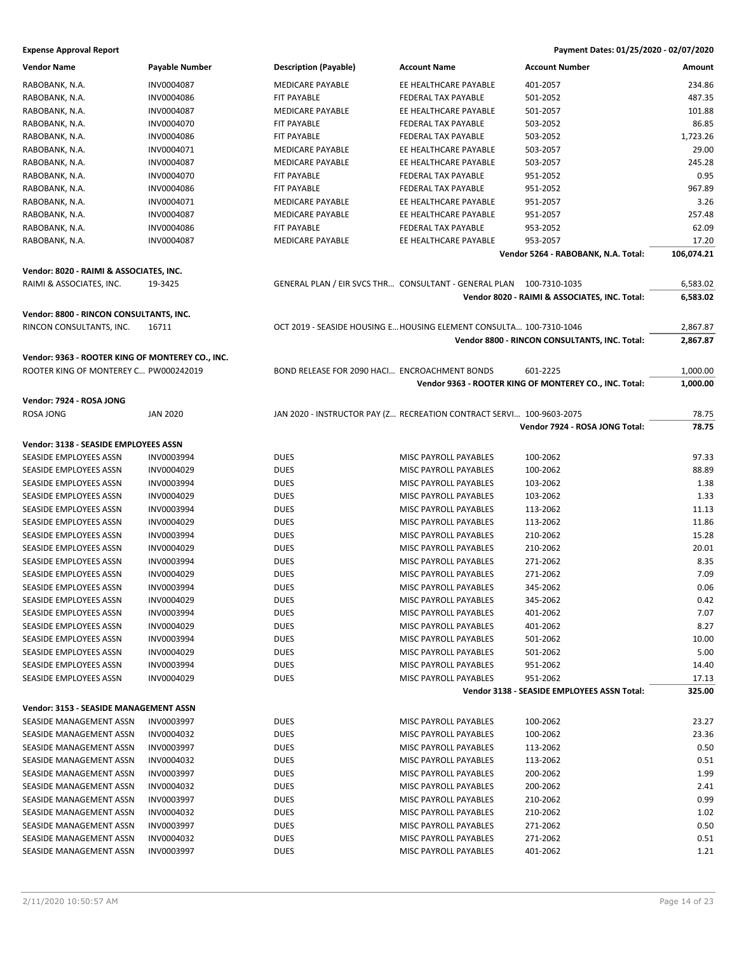| <b>Vendor Name</b>                               | Payable Number  | <b>Description (Payable)</b>                  | <b>Account Name</b>                                                  | <b>Account Number</b>                                  | Amount     |
|--------------------------------------------------|-----------------|-----------------------------------------------|----------------------------------------------------------------------|--------------------------------------------------------|------------|
| RABOBANK, N.A.                                   | INV0004087      | <b>MEDICARE PAYABLE</b>                       | EE HEALTHCARE PAYABLE                                                | 401-2057                                               | 234.86     |
| RABOBANK, N.A.                                   | INV0004086      | FIT PAYABLE                                   | FEDERAL TAX PAYABLE                                                  | 501-2052                                               | 487.35     |
| RABOBANK, N.A.                                   | INV0004087      | MEDICARE PAYABLE                              | EE HEALTHCARE PAYABLE                                                | 501-2057                                               | 101.88     |
| RABOBANK, N.A.                                   | INV0004070      | <b>FIT PAYABLE</b>                            | <b>FEDERAL TAX PAYABLE</b>                                           | 503-2052                                               | 86.85      |
| RABOBANK, N.A.                                   | INV0004086      | <b>FIT PAYABLE</b>                            | FEDERAL TAX PAYABLE                                                  | 503-2052                                               | 1,723.26   |
| RABOBANK, N.A.                                   | INV0004071      | MEDICARE PAYABLE                              | EE HEALTHCARE PAYABLE                                                | 503-2057                                               | 29.00      |
| RABOBANK, N.A.                                   | INV0004087      | MEDICARE PAYABLE                              | EE HEALTHCARE PAYABLE                                                | 503-2057                                               | 245.28     |
| RABOBANK, N.A.                                   | INV0004070      | FIT PAYABLE                                   | FEDERAL TAX PAYABLE                                                  | 951-2052                                               | 0.95       |
| RABOBANK, N.A.                                   | INV0004086      | <b>FIT PAYABLE</b>                            | FEDERAL TAX PAYABLE                                                  | 951-2052                                               | 967.89     |
| RABOBANK, N.A.                                   | INV0004071      | MEDICARE PAYABLE                              | EE HEALTHCARE PAYABLE                                                | 951-2057                                               | 3.26       |
| RABOBANK, N.A.                                   | INV0004087      | MEDICARE PAYABLE                              | EE HEALTHCARE PAYABLE                                                | 951-2057                                               | 257.48     |
| RABOBANK, N.A.                                   | INV0004086      | FIT PAYABLE                                   | FEDERAL TAX PAYABLE                                                  | 953-2052                                               | 62.09      |
| RABOBANK, N.A.                                   | INV0004087      | MEDICARE PAYABLE                              | EE HEALTHCARE PAYABLE                                                | 953-2057                                               | 17.20      |
|                                                  |                 |                                               |                                                                      | Vendor 5264 - RABOBANK, N.A. Total:                    | 106,074.21 |
|                                                  |                 |                                               |                                                                      |                                                        |            |
| Vendor: 8020 - RAIMI & ASSOCIATES, INC.          |                 |                                               |                                                                      |                                                        |            |
| RAIMI & ASSOCIATES, INC.                         | 19-3425         |                                               | GENERAL PLAN / EIR SVCS THR CONSULTANT - GENERAL PLAN 100-7310-1035  |                                                        | 6,583.02   |
|                                                  |                 |                                               |                                                                      | Vendor 8020 - RAIMI & ASSOCIATES, INC. Total:          | 6,583.02   |
| Vendor: 8800 - RINCON CONSULTANTS, INC.          |                 |                                               |                                                                      |                                                        |            |
| RINCON CONSULTANTS, INC.                         | 16711           |                                               | OCT 2019 - SEASIDE HOUSING E HOUSING ELEMENT CONSULTA 100-7310-1046  |                                                        | 2,867.87   |
|                                                  |                 |                                               |                                                                      | Vendor 8800 - RINCON CONSULTANTS, INC. Total:          | 2,867.87   |
| Vendor: 9363 - ROOTER KING OF MONTEREY CO., INC. |                 |                                               |                                                                      |                                                        |            |
| ROOTER KING OF MONTEREY C PW000242019            |                 | BOND RELEASE FOR 2090 HACI ENCROACHMENT BONDS |                                                                      | 601-2225                                               | 1,000.00   |
|                                                  |                 |                                               |                                                                      |                                                        |            |
|                                                  |                 |                                               |                                                                      | Vendor 9363 - ROOTER KING OF MONTEREY CO., INC. Total: | 1,000.00   |
| Vendor: 7924 - ROSA JONG                         |                 |                                               |                                                                      |                                                        |            |
| ROSA JONG                                        | <b>JAN 2020</b> |                                               | JAN 2020 - INSTRUCTOR PAY (Z RECREATION CONTRACT SERVI 100-9603-2075 |                                                        | 78.75      |
|                                                  |                 |                                               |                                                                      | Vendor 7924 - ROSA JONG Total:                         | 78.75      |
| Vendor: 3138 - SEASIDE EMPLOYEES ASSN            |                 |                                               |                                                                      |                                                        |            |
| SEASIDE EMPLOYEES ASSN                           | INV0003994      | <b>DUES</b>                                   | MISC PAYROLL PAYABLES                                                | 100-2062                                               | 97.33      |
| SEASIDE EMPLOYEES ASSN                           | INV0004029      | <b>DUES</b>                                   | MISC PAYROLL PAYABLES                                                | 100-2062                                               | 88.89      |
| SEASIDE EMPLOYEES ASSN                           | INV0003994      | <b>DUES</b>                                   | MISC PAYROLL PAYABLES                                                | 103-2062                                               | 1.38       |
| SEASIDE EMPLOYEES ASSN                           | INV0004029      | <b>DUES</b>                                   | MISC PAYROLL PAYABLES                                                | 103-2062                                               | 1.33       |
| SEASIDE EMPLOYEES ASSN                           | INV0003994      | <b>DUES</b>                                   | MISC PAYROLL PAYABLES                                                | 113-2062                                               | 11.13      |
| SEASIDE EMPLOYEES ASSN                           | INV0004029      | <b>DUES</b>                                   | MISC PAYROLL PAYABLES                                                | 113-2062                                               | 11.86      |
| SEASIDE EMPLOYEES ASSN                           | INV0003994      | <b>DUES</b>                                   | MISC PAYROLL PAYABLES                                                | 210-2062                                               | 15.28      |
| SEASIDE EMPLOYEES ASSN                           | INV0004029      | <b>DUES</b>                                   | MISC PAYROLL PAYABLES                                                | 210-2062                                               | 20.01      |
| SEASIDE EMPLOYEES ASSN                           | INV0003994      | <b>DUES</b>                                   | MISC PAYROLL PAYABLES                                                | 271-2062                                               | 8.35       |
| SEASIDE EMPLOYEES ASSN                           | INV0004029      | <b>DUES</b>                                   | MISC PAYROLL PAYABLES                                                | 271-2062                                               | 7.09       |
| SEASIDE EMPLOYEES ASSN                           | INV0003994      | <b>DUES</b>                                   | MISC PAYROLL PAYABLES                                                | 345-2062                                               | 0.06       |
|                                                  | INV0004029      | <b>DUES</b>                                   | MISC PAYROLL PAYABLES                                                | 345-2062                                               | 0.42       |
| SEASIDE EMPLOYEES ASSN                           |                 |                                               |                                                                      |                                                        |            |
| SEASIDE EMPLOYEES ASSN                           | INV0003994      | <b>DUES</b>                                   | MISC PAYROLL PAYABLES                                                | 401-2062                                               | 7.07       |
| SEASIDE EMPLOYEES ASSN                           | INV0004029      | <b>DUES</b>                                   | MISC PAYROLL PAYABLES                                                | 401-2062                                               | 8.27       |
| SEASIDE EMPLOYEES ASSN                           | INV0003994      | <b>DUES</b>                                   | MISC PAYROLL PAYABLES                                                | 501-2062                                               | 10.00      |
| SEASIDE EMPLOYEES ASSN                           | INV0004029      | <b>DUES</b>                                   | MISC PAYROLL PAYABLES                                                | 501-2062                                               | 5.00       |
| SEASIDE EMPLOYEES ASSN                           | INV0003994      | <b>DUES</b>                                   | MISC PAYROLL PAYABLES                                                | 951-2062                                               | 14.40      |
| SEASIDE EMPLOYEES ASSN                           | INV0004029      | <b>DUES</b>                                   | MISC PAYROLL PAYABLES                                                | 951-2062                                               | 17.13      |
|                                                  |                 |                                               |                                                                      | Vendor 3138 - SEASIDE EMPLOYEES ASSN Total:            | 325.00     |
| Vendor: 3153 - SEASIDE MANAGEMENT ASSN           |                 |                                               |                                                                      |                                                        |            |
| SEASIDE MANAGEMENT ASSN                          | INV0003997      | <b>DUES</b>                                   | MISC PAYROLL PAYABLES                                                | 100-2062                                               | 23.27      |
| SEASIDE MANAGEMENT ASSN                          | INV0004032      | <b>DUES</b>                                   | MISC PAYROLL PAYABLES                                                | 100-2062                                               | 23.36      |
| SEASIDE MANAGEMENT ASSN                          | INV0003997      | <b>DUES</b>                                   | MISC PAYROLL PAYABLES                                                | 113-2062                                               | 0.50       |
| SEASIDE MANAGEMENT ASSN                          | INV0004032      | <b>DUES</b>                                   | MISC PAYROLL PAYABLES                                                | 113-2062                                               | 0.51       |
| SEASIDE MANAGEMENT ASSN                          | INV0003997      | <b>DUES</b>                                   | MISC PAYROLL PAYABLES                                                | 200-2062                                               | 1.99       |
| SEASIDE MANAGEMENT ASSN                          | INV0004032      | <b>DUES</b>                                   | MISC PAYROLL PAYABLES                                                | 200-2062                                               | 2.41       |
| SEASIDE MANAGEMENT ASSN                          | INV0003997      | <b>DUES</b>                                   | MISC PAYROLL PAYABLES                                                | 210-2062                                               | 0.99       |
| SEASIDE MANAGEMENT ASSN                          | INV0004032      | <b>DUES</b>                                   | MISC PAYROLL PAYABLES                                                | 210-2062                                               | 1.02       |
| SEASIDE MANAGEMENT ASSN                          | INV0003997      | <b>DUES</b>                                   | MISC PAYROLL PAYABLES                                                | 271-2062                                               | 0.50       |
| SEASIDE MANAGEMENT ASSN                          | INV0004032      | <b>DUES</b>                                   | MISC PAYROLL PAYABLES                                                | 271-2062                                               | 0.51       |
| SEASIDE MANAGEMENT ASSN                          | INV0003997      | <b>DUES</b>                                   | MISC PAYROLL PAYABLES                                                | 401-2062                                               | 1.21       |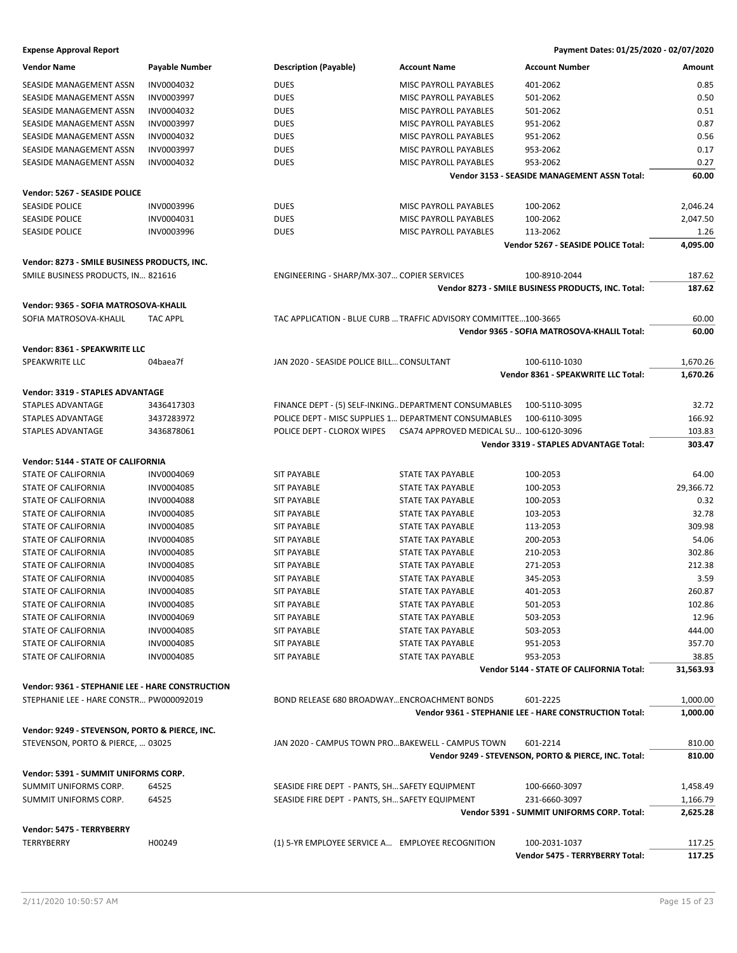| <b>Vendor Name</b>                               | <b>Payable Number</b> | <b>Description (Payable)</b>                     | <b>Account Name</b>                                             | <b>Account Number</b>                                  | Amount    |
|--------------------------------------------------|-----------------------|--------------------------------------------------|-----------------------------------------------------------------|--------------------------------------------------------|-----------|
| SEASIDE MANAGEMENT ASSN                          | INV0004032            | <b>DUES</b>                                      | MISC PAYROLL PAYABLES                                           | 401-2062                                               | 0.85      |
| SEASIDE MANAGEMENT ASSN                          | INV0003997            | <b>DUES</b>                                      | <b>MISC PAYROLL PAYABLES</b>                                    | 501-2062                                               | 0.50      |
| SEASIDE MANAGEMENT ASSN                          | INV0004032            | <b>DUES</b>                                      | MISC PAYROLL PAYABLES                                           | 501-2062                                               | 0.51      |
| SEASIDE MANAGEMENT ASSN                          | INV0003997            | <b>DUES</b>                                      | <b>MISC PAYROLL PAYABLES</b>                                    | 951-2062                                               | 0.87      |
| SEASIDE MANAGEMENT ASSN                          | INV0004032            | <b>DUES</b>                                      | MISC PAYROLL PAYABLES                                           | 951-2062                                               | 0.56      |
| SEASIDE MANAGEMENT ASSN                          | INV0003997            | <b>DUES</b>                                      | MISC PAYROLL PAYABLES                                           | 953-2062                                               | 0.17      |
| SEASIDE MANAGEMENT ASSN                          | INV0004032            | <b>DUES</b>                                      | MISC PAYROLL PAYABLES                                           | 953-2062                                               | 0.27      |
|                                                  |                       |                                                  |                                                                 | Vendor 3153 - SEASIDE MANAGEMENT ASSN Total:           | 60.00     |
|                                                  |                       |                                                  |                                                                 |                                                        |           |
| Vendor: 5267 - SEASIDE POLICE                    |                       |                                                  |                                                                 |                                                        |           |
| <b>SEASIDE POLICE</b>                            | INV0003996            | <b>DUES</b>                                      | MISC PAYROLL PAYABLES                                           | 100-2062                                               | 2,046.24  |
| <b>SEASIDE POLICE</b>                            | INV0004031            | <b>DUES</b>                                      | MISC PAYROLL PAYABLES                                           | 100-2062                                               | 2,047.50  |
| <b>SEASIDE POLICE</b>                            | INV0003996            | <b>DUES</b>                                      | MISC PAYROLL PAYABLES                                           | 113-2062                                               | 1.26      |
|                                                  |                       |                                                  |                                                                 | Vendor 5267 - SEASIDE POLICE Total:                    | 4,095.00  |
| Vendor: 8273 - SMILE BUSINESS PRODUCTS, INC.     |                       |                                                  |                                                                 |                                                        |           |
| SMILE BUSINESS PRODUCTS, IN 821616               |                       | ENGINEERING - SHARP/MX-307 COPIER SERVICES       |                                                                 | 100-8910-2044                                          | 187.62    |
|                                                  |                       |                                                  |                                                                 | Vendor 8273 - SMILE BUSINESS PRODUCTS, INC. Total:     | 187.62    |
| Vendor: 9365 - SOFIA MATROSOVA-KHALIL            |                       |                                                  |                                                                 |                                                        |           |
|                                                  |                       |                                                  |                                                                 |                                                        |           |
| SOFIA MATROSOVA-KHALIL                           | <b>TAC APPL</b>       |                                                  | TAC APPLICATION - BLUE CURB  TRAFFIC ADVISORY COMMITTEE100-3665 |                                                        | 60.00     |
|                                                  |                       |                                                  |                                                                 | Vendor 9365 - SOFIA MATROSOVA-KHALIL Total:            | 60.00     |
| Vendor: 8361 - SPEAKWRITE LLC                    |                       |                                                  |                                                                 |                                                        |           |
| SPEAKWRITE LLC                                   | 04baea7f              | JAN 2020 - SEASIDE POLICE BILL CONSULTANT        |                                                                 | 100-6110-1030                                          | 1,670.26  |
|                                                  |                       |                                                  |                                                                 | Vendor 8361 - SPEAKWRITE LLC Total:                    | 1,670.26  |
| Vendor: 3319 - STAPLES ADVANTAGE                 |                       |                                                  |                                                                 |                                                        |           |
| STAPLES ADVANTAGE                                | 3436417303            |                                                  | FINANCE DEPT - (5) SELF-INKING DEPARTMENT CONSUMABLES           | 100-5110-3095                                          | 32.72     |
| STAPLES ADVANTAGE                                | 3437283972            |                                                  | POLICE DEPT - MISC SUPPLIES 1 DEPARTMENT CONSUMABLES            | 100-6110-3095                                          | 166.92    |
| STAPLES ADVANTAGE                                | 3436878061            | POLICE DEPT - CLOROX WIPES                       | CSA74 APPROVED MEDICAL SU 100-6120-3096                         |                                                        | 103.83    |
|                                                  |                       |                                                  |                                                                 | Vendor 3319 - STAPLES ADVANTAGE Total:                 | 303.47    |
|                                                  |                       |                                                  |                                                                 |                                                        |           |
| Vendor: 5144 - STATE OF CALIFORNIA               |                       |                                                  |                                                                 |                                                        |           |
| STATE OF CALIFORNIA                              | INV0004069            | <b>SIT PAYABLE</b>                               | STATE TAX PAYABLE                                               | 100-2053                                               | 64.00     |
| STATE OF CALIFORNIA                              | INV0004085            | <b>SIT PAYABLE</b>                               | STATE TAX PAYABLE                                               | 100-2053                                               | 29,366.72 |
| STATE OF CALIFORNIA                              | INV0004088            | <b>SIT PAYABLE</b>                               | <b>STATE TAX PAYABLE</b>                                        | 100-2053                                               | 0.32      |
| STATE OF CALIFORNIA                              | INV0004085            | <b>SIT PAYABLE</b>                               | STATE TAX PAYABLE                                               | 103-2053                                               | 32.78     |
| STATE OF CALIFORNIA                              | INV0004085            | <b>SIT PAYABLE</b>                               | STATE TAX PAYABLE                                               | 113-2053                                               | 309.98    |
| STATE OF CALIFORNIA                              | INV0004085            | <b>SIT PAYABLE</b>                               | STATE TAX PAYABLE                                               | 200-2053                                               | 54.06     |
| STATE OF CALIFORNIA                              | INV0004085            | <b>SIT PAYABLE</b>                               | <b>STATE TAX PAYABLE</b>                                        | 210-2053                                               | 302.86    |
| STATE OF CALIFORNIA                              | INV0004085            | <b>SIT PAYABLE</b>                               | STATE TAX PAYABLE                                               | 271-2053                                               | 212.38    |
| STATE OF CALIFORNIA                              | INV0004085            | <b>SIT PAYABLE</b>                               | <b>STATE TAX PAYABLE</b>                                        | 345-2053                                               | 3.59      |
| STATE OF CALIFORNIA                              | INV0004085            | <b>SIT PAYABLE</b>                               | STATE TAX PAYABLE                                               | 401-2053                                               | 260.87    |
| STATE OF CALIFORNIA                              | INV0004085            | <b>SIT PAYABLE</b>                               | <b>STATE TAX PAYABLE</b>                                        | 501-2053                                               | 102.86    |
| STATE OF CALIFORNIA                              | INV0004069            | <b>SIT PAYABLE</b>                               | STATE TAX PAYABLE                                               | 503-2053                                               | 12.96     |
| STATE OF CALIFORNIA                              | INV0004085            | <b>SIT PAYABLE</b>                               | STATE TAX PAYABLE                                               | 503-2053                                               | 444.00    |
| STATE OF CALIFORNIA                              | INV0004085            | <b>SIT PAYABLE</b>                               | STATE TAX PAYABLE                                               | 951-2053                                               | 357.70    |
| STATE OF CALIFORNIA                              | INV0004085            | <b>SIT PAYABLE</b>                               | STATE TAX PAYABLE                                               | 953-2053                                               | 38.85     |
|                                                  |                       |                                                  |                                                                 | <b>Vendor 5144 - STATE OF CALIFORNIA Total:</b>        | 31,563.93 |
|                                                  |                       |                                                  |                                                                 |                                                        |           |
| Vendor: 9361 - STEPHANIE LEE - HARE CONSTRUCTION |                       |                                                  |                                                                 |                                                        |           |
| STEPHANIE LEE - HARE CONSTR PW000092019          |                       | BOND RELEASE 680 BROADWAYENCROACHMENT BONDS      |                                                                 | 601-2225                                               | 1,000.00  |
|                                                  |                       |                                                  |                                                                 | Vendor 9361 - STEPHANIE LEE - HARE CONSTRUCTION Total: | 1,000.00  |
| Vendor: 9249 - STEVENSON, PORTO & PIERCE, INC.   |                       |                                                  |                                                                 |                                                        |           |
| STEVENSON, PORTO & PIERCE,  03025                |                       |                                                  | JAN 2020 - CAMPUS TOWN PROBAKEWELL - CAMPUS TOWN                | 601-2214                                               | 810.00    |
|                                                  |                       |                                                  |                                                                 | Vendor 9249 - STEVENSON, PORTO & PIERCE, INC. Total:   | 810.00    |
| Vendor: 5391 - SUMMIT UNIFORMS CORP.             |                       |                                                  |                                                                 |                                                        |           |
| SUMMIT UNIFORMS CORP.                            | 64525                 | SEASIDE FIRE DEPT - PANTS, SH SAFETY EQUIPMENT   |                                                                 | 100-6660-3097                                          | 1,458.49  |
| SUMMIT UNIFORMS CORP.                            | 64525                 | SEASIDE FIRE DEPT - PANTS, SH SAFETY EQUIPMENT   |                                                                 | 231-6660-3097                                          | 1,166.79  |
|                                                  |                       |                                                  |                                                                 | Vendor 5391 - SUMMIT UNIFORMS CORP. Total:             | 2,625.28  |
|                                                  |                       |                                                  |                                                                 |                                                        |           |
| Vendor: 5475 - TERRYBERRY                        |                       |                                                  |                                                                 |                                                        |           |
| <b>TERRYBERRY</b>                                | H00249                | (1) 5-YR EMPLOYEE SERVICE A EMPLOYEE RECOGNITION |                                                                 | 100-2031-1037                                          | 117.25    |
|                                                  |                       |                                                  |                                                                 | Vendor 5475 - TERRYBERRY Total:                        | 117.25    |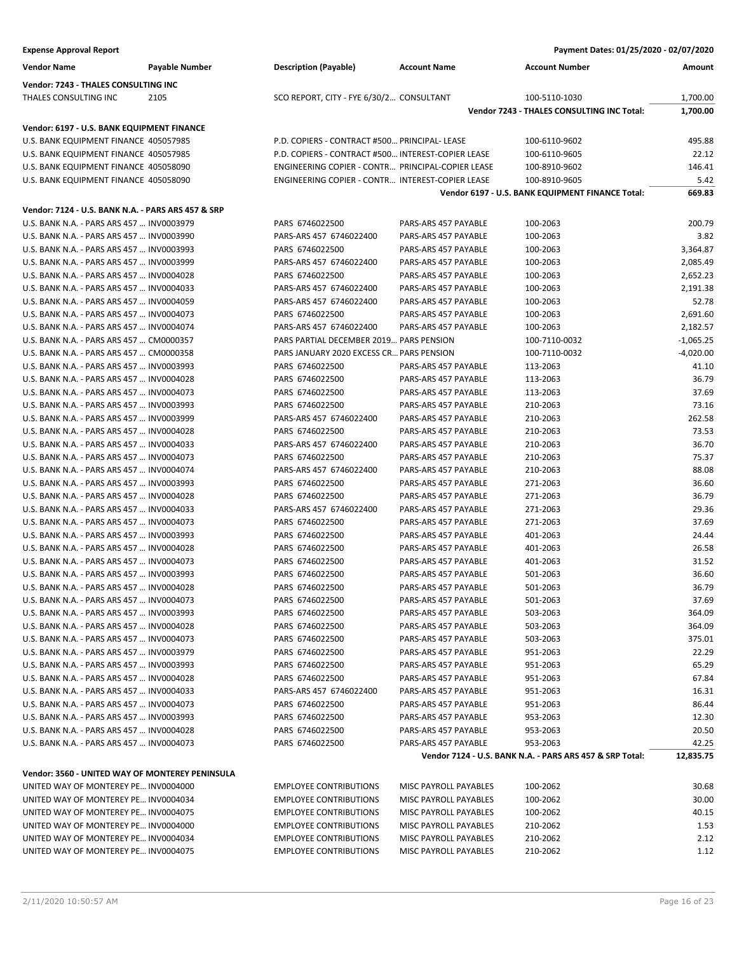| <b>Vendor Name</b>                                                                     | <b>Payable Number</b> | <b>Description (Payable)</b>                       | <b>Account Name</b>                          | <b>Account Number</b>                                    | Amount         |
|----------------------------------------------------------------------------------------|-----------------------|----------------------------------------------------|----------------------------------------------|----------------------------------------------------------|----------------|
| Vendor: 7243 - THALES CONSULTING INC                                                   |                       |                                                    |                                              |                                                          |                |
| THALES CONSULTING INC                                                                  | 2105                  | SCO REPORT, CITY - FYE 6/30/2 CONSULTANT           |                                              | 100-5110-1030                                            | 1,700.00       |
|                                                                                        |                       |                                                    |                                              | Vendor 7243 - THALES CONSULTING INC Total:               | 1,700.00       |
| Vendor: 6197 - U.S. BANK EQUIPMENT FINANCE                                             |                       |                                                    |                                              |                                                          |                |
| U.S. BANK EQUIPMENT FINANCE 405057985                                                  |                       | P.D. COPIERS - CONTRACT #500 PRINCIPAL- LEASE      |                                              | 100-6110-9602                                            | 495.88         |
| U.S. BANK EQUIPMENT FINANCE 405057985                                                  |                       | P.D. COPIERS - CONTRACT #500 INTEREST-COPIER LEASE |                                              | 100-6110-9605                                            | 22.12          |
| U.S. BANK EQUIPMENT FINANCE 405058090                                                  |                       | ENGINEERING COPIER - CONTR PRINCIPAL-COPIER LEASE  |                                              | 100-8910-9602                                            | 146.41         |
| U.S. BANK EQUIPMENT FINANCE 405058090                                                  |                       | ENGINEERING COPIER - CONTR INTEREST-COPIER LEASE   |                                              | 100-8910-9605                                            | 5.42           |
|                                                                                        |                       |                                                    |                                              | Vendor 6197 - U.S. BANK EQUIPMENT FINANCE Total:         | 669.83         |
| Vendor: 7124 - U.S. BANK N.A. - PARS ARS 457 & SRP                                     |                       |                                                    |                                              |                                                          |                |
| U.S. BANK N.A. - PARS ARS 457  INV0003979                                              |                       | PARS 6746022500                                    | PARS-ARS 457 PAYABLE                         | 100-2063                                                 | 200.79         |
| U.S. BANK N.A. - PARS ARS 457  INV0003990                                              |                       | PARS-ARS 457 6746022400                            | PARS-ARS 457 PAYABLE                         | 100-2063                                                 | 3.82           |
| U.S. BANK N.A. - PARS ARS 457  INV0003993                                              |                       | PARS 6746022500                                    | PARS-ARS 457 PAYABLE                         | 100-2063                                                 | 3,364.87       |
| U.S. BANK N.A. - PARS ARS 457  INV0003999                                              |                       | PARS-ARS 457 6746022400                            | PARS-ARS 457 PAYABLE                         | 100-2063                                                 | 2,085.49       |
| U.S. BANK N.A. - PARS ARS 457  INV0004028                                              |                       | PARS 6746022500                                    | PARS-ARS 457 PAYABLE                         | 100-2063                                                 | 2,652.23       |
| U.S. BANK N.A. - PARS ARS 457  INV0004033                                              |                       | PARS-ARS 457 6746022400                            | PARS-ARS 457 PAYABLE                         | 100-2063                                                 | 2,191.38       |
| U.S. BANK N.A. - PARS ARS 457  INV0004059                                              |                       | PARS-ARS 457 6746022400                            | PARS-ARS 457 PAYABLE                         | 100-2063                                                 | 52.78          |
| U.S. BANK N.A. - PARS ARS 457  INV0004073                                              |                       | PARS 6746022500                                    | PARS-ARS 457 PAYABLE                         | 100-2063                                                 | 2,691.60       |
| U.S. BANK N.A. - PARS ARS 457  INV0004074                                              |                       | PARS-ARS 457 6746022400                            | PARS-ARS 457 PAYABLE                         | 100-2063                                                 | 2,182.57       |
| U.S. BANK N.A. - PARS ARS 457  CM0000357                                               |                       | PARS PARTIAL DECEMBER 2019 PARS PENSION            |                                              | 100-7110-0032                                            | -1,065.25      |
| U.S. BANK N.A. - PARS ARS 457  CM0000358                                               |                       | PARS JANUARY 2020 EXCESS CR PARS PENSION           |                                              | 100-7110-0032                                            | $-4,020.00$    |
| U.S. BANK N.A. - PARS ARS 457  INV0003993                                              |                       | PARS 6746022500                                    | PARS-ARS 457 PAYABLE                         | 113-2063                                                 | 41.10          |
| U.S. BANK N.A. - PARS ARS 457  INV0004028                                              |                       | PARS 6746022500<br>PARS 6746022500                 | PARS-ARS 457 PAYABLE                         | 113-2063                                                 | 36.79          |
| U.S. BANK N.A. - PARS ARS 457  INV0004073                                              |                       |                                                    | PARS-ARS 457 PAYABLE                         | 113-2063                                                 | 37.69<br>73.16 |
| U.S. BANK N.A. - PARS ARS 457  INV0003993<br>U.S. BANK N.A. - PARS ARS 457  INV0003999 |                       | PARS 6746022500<br>PARS-ARS 457 6746022400         | PARS-ARS 457 PAYABLE<br>PARS-ARS 457 PAYABLE | 210-2063<br>210-2063                                     | 262.58         |
| U.S. BANK N.A. - PARS ARS 457  INV0004028                                              |                       | PARS 6746022500                                    | PARS-ARS 457 PAYABLE                         | 210-2063                                                 | 73.53          |
| U.S. BANK N.A. - PARS ARS 457  INV0004033                                              |                       | PARS-ARS 457 6746022400                            | PARS-ARS 457 PAYABLE                         | 210-2063                                                 | 36.70          |
| U.S. BANK N.A. - PARS ARS 457  INV0004073                                              |                       | PARS 6746022500                                    | PARS-ARS 457 PAYABLE                         | 210-2063                                                 | 75.37          |
| U.S. BANK N.A. - PARS ARS 457  INV0004074                                              |                       | PARS-ARS 457 6746022400                            | PARS-ARS 457 PAYABLE                         | 210-2063                                                 | 88.08          |
| U.S. BANK N.A. - PARS ARS 457  INV0003993                                              |                       | PARS 6746022500                                    | PARS-ARS 457 PAYABLE                         | 271-2063                                                 | 36.60          |
| U.S. BANK N.A. - PARS ARS 457  INV0004028                                              |                       | PARS 6746022500                                    | PARS-ARS 457 PAYABLE                         | 271-2063                                                 | 36.79          |
| U.S. BANK N.A. - PARS ARS 457  INV0004033                                              |                       | PARS-ARS 457 6746022400                            | PARS-ARS 457 PAYABLE                         | 271-2063                                                 | 29.36          |
| U.S. BANK N.A. - PARS ARS 457  INV0004073                                              |                       | PARS 6746022500                                    | PARS-ARS 457 PAYABLE                         | 271-2063                                                 | 37.69          |
| U.S. BANK N.A. - PARS ARS 457  INV0003993                                              |                       | PARS 6746022500                                    | PARS-ARS 457 PAYABLE                         | 401-2063                                                 | 24.44          |
| U.S. BANK N.A. - PARS ARS 457  INV0004028                                              |                       | PARS 6746022500                                    | PARS-ARS 457 PAYABLE                         | 401-2063                                                 | 26.58          |
| U.S. BANK N.A. - PARS ARS 457  INV0004073                                              |                       | PARS 6746022500                                    | PARS-ARS 457 PAYABLE                         | 401-2063                                                 | 31.52          |
| U.S. BANK N.A. - PARS ARS 457  INV0003993                                              |                       | PARS 6746022500                                    | PARS-ARS 457 PAYABLE                         | 501-2063                                                 | 36.60          |
| U.S. BANK N.A. - PARS ARS 457  INV0004028                                              |                       | PARS 6746022500                                    | PARS-ARS 457 PAYABLE                         | 501-2063                                                 | 36.79          |
| U.S. BANK N.A. - PARS ARS 457  INV0004073                                              |                       | PARS 6746022500                                    | PARS-ARS 457 PAYABLE                         | 501-2063                                                 | 37.69          |
| U.S. BANK N.A. - PARS ARS 457  INV0003993                                              |                       | PARS 6746022500                                    | PARS-ARS 457 PAYABLE                         | 503-2063                                                 | 364.09         |
| U.S. BANK N.A. - PARS ARS 457  INV0004028                                              |                       | PARS 6746022500                                    | PARS-ARS 457 PAYABLE                         | 503-2063                                                 | 364.09         |
| U.S. BANK N.A. - PARS ARS 457  INV0004073                                              |                       | PARS 6746022500                                    | PARS-ARS 457 PAYABLE                         | 503-2063                                                 | 375.01         |
| U.S. BANK N.A. - PARS ARS 457  INV0003979                                              |                       | PARS 6746022500                                    | PARS-ARS 457 PAYABLE                         | 951-2063<br>951-2063                                     | 22.29<br>65.29 |
| U.S. BANK N.A. - PARS ARS 457  INV0003993<br>U.S. BANK N.A. - PARS ARS 457  INV0004028 |                       | PARS 6746022500<br>PARS 6746022500                 | PARS-ARS 457 PAYABLE<br>PARS-ARS 457 PAYABLE | 951-2063                                                 | 67.84          |
| U.S. BANK N.A. - PARS ARS 457  INV0004033                                              |                       | PARS-ARS 457 6746022400                            | PARS-ARS 457 PAYABLE                         | 951-2063                                                 | 16.31          |
| U.S. BANK N.A. - PARS ARS 457  INV0004073                                              |                       | PARS 6746022500                                    | PARS-ARS 457 PAYABLE                         | 951-2063                                                 | 86.44          |
| U.S. BANK N.A. - PARS ARS 457  INV0003993                                              |                       | PARS 6746022500                                    | PARS-ARS 457 PAYABLE                         | 953-2063                                                 | 12.30          |
| U.S. BANK N.A. - PARS ARS 457  INV0004028                                              |                       | PARS 6746022500                                    | PARS-ARS 457 PAYABLE                         | 953-2063                                                 | 20.50          |
| U.S. BANK N.A. - PARS ARS 457  INV0004073                                              |                       | PARS 6746022500                                    | PARS-ARS 457 PAYABLE                         | 953-2063                                                 | 42.25          |
|                                                                                        |                       |                                                    |                                              | Vendor 7124 - U.S. BANK N.A. - PARS ARS 457 & SRP Total: | 12,835.75      |
| Vendor: 3560 - UNITED WAY OF MONTEREY PENINSULA                                        |                       |                                                    |                                              |                                                          |                |
| UNITED WAY OF MONTEREY PE INV0004000                                                   |                       | <b>EMPLOYEE CONTRIBUTIONS</b>                      | MISC PAYROLL PAYABLES                        | 100-2062                                                 | 30.68          |
| UNITED WAY OF MONTEREY PE INV0004034                                                   |                       | <b>EMPLOYEE CONTRIBUTIONS</b>                      | MISC PAYROLL PAYABLES                        | 100-2062                                                 | 30.00          |
| UNITED WAY OF MONTEREY PE INV0004075                                                   |                       | <b>EMPLOYEE CONTRIBUTIONS</b>                      | MISC PAYROLL PAYABLES                        | 100-2062                                                 | 40.15          |
| UNITED WAY OF MONTEREY PE INV0004000                                                   |                       | <b>EMPLOYEE CONTRIBUTIONS</b>                      | MISC PAYROLL PAYABLES                        | 210-2062                                                 | 1.53           |
| UNITED WAY OF MONTEREY PE INV0004034                                                   |                       | <b>EMPLOYEE CONTRIBUTIONS</b>                      | MISC PAYROLL PAYABLES                        | 210-2062                                                 | 2.12           |
| UNITED WAY OF MONTEREY PE INV0004075                                                   |                       | <b>EMPLOYEE CONTRIBUTIONS</b>                      | MISC PAYROLL PAYABLES                        | 210-2062                                                 | 1.12           |
|                                                                                        |                       |                                                    |                                              |                                                          |                |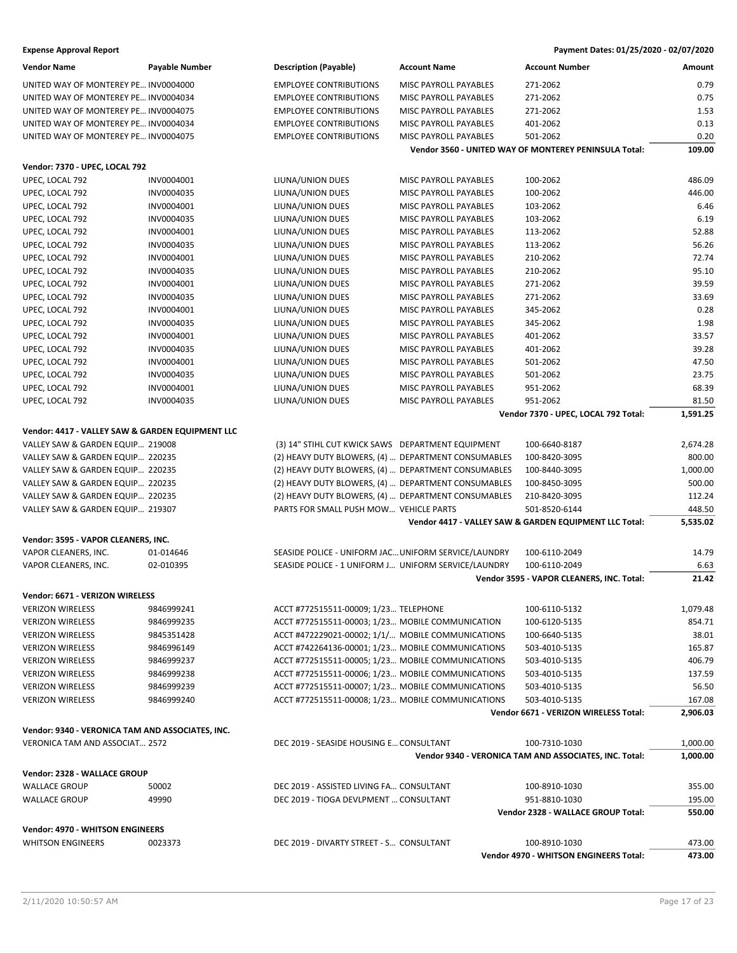| <b>Vendor Name</b>                               | <b>Payable Number</b> | <b>Description (Payable)</b>                                                       | <b>Account Name</b>          | <b>Account Number</b>                                                   | Amount               |
|--------------------------------------------------|-----------------------|------------------------------------------------------------------------------------|------------------------------|-------------------------------------------------------------------------|----------------------|
| UNITED WAY OF MONTEREY PE INV0004000             |                       | <b>EMPLOYEE CONTRIBUTIONS</b>                                                      | MISC PAYROLL PAYABLES        | 271-2062                                                                | 0.79                 |
| UNITED WAY OF MONTEREY PE INV0004034             |                       | <b>EMPLOYEE CONTRIBUTIONS</b>                                                      | MISC PAYROLL PAYABLES        | 271-2062                                                                | 0.75                 |
| UNITED WAY OF MONTEREY PE INV0004075             |                       | <b>EMPLOYEE CONTRIBUTIONS</b>                                                      | MISC PAYROLL PAYABLES        | 271-2062                                                                | 1.53                 |
| UNITED WAY OF MONTEREY PE INV0004034             |                       | <b>EMPLOYEE CONTRIBUTIONS</b>                                                      | <b>MISC PAYROLL PAYABLES</b> | 401-2062                                                                | 0.13                 |
| UNITED WAY OF MONTEREY PE INV0004075             |                       | <b>EMPLOYEE CONTRIBUTIONS</b>                                                      | <b>MISC PAYROLL PAYABLES</b> | 501-2062                                                                | 0.20                 |
|                                                  |                       |                                                                                    |                              | Vendor 3560 - UNITED WAY OF MONTEREY PENINSULA Total:                   | 109.00               |
| Vendor: 7370 - UPEC, LOCAL 792                   |                       |                                                                                    |                              |                                                                         |                      |
| UPEC, LOCAL 792                                  | INV0004001            | LIUNA/UNION DUES                                                                   | MISC PAYROLL PAYABLES        | 100-2062                                                                | 486.09               |
| UPEC, LOCAL 792                                  | INV0004035            | LIUNA/UNION DUES                                                                   | MISC PAYROLL PAYABLES        | 100-2062                                                                | 446.00               |
| UPEC, LOCAL 792                                  | INV0004001            | LIUNA/UNION DUES                                                                   | MISC PAYROLL PAYABLES        | 103-2062                                                                | 6.46                 |
| UPEC, LOCAL 792                                  | INV0004035            | LIUNA/UNION DUES                                                                   | MISC PAYROLL PAYABLES        | 103-2062                                                                | 6.19                 |
| UPEC, LOCAL 792                                  | INV0004001            | LIUNA/UNION DUES                                                                   | MISC PAYROLL PAYABLES        | 113-2062                                                                | 52.88                |
| UPEC, LOCAL 792                                  | INV0004035            | LIUNA/UNION DUES                                                                   | MISC PAYROLL PAYABLES        | 113-2062                                                                | 56.26                |
| UPEC, LOCAL 792                                  | INV0004001            | LIUNA/UNION DUES                                                                   | MISC PAYROLL PAYABLES        | 210-2062                                                                | 72.74                |
| UPEC, LOCAL 792                                  | INV0004035            | LIUNA/UNION DUES                                                                   | MISC PAYROLL PAYABLES        | 210-2062                                                                | 95.10                |
| UPEC, LOCAL 792                                  | INV0004001            | LIUNA/UNION DUES                                                                   | MISC PAYROLL PAYABLES        | 271-2062                                                                | 39.59                |
| UPEC, LOCAL 792                                  | INV0004035            | LIUNA/UNION DUES                                                                   | MISC PAYROLL PAYABLES        | 271-2062                                                                | 33.69                |
| UPEC, LOCAL 792                                  | INV0004001            | LIUNA/UNION DUES                                                                   | MISC PAYROLL PAYABLES        | 345-2062                                                                | 0.28                 |
| UPEC, LOCAL 792                                  | INV0004035            | LIUNA/UNION DUES                                                                   | <b>MISC PAYROLL PAYABLES</b> | 345-2062                                                                | 1.98                 |
| UPEC, LOCAL 792                                  | INV0004001            | LIUNA/UNION DUES                                                                   | MISC PAYROLL PAYABLES        | 401-2062                                                                | 33.57                |
| UPEC, LOCAL 792                                  | INV0004035            | LIUNA/UNION DUES                                                                   | MISC PAYROLL PAYABLES        | 401-2062                                                                | 39.28                |
| UPEC, LOCAL 792                                  | INV0004001            | LIUNA/UNION DUES                                                                   | MISC PAYROLL PAYABLES        | 501-2062                                                                | 47.50                |
| UPEC, LOCAL 792                                  | INV0004035            | LIUNA/UNION DUES                                                                   | MISC PAYROLL PAYABLES        | 501-2062                                                                | 23.75                |
| UPEC, LOCAL 792                                  | INV0004001            | LIUNA/UNION DUES                                                                   | MISC PAYROLL PAYABLES        | 951-2062                                                                | 68.39                |
| UPEC, LOCAL 792                                  | INV0004035            | LIUNA/UNION DUES                                                                   | MISC PAYROLL PAYABLES        | 951-2062                                                                | 81.50                |
|                                                  |                       |                                                                                    |                              | Vendor 7370 - UPEC, LOCAL 792 Total:                                    | 1,591.25             |
| Vendor: 4417 - VALLEY SAW & GARDEN EQUIPMENT LLC |                       |                                                                                    |                              |                                                                         |                      |
| VALLEY SAW & GARDEN EQUIP 219008                 |                       | (3) 14" STIHL CUT KWICK SAWS DEPARTMENT EQUIPMENT                                  |                              | 100-6640-8187                                                           | 2,674.28             |
| VALLEY SAW & GARDEN EQUIP 220235                 |                       | (2) HEAVY DUTY BLOWERS, (4)  DEPARTMENT CONSUMABLES                                |                              | 100-8420-3095                                                           | 800.00               |
| VALLEY SAW & GARDEN EQUIP 220235                 |                       | (2) HEAVY DUTY BLOWERS, (4)  DEPARTMENT CONSUMABLES                                |                              | 100-8440-3095                                                           | 1,000.00             |
| VALLEY SAW & GARDEN EQUIP 220235                 |                       | (2) HEAVY DUTY BLOWERS, (4)  DEPARTMENT CONSUMABLES                                |                              | 100-8450-3095                                                           | 500.00               |
| VALLEY SAW & GARDEN EQUIP 220235                 |                       | (2) HEAVY DUTY BLOWERS, (4)  DEPARTMENT CONSUMABLES                                |                              | 210-8420-3095                                                           | 112.24               |
| VALLEY SAW & GARDEN EQUIP 219307                 |                       | PARTS FOR SMALL PUSH MOW VEHICLE PARTS                                             |                              | 501-8520-6144                                                           | 448.50               |
|                                                  |                       |                                                                                    |                              | Vendor 4417 - VALLEY SAW & GARDEN EQUIPMENT LLC Total:                  | 5,535.02             |
| Vendor: 3595 - VAPOR CLEANERS, INC.              |                       |                                                                                    |                              |                                                                         |                      |
| VAPOR CLEANERS, INC.                             | 01-014646             | SEASIDE POLICE - UNIFORM JAC UNIFORM SERVICE/LAUNDRY                               |                              | 100-6110-2049                                                           | 14.79                |
| VAPOR CLEANERS, INC.                             | 02-010395             | SEASIDE POLICE - 1 UNIFORM J UNIFORM SERVICE/LAUNDRY                               |                              | 100-6110-2049                                                           | 6.63                 |
|                                                  |                       |                                                                                    |                              | Vendor 3595 - VAPOR CLEANERS, INC. Total:                               | 21.42                |
| Vendor: 6671 - VERIZON WIRELESS                  |                       |                                                                                    |                              |                                                                         |                      |
| <b>VERIZON WIRELESS</b>                          | 9846999241            | ACCT #772515511-00009; 1/23 TELEPHONE                                              |                              | 100-6110-5132                                                           | 1,079.48             |
| <b>VERIZON WIRELESS</b>                          | 9846999235            | ACCT #772515511-00003; 1/23 MOBILE COMMUNICATION                                   |                              | 100-6120-5135                                                           | 854.71               |
| <b>VERIZON WIRELESS</b>                          | 9845351428            | ACCT #472229021-00002; 1/1/ MOBILE COMMUNICATIONS                                  |                              | 100-6640-5135                                                           | 38.01                |
| <b>VERIZON WIRELESS</b>                          | 9846996149            | ACCT #742264136-00001; 1/23 MOBILE COMMUNICATIONS                                  |                              | 503-4010-5135                                                           | 165.87               |
| <b>VERIZON WIRELESS</b>                          | 9846999237            | ACCT #772515511-00005; 1/23 MOBILE COMMUNICATIONS                                  |                              | 503-4010-5135                                                           | 406.79               |
| <b>VERIZON WIRELESS</b>                          | 9846999238            | ACCT #772515511-00006; 1/23 MOBILE COMMUNICATIONS                                  |                              | 503-4010-5135                                                           | 137.59               |
| <b>VERIZON WIRELESS</b>                          | 9846999239            | ACCT #772515511-00007; 1/23 MOBILE COMMUNICATIONS                                  |                              | 503-4010-5135                                                           | 56.50                |
| <b>VERIZON WIRELESS</b>                          | 9846999240            | ACCT #772515511-00008; 1/23 MOBILE COMMUNICATIONS                                  |                              | 503-4010-5135                                                           | 167.08               |
|                                                  |                       |                                                                                    |                              | Vendor 6671 - VERIZON WIRELESS Total:                                   | 2,906.03             |
| Vendor: 9340 - VERONICA TAM AND ASSOCIATES, INC. |                       |                                                                                    |                              |                                                                         |                      |
| VERONICA TAM AND ASSOCIAT 2572                   |                       | DEC 2019 - SEASIDE HOUSING E CONSULTANT                                            |                              | 100-7310-1030<br>Vendor 9340 - VERONICA TAM AND ASSOCIATES, INC. Total: | 1,000.00<br>1,000.00 |
|                                                  |                       |                                                                                    |                              |                                                                         |                      |
| Vendor: 2328 - WALLACE GROUP                     |                       |                                                                                    |                              |                                                                         |                      |
| <b>WALLACE GROUP</b>                             | 50002<br>49990        | DEC 2019 - ASSISTED LIVING FA CONSULTANT<br>DEC 2019 - TIOGA DEVLPMENT  CONSULTANT |                              | 100-8910-1030                                                           | 355.00               |
| <b>WALLACE GROUP</b>                             |                       |                                                                                    |                              | 951-8810-1030<br>Vendor 2328 - WALLACE GROUP Total:                     | 195.00<br>550.00     |
|                                                  |                       |                                                                                    |                              |                                                                         |                      |
| <b>Vendor: 4970 - WHITSON ENGINEERS</b>          |                       |                                                                                    |                              |                                                                         |                      |
| <b>WHITSON ENGINEERS</b>                         | 0023373               | DEC 2019 - DIVARTY STREET - S CONSULTANT                                           |                              | 100-8910-1030                                                           | 473.00               |
|                                                  |                       |                                                                                    |                              | Vendor 4970 - WHITSON ENGINEERS Total:                                  | 473.00               |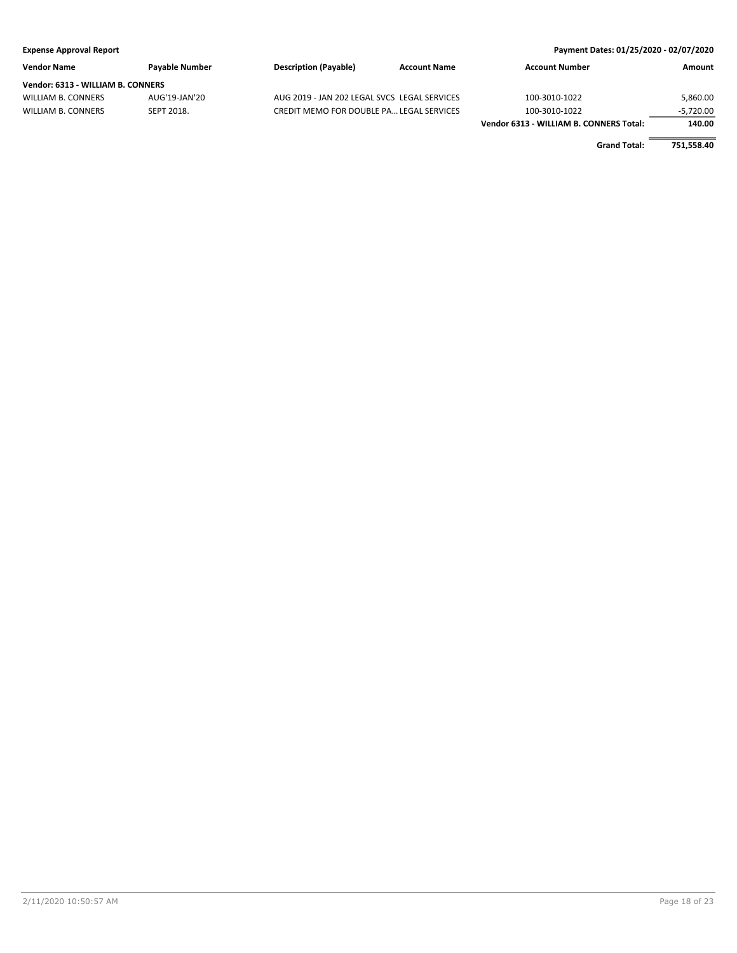### **Expense Approval Report Payment Dates: 01/25/2020 - 02/07/2020 Vendor Name Payable Number Description (Payable) Account Name Account Number Amount Vendor: 6313 - WILLIAM B. CONNERS** WILLIAM B. CONNERS AUG'19-JAN'20 AUG 2019 - JAN 202 LEGAL SVCS LEGAL SERVICES 100-3010-1022 5,860.00 WILLIAM B. CONNERS SEPT 2018. CREDIT MEMO FOR DOUBLE PA... LEGAL SERVICES 100-3010-1022 - 5,720.00 **Vendor 6313 - WILLIAM B. CONNERS Total: 140.00**

**Grand Total: 751,558.40**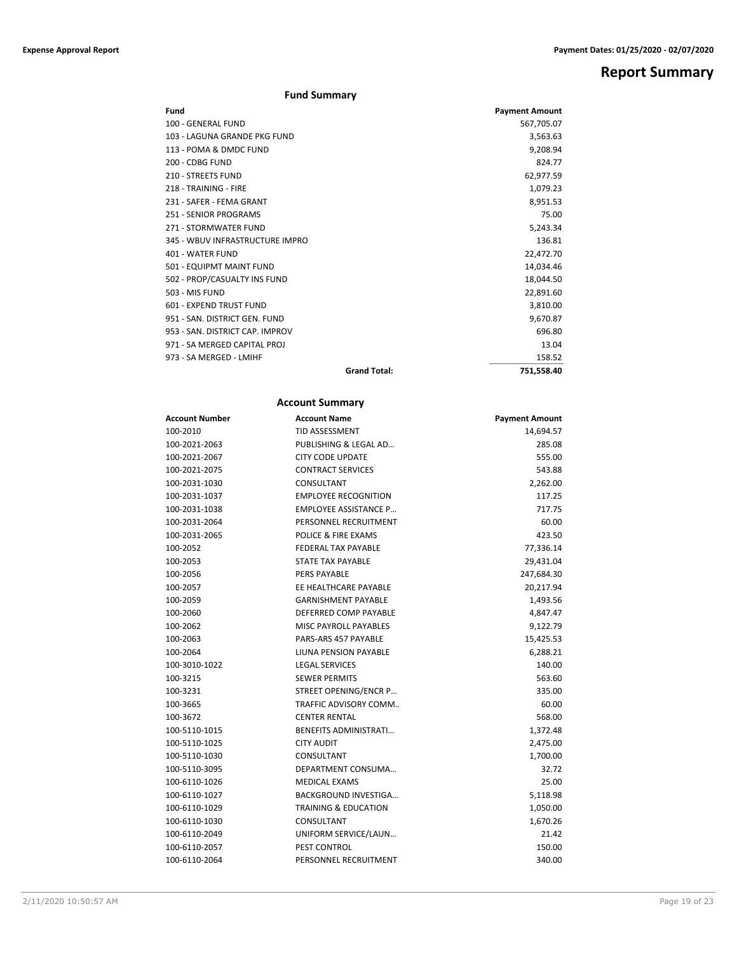**Report Summary**

| <b>Fund Summary</b> |  |
|---------------------|--|
|---------------------|--|

| Fund                            |                     | <b>Payment Amount</b> |
|---------------------------------|---------------------|-----------------------|
| 100 - GENERAL FUND              |                     | 567,705.07            |
| 103 - LAGUNA GRANDE PKG FUND    |                     | 3,563.63              |
| 113 - POMA & DMDC FUND          |                     | 9,208.94              |
| 200 - CDBG FUND                 |                     | 824.77                |
| <b>210 - STREETS FUND</b>       |                     | 62,977.59             |
| 218 - TRAINING - FIRE           |                     | 1,079.23              |
| 231 - SAFER - FEMA GRANT        |                     | 8,951.53              |
| 251 - SENIOR PROGRAMS           |                     | 75.00                 |
| 271 - STORMWATER FUND           |                     | 5,243.34              |
| 345 - WBUV INFRASTRUCTURE IMPRO |                     | 136.81                |
| 401 - WATER FUND                |                     | 22,472.70             |
| 501 - EQUIPMT MAINT FUND        |                     | 14,034.46             |
| 502 - PROP/CASUALTY INS FUND    |                     | 18,044.50             |
| 503 - MIS FUND                  |                     | 22,891.60             |
| 601 - EXPEND TRUST FUND         |                     | 3,810.00              |
| 951 - SAN, DISTRICT GEN, FUND   |                     | 9,670.87              |
| 953 - SAN, DISTRICT CAP, IMPROV |                     | 696.80                |
| 971 - SA MERGED CAPITAL PROJ    |                     | 13.04                 |
| 973 - SA MERGED - LMIHF         |                     | 158.52                |
|                                 | <b>Grand Total:</b> | 751,558.40            |

### **Account Summary**

| <b>Account Number</b> | <b>Account Name</b>             | <b>Payment Amount</b> |
|-----------------------|---------------------------------|-----------------------|
| 100-2010              | <b>TID ASSESSMENT</b>           | 14,694.57             |
| 100-2021-2063         | PUBLISHING & LEGAL AD           | 285.08                |
| 100-2021-2067         | CITY CODE UPDATE                | 555.00                |
| 100-2021-2075         | <b>CONTRACT SERVICES</b>        | 543.88                |
| 100-2031-1030         | CONSULTANT                      | 2,262.00              |
| 100-2031-1037         | <b>EMPLOYEE RECOGNITION</b>     | 117.25                |
| 100-2031-1038         | <b>EMPLOYEE ASSISTANCE P</b>    | 717.75                |
| 100-2031-2064         | PERSONNEL RECRUITMENT           | 60.00                 |
| 100-2031-2065         | POLICE & FIRE EXAMS             | 423.50                |
| 100-2052              | <b>FEDERAL TAX PAYABLE</b>      | 77,336.14             |
| 100-2053              | <b>STATE TAX PAYABLE</b>        | 29,431.04             |
| 100-2056              | <b>PERS PAYABLE</b>             | 247,684.30            |
| 100-2057              | EE HEALTHCARE PAYABLE           | 20,217.94             |
| 100-2059              | <b>GARNISHMENT PAYABLE</b>      | 1,493.56              |
| 100-2060              | DEFERRED COMP PAYABLE           | 4,847.47              |
| 100-2062              | <b>MISC PAYROLL PAYABLES</b>    | 9,122.79              |
| 100-2063              | PARS-ARS 457 PAYABLE            | 15,425.53             |
| 100-2064              | LIUNA PENSION PAYABLE           | 6,288.21              |
| 100-3010-1022         | <b>LEGAL SERVICES</b>           | 140.00                |
| 100-3215              | <b>SEWER PERMITS</b>            | 563.60                |
| 100-3231              | STREET OPENING/ENCR P           | 335.00                |
| 100-3665              | TRAFFIC ADVISORY COMM           | 60.00                 |
| 100-3672              | <b>CENTER RENTAL</b>            | 568.00                |
| 100-5110-1015         | <b>BENEFITS ADMINISTRATI</b>    | 1,372.48              |
| 100-5110-1025         | <b>CITY AUDIT</b>               | 2,475.00              |
| 100-5110-1030         | CONSULTANT                      | 1,700.00              |
| 100-5110-3095         | DEPARTMENT CONSUMA              | 32.72                 |
| 100-6110-1026         | <b>MEDICAL EXAMS</b>            | 25.00                 |
| 100-6110-1027         | <b>BACKGROUND INVESTIGA</b>     | 5,118.98              |
| 100-6110-1029         | <b>TRAINING &amp; EDUCATION</b> | 1,050.00              |
| 100-6110-1030         | CONSULTANT                      | 1,670.26              |
| 100-6110-2049         | UNIFORM SERVICE/LAUN            | 21.42                 |
| 100-6110-2057         | PEST CONTROL                    | 150.00                |
| 100-6110-2064         | PERSONNEL RECRUITMENT           | 340.00                |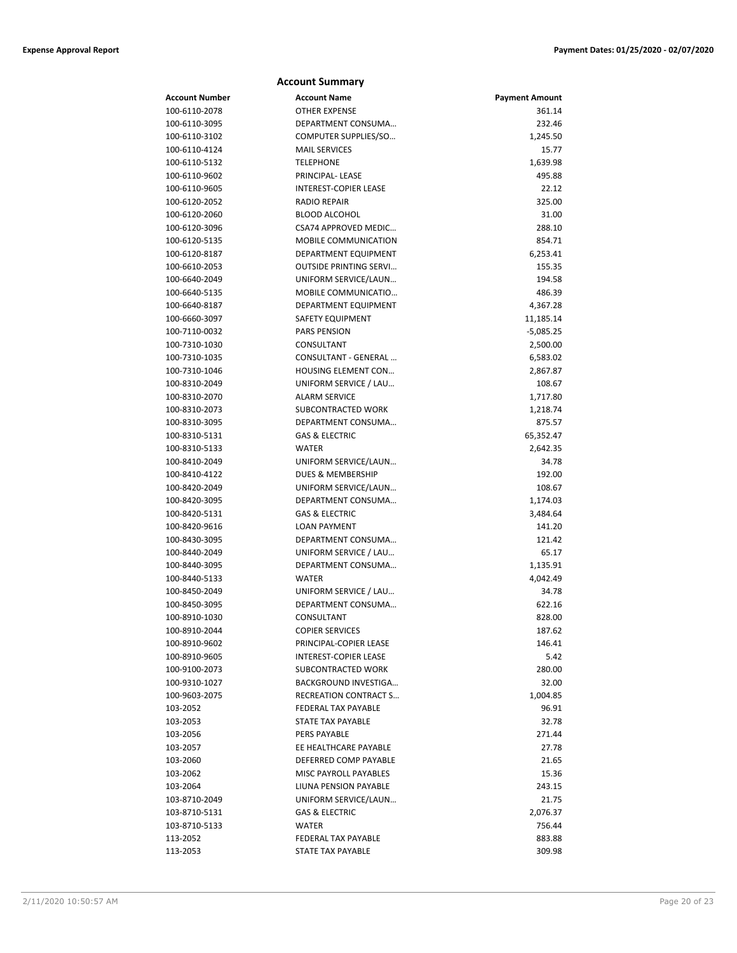|                | <b>Account Summary</b>        |                       |
|----------------|-------------------------------|-----------------------|
| Account Number | <b>Account Name</b>           | <b>Payment Amount</b> |
| 100-6110-2078  | <b>OTHER EXPENSE</b>          | 361.14                |
| 100-6110-3095  | DEPARTMENT CONSUMA            | 232.46                |
| 100-6110-3102  | COMPUTER SUPPLIES/SO          | 1,245.50              |
| 100-6110-4124  | <b>MAIL SERVICES</b>          | 15.77                 |
| 100-6110-5132  | <b>TELEPHONE</b>              | 1,639.98              |
| 100-6110-9602  | PRINCIPAL-LEASE               | 495.88                |
| 100-6110-9605  | <b>INTEREST-COPIER LEASE</b>  | 22.12                 |
| 100-6120-2052  | <b>RADIO REPAIR</b>           | 325.00                |
| 100-6120-2060  | <b>BLOOD ALCOHOL</b>          | 31.00                 |
| 100-6120-3096  | CSA74 APPROVED MEDIC          | 288.10                |
| 100-6120-5135  | <b>MOBILE COMMUNICATION</b>   | 854.71                |
| 100-6120-8187  | DEPARTMENT EQUIPMENT          | 6,253.41              |
| 100-6610-2053  | <b>OUTSIDE PRINTING SERVI</b> | 155.35                |
| 100-6640-2049  | UNIFORM SERVICE/LAUN          | 194.58                |
| 100-6640-5135  | MOBILE COMMUNICATIO           | 486.39                |
| 100-6640-8187  | DEPARTMENT EQUIPMENT          | 4,367.28              |
| 100-6660-3097  | <b>SAFETY EQUIPMENT</b>       | 11,185.14             |
| 100-7110-0032  | <b>PARS PENSION</b>           | -5,085.25             |
| 100-7310-1030  | CONSULTANT                    | 2,500.00              |
| 100-7310-1035  | CONSULTANT - GENERAL          | 6,583.02              |
| 100-7310-1046  | HOUSING ELEMENT CON           | 2,867.87              |
| 100-8310-2049  | UNIFORM SERVICE / LAU         | 108.67                |
| 100-8310-2070  | <b>ALARM SERVICE</b>          | 1,717.80              |
| 100-8310-2073  | SUBCONTRACTED WORK            | 1,218.74              |
| 100-8310-3095  | DEPARTMENT CONSUMA            | 875.57                |
| 100-8310-5131  | <b>GAS &amp; ELECTRIC</b>     | 65,352.47             |
| 100-8310-5133  | <b>WATER</b>                  | 2,642.35              |
| 100-8410-2049  | UNIFORM SERVICE/LAUN          | 34.78                 |
| 100-8410-4122  | <b>DUES &amp; MEMBERSHIP</b>  | 192.00                |
| 100-8420-2049  | UNIFORM SERVICE/LAUN          | 108.67                |
| 100-8420-3095  | DEPARTMENT CONSUMA            | 1,174.03              |
| 100-8420-5131  | <b>GAS &amp; ELECTRIC</b>     | 3,484.64              |
| 100-8420-9616  | <b>LOAN PAYMENT</b>           | 141.20                |
| 100-8430-3095  | DEPARTMENT CONSUMA            | 121.42                |
| 100-8440-2049  | UNIFORM SERVICE / LAU         | 65.17                 |
| 100-8440-3095  | DEPARTMENT CONSUMA            | 1,135.91              |
| 100-8440-5133  | WATER                         | 4,042.49              |
| 100-8450-2049  | UNIFORM SERVICE / LAU         | 34.78                 |
| 100-8450-3095  | DEPARTMENT CONSUMA            | 622.16                |
| 100-8910-1030  | CONSULTANT                    | 828.00                |
| 100-8910-2044  | <b>COPIER SERVICES</b>        | 187.62                |
| 100-8910-9602  | PRINCIPAL-COPIER LEASE        | 146.41                |
| 100-8910-9605  | INTEREST-COPIER LEASE         | 5.42                  |
| 100-9100-2073  | <b>SUBCONTRACTED WORK</b>     | 280.00                |
| 100-9310-1027  | BACKGROUND INVESTIGA          | 32.00                 |
| 100-9603-2075  | <b>RECREATION CONTRACT S</b>  | 1,004.85              |
| 103-2052       | FEDERAL TAX PAYABLE           | 96.91                 |
| 103-2053       | STATE TAX PAYABLE             | 32.78                 |
| 103-2056       | PERS PAYABLE                  | 271.44                |
| 103-2057       | EE HEALTHCARE PAYABLE         | 27.78                 |
| 103-2060       | DEFERRED COMP PAYABLE         | 21.65                 |
| 103-2062       | MISC PAYROLL PAYABLES         | 15.36                 |
| 103-2064       | LIUNA PENSION PAYABLE         | 243.15                |
| 103-8710-2049  | UNIFORM SERVICE/LAUN          | 21.75                 |
| 103-8710-5131  | <b>GAS &amp; ELECTRIC</b>     | 2,076.37              |
| 103-8710-5133  | WATER                         | 756.44                |
| 113-2052       | FEDERAL TAX PAYABLE           | 883.88                |
|                |                               |                       |

113-2053 STATE TAX PAYABLE 309.98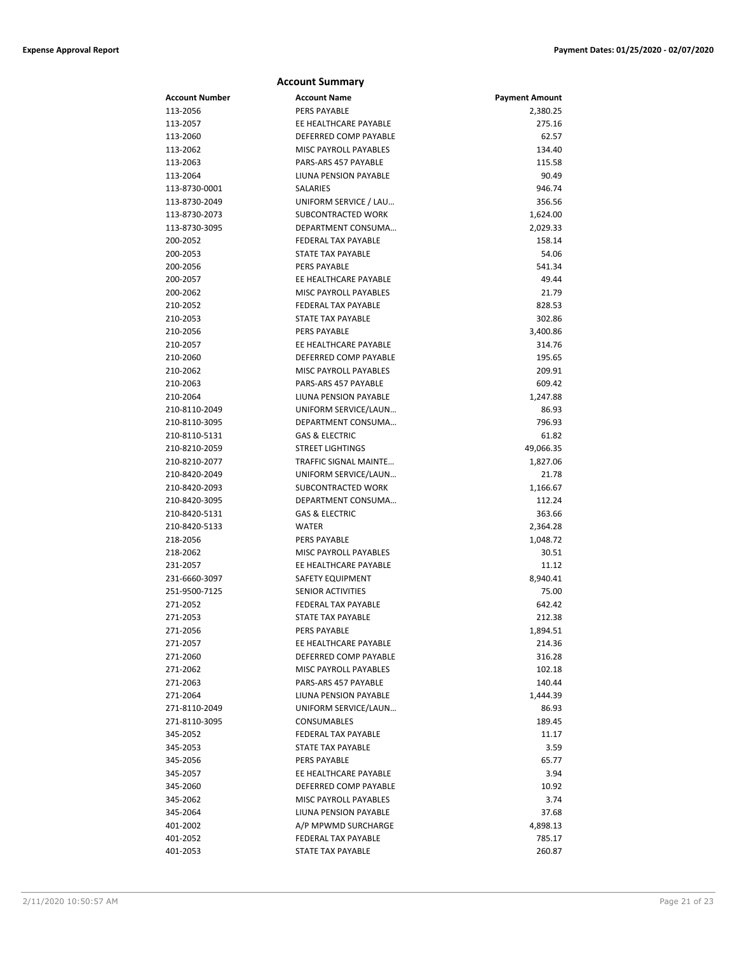|                | <b>Account Summary</b>       |                       |
|----------------|------------------------------|-----------------------|
| Account Number | <b>Account Name</b>          | <b>Payment Amount</b> |
| 113-2056       | <b>PERS PAYABLE</b>          | 2,380.25              |
| 113-2057       | EE HEALTHCARE PAYABLE        | 275.16                |
| 113-2060       | DEFERRED COMP PAYABLE        | 62.57                 |
| 113-2062       | <b>MISC PAYROLL PAYABLES</b> | 134.40                |
| 113-2063       | PARS-ARS 457 PAYABLE         | 115.58                |
| 113-2064       | LIUNA PENSION PAYABLE        | 90.49                 |
| 113-8730-0001  | SALARIES                     | 946.74                |
| 113-8730-2049  | UNIFORM SERVICE / LAU        | 356.56                |
| 113-8730-2073  | SUBCONTRACTED WORK           | 1,624.00              |
| 113-8730-3095  | DEPARTMENT CONSUMA           | 2,029.33              |
| 200-2052       | FEDERAL TAX PAYABLE          | 158.14                |
| 200-2053       | <b>STATE TAX PAYABLE</b>     | 54.06                 |
| 200-2056       | <b>PERS PAYABLE</b>          | 541.34                |
| 200-2057       | EE HEALTHCARE PAYABLE        | 49.44                 |
| 200-2062       | <b>MISC PAYROLL PAYABLES</b> | 21.79                 |
| 210-2052       | FEDERAL TAX PAYABLE          | 828.53                |
| 210-2053       | <b>STATE TAX PAYABLE</b>     | 302.86                |
| 210-2056       | <b>PERS PAYABLE</b>          | 3,400.86              |
| 210-2057       | EE HEALTHCARE PAYABLE        | 314.76                |
| 210-2060       | DEFERRED COMP PAYABLE        | 195.65                |
| 210-2062       | <b>MISC PAYROLL PAYABLES</b> | 209.91                |
| 210-2063       | PARS-ARS 457 PAYABLE         | 609.42                |
| 210-2064       | LIUNA PENSION PAYABLE        | 1,247.88              |
| 210-8110-2049  | UNIFORM SERVICE/LAUN         | 86.93                 |
| 210-8110-3095  | DEPARTMENT CONSUMA           | 796.93                |
| 210-8110-5131  | <b>GAS &amp; ELECTRIC</b>    | 61.82                 |
| 210-8210-2059  | <b>STREET LIGHTINGS</b>      | 49,066.35             |
| 210-8210-2077  | TRAFFIC SIGNAL MAINTE        | 1,827.06              |
| 210-8420-2049  | UNIFORM SERVICE/LAUN         | 21.78                 |
| 210-8420-2093  | SUBCONTRACTED WORK           | 1,166.67              |
| 210-8420-3095  | DEPARTMENT CONSUMA           | 112.24                |
| 210-8420-5131  | <b>GAS &amp; ELECTRIC</b>    | 363.66                |
| 210-8420-5133  | <b>WATER</b>                 | 2,364.28              |
| 218-2056       | <b>PERS PAYABLE</b>          | 1,048.72              |
| 218-2062       | MISC PAYROLL PAYABLES        | 30.51                 |
| 231-2057       | EE HEALTHCARE PAYABLE        | 11.12                 |
| 231-6660-3097  | <b>SAFETY EQUIPMENT</b>      | 8,940.41              |
| 251-9500-7125  | <b>SENIOR ACTIVITIES</b>     | 75.00                 |
| 271-2052       | <b>FEDERAL TAX PAYABLE</b>   | 642.42                |
| 271-2053       | STATE TAX PAYABLE            | 212.38                |
| 271-2056       | PERS PAYABLE                 | 1,894.51              |
| 271-2057       | EE HEALTHCARE PAYABLE        | 214.36                |
| 271-2060       | DEFERRED COMP PAYABLE        | 316.28                |
| 271-2062       | MISC PAYROLL PAYABLES        | 102.18                |
| 271-2063       | PARS-ARS 457 PAYABLE         | 140.44                |
| 271-2064       | LIUNA PENSION PAYABLE        | 1,444.39              |
| 271-8110-2049  | UNIFORM SERVICE/LAUN         | 86.93                 |
| 271-8110-3095  | <b>CONSUMABLES</b>           | 189.45                |
| 345-2052       | <b>FEDERAL TAX PAYABLE</b>   | 11.17                 |
| 345-2053       | STATE TAX PAYABLE            | 3.59                  |
| 345-2056       | PERS PAYABLE                 | 65.77                 |
| 345-2057       | EE HEALTHCARE PAYABLE        | 3.94                  |
| 345-2060       | DEFERRED COMP PAYABLE        | 10.92                 |
| 345-2062       | MISC PAYROLL PAYABLES        | 3.74                  |
| 345-2064       | LIUNA PENSION PAYABLE        | 37.68                 |
| 401-2002       | A/P MPWMD SURCHARGE          | 4,898.13              |
| 401-2052       | FEDERAL TAX PAYABLE          | 785.17                |
| 401-2053       | STATE TAX PAYABLE            | 260.87                |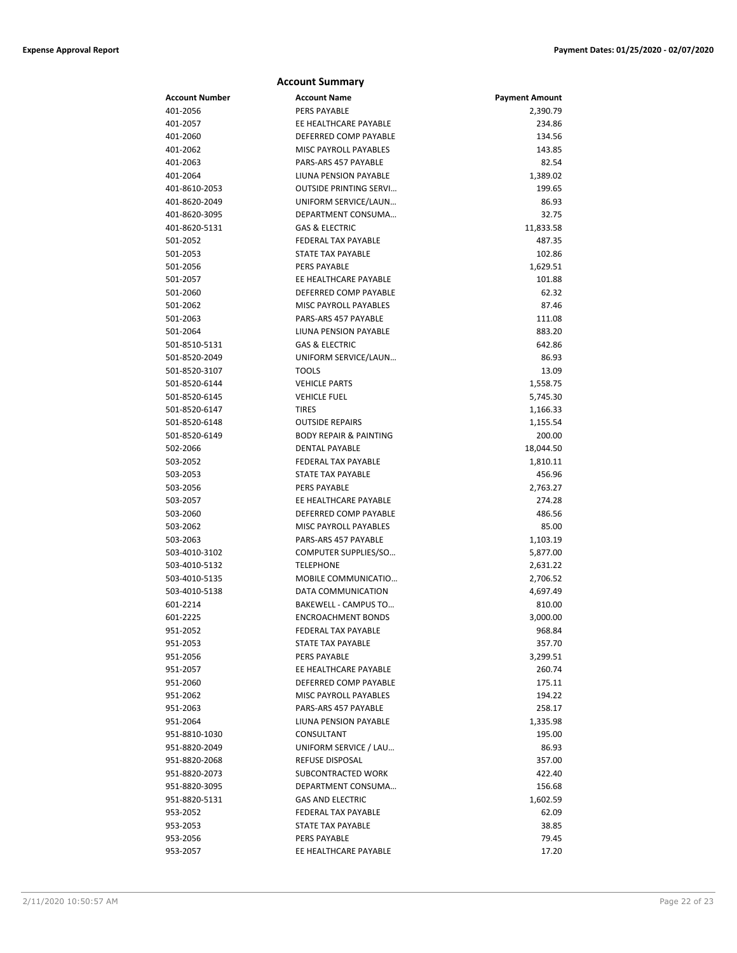|                           | <b>Account Summary</b>                            |                       |
|---------------------------|---------------------------------------------------|-----------------------|
| <b>Account Number</b>     | <b>Account Name</b>                               | <b>Payment Amount</b> |
| 401-2056                  | <b>PERS PAYABLE</b>                               | 2,390.79              |
| 401-2057                  | EE HEALTHCARE PAYABLE                             | 234.86                |
| 401-2060                  | DEFERRED COMP PAYABLE                             | 134.56                |
| 401-2062                  | MISC PAYROLL PAYABLES                             | 143.85                |
| 401-2063                  | PARS-ARS 457 PAYABLE                              | 82.54                 |
| 401-2064                  | LIUNA PENSION PAYABLE                             | 1,389.02              |
| 401-8610-2053             | <b>OUTSIDE PRINTING SERVI</b>                     | 199.65                |
| 401-8620-2049             | UNIFORM SERVICE/LAUN                              | 86.93                 |
| 401-8620-3095             | DEPARTMENT CONSUMA                                | 32.75                 |
| 401-8620-5131             | <b>GAS &amp; ELECTRIC</b>                         | 11,833.58             |
| 501-2052                  | <b>FEDERAL TAX PAYABLE</b>                        | 487.35                |
| 501-2053                  | <b>STATE TAX PAYABLE</b>                          | 102.86                |
| 501-2056                  | <b>PERS PAYABLE</b>                               | 1,629.51              |
| 501-2057                  | EE HEALTHCARE PAYABLE                             | 101.88                |
| 501-2060                  | DEFERRED COMP PAYABLE                             | 62.32                 |
| 501-2062                  | <b>MISC PAYROLL PAYABLES</b>                      | 87.46                 |
| 501-2063                  | PARS-ARS 457 PAYABLE                              | 111.08                |
| 501-2064                  | LIUNA PENSION PAYABLE                             | 883.20                |
| 501-8510-5131             | <b>GAS &amp; ELECTRIC</b>                         | 642.86                |
| 501-8520-2049             | UNIFORM SERVICE/LAUN                              | 86.93                 |
| 501-8520-3107             | <b>TOOLS</b>                                      | 13.09                 |
| 501-8520-6144             | <b>VEHICLE PARTS</b>                              | 1,558.75              |
| 501-8520-6145             | <b>VEHICLE FUEL</b>                               | 5,745.30              |
| 501-8520-6147             | <b>TIRES</b>                                      | 1,166.33              |
| 501-8520-6148             | <b>OUTSIDE REPAIRS</b>                            | 1,155.54              |
| 501-8520-6149             | <b>BODY REPAIR &amp; PAINTING</b>                 | 200.00                |
| 502-2066                  | <b>DENTAL PAYABLE</b>                             | 18,044.50             |
| 503-2052                  | <b>FEDERAL TAX PAYABLE</b>                        | 1,810.11              |
| 503-2053                  | STATE TAX PAYABLE                                 | 456.96                |
| 503-2056                  | <b>PERS PAYABLE</b>                               | 2,763.27              |
| 503-2057                  | EE HEALTHCARE PAYABLE                             | 274.28                |
| 503-2060                  | DEFERRED COMP PAYABLE                             | 486.56                |
| 503-2062                  | MISC PAYROLL PAYABLES                             | 85.00                 |
| 503-2063                  | PARS-ARS 457 PAYABLE                              | 1,103.19              |
| 503-4010-3102             | COMPUTER SUPPLIES/SO                              | 5,877.00              |
| 503-4010-5132             | <b>TELEPHONE</b>                                  | 2,631.22              |
| 503-4010-5135             | MOBILE COMMUNICATIO                               | 2,706.52              |
| 503-4010-5138<br>601-2214 | DATA COMMUNICATION<br><b>BAKEWELL - CAMPUS TO</b> | 4,697.49<br>810.00    |
| 601-2225                  | <b>ENCROACHMENT BONDS</b>                         | 3,000.00              |
| 951-2052                  | FEDERAL TAX PAYABLE                               | 968.84                |
| 951-2053                  | STATE TAX PAYABLE                                 | 357.70                |
| 951-2056                  | PERS PAYABLE                                      | 3,299.51              |
| 951-2057                  | EE HEALTHCARE PAYABLE                             | 260.74                |
| 951-2060                  | DEFERRED COMP PAYABLE                             | 175.11                |
| 951-2062                  | <b>MISC PAYROLL PAYABLES</b>                      | 194.22                |
| 951-2063                  | PARS-ARS 457 PAYABLE                              | 258.17                |
| 951-2064                  | LIUNA PENSION PAYABLE                             | 1,335.98              |
| 951-8810-1030             | CONSULTANT                                        | 195.00                |
| 951-8820-2049             | UNIFORM SERVICE / LAU                             | 86.93                 |
| 951-8820-2068             | REFUSE DISPOSAL                                   | 357.00                |
| 951-8820-2073             | SUBCONTRACTED WORK                                | 422.40                |
| 951-8820-3095             | DEPARTMENT CONSUMA                                | 156.68                |
| 951-8820-5131             | <b>GAS AND ELECTRIC</b>                           | 1,602.59              |
| 953-2052                  | FEDERAL TAX PAYABLE                               | 62.09                 |
| 953-2053                  | STATE TAX PAYABLE                                 | 38.85                 |
| 953-2056                  | <b>PERS PAYABLE</b>                               | 79.45                 |
| 953-2057                  | EE HEALTHCARE PAYABLE                             | 17.20                 |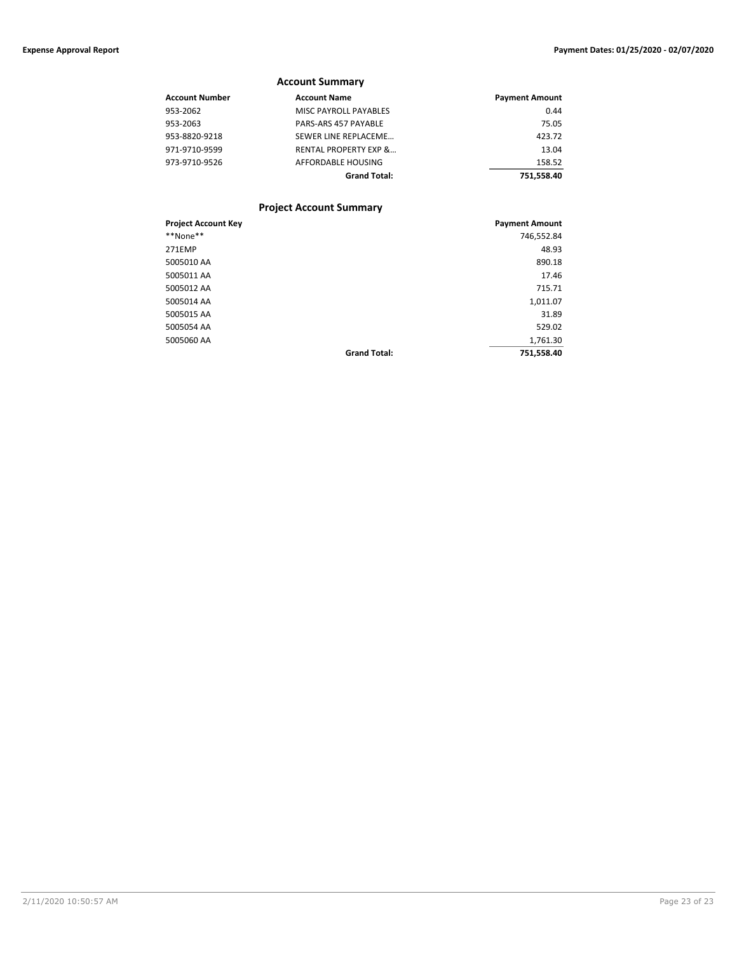### **Account Summary**

| Account Number | <b>Account Name</b>              | <b>Payment Amount</b> |
|----------------|----------------------------------|-----------------------|
| 953-2062       | <b>MISC PAYROLL PAYABLES</b>     | 0.44                  |
| 953-2063       | PARS-ARS 457 PAYABLE             | 75.05                 |
| 953-8820-9218  | SEWER LINE REPLACEME             | 423.72                |
| 971-9710-9599  | <b>RENTAL PROPERTY EXP &amp;</b> | 13.04                 |
| 973-9710-9526  | AFFORDABLE HOUSING               | 158.52                |
|                | <b>Grand Total:</b>              | 751.558.40            |

### **Project Account Summary**

| <b>Project Account Key</b> |                     | <b>Payment Amount</b> |
|----------------------------|---------------------|-----------------------|
| **None**                   |                     | 746,552.84            |
| <b>271EMP</b>              |                     | 48.93                 |
| 5005010 AA                 |                     | 890.18                |
| 5005011 AA                 |                     | 17.46                 |
| 5005012 AA                 |                     | 715.71                |
| 5005014 AA                 |                     | 1,011.07              |
| 5005015 AA                 |                     | 31.89                 |
| 5005054 AA                 |                     | 529.02                |
| 5005060 AA                 |                     | 1,761.30              |
|                            | <b>Grand Total:</b> | 751,558.40            |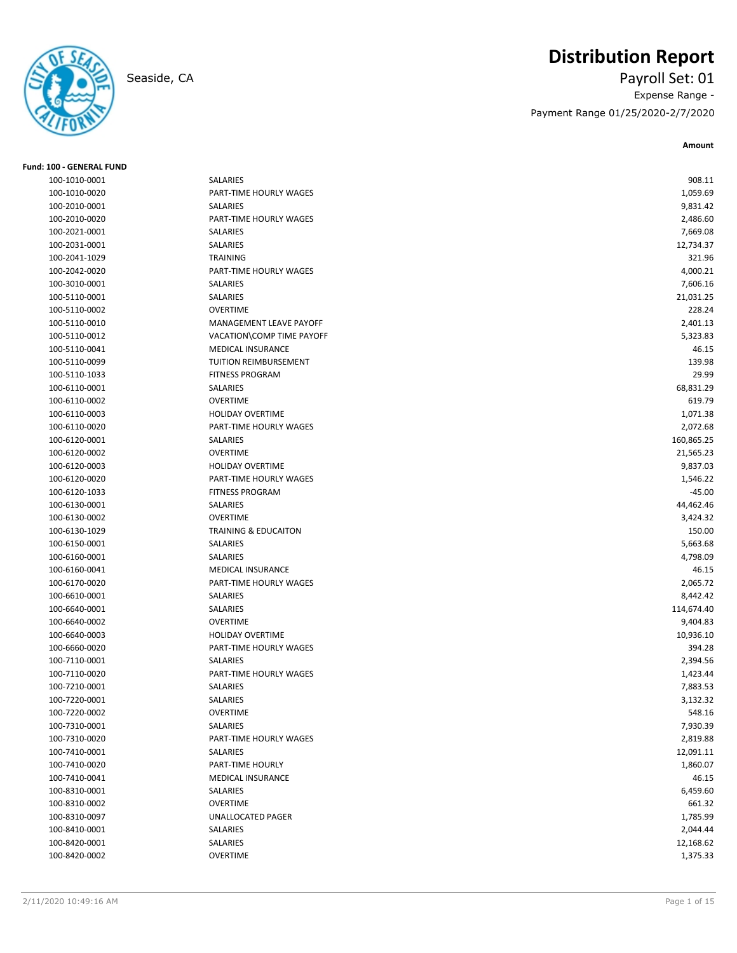

## **Distribution Report**

Seaside, CA Payroll Set: 01 Expense Range - Payment Range 01/25/2020-2/7/2020

**Amount**

| <b>Fund: 100 - GENERAL FUND</b> |                                 |            |
|---------------------------------|---------------------------------|------------|
| 100-1010-0001                   | <b>SALARIES</b>                 | 908.11     |
| 100-1010-0020                   | PART-TIME HOURLY WAGES          | 1,059.69   |
| 100-2010-0001                   | <b>SALARIES</b>                 | 9,831.42   |
| 100-2010-0020                   | PART-TIME HOURLY WAGES          | 2,486.60   |
| 100-2021-0001                   | SALARIES                        | 7,669.08   |
| 100-2031-0001                   | <b>SALARIES</b>                 | 12,734.37  |
| 100-2041-1029                   | <b>TRAINING</b>                 | 321.96     |
| 100-2042-0020                   | PART-TIME HOURLY WAGES          | 4,000.21   |
| 100-3010-0001                   | <b>SALARIES</b>                 | 7,606.16   |
| 100-5110-0001                   | <b>SALARIES</b>                 | 21,031.25  |
| 100-5110-0002                   | <b>OVERTIME</b>                 | 228.24     |
| 100-5110-0010                   | MANAGEMENT LEAVE PAYOFF         | 2,401.13   |
| 100-5110-0012                   | VACATION\COMP TIME PAYOFF       | 5,323.83   |
| 100-5110-0041                   | MEDICAL INSURANCE               | 46.15      |
| 100-5110-0099                   | TUITION REIMBURSEMENT           | 139.98     |
| 100-5110-1033                   | <b>FITNESS PROGRAM</b>          | 29.99      |
| 100-6110-0001                   | SALARIES                        | 68,831.29  |
| 100-6110-0002                   | <b>OVERTIME</b>                 | 619.79     |
| 100-6110-0003                   | <b>HOLIDAY OVERTIME</b>         | 1,071.38   |
| 100-6110-0020                   | PART-TIME HOURLY WAGES          | 2,072.68   |
| 100-6120-0001                   | <b>SALARIES</b>                 | 160,865.25 |
| 100-6120-0002                   | <b>OVERTIME</b>                 | 21,565.23  |
| 100-6120-0003                   | <b>HOLIDAY OVERTIME</b>         | 9,837.03   |
| 100-6120-0020                   | PART-TIME HOURLY WAGES          | 1,546.22   |
| 100-6120-1033                   | <b>FITNESS PROGRAM</b>          | $-45.00$   |
| 100-6130-0001                   | <b>SALARIES</b>                 | 44,462.46  |
| 100-6130-0002                   | <b>OVERTIME</b>                 | 3,424.32   |
| 100-6130-1029                   | <b>TRAINING &amp; EDUCAITON</b> | 150.00     |
| 100-6150-0001                   | SALARIES                        | 5,663.68   |
| 100-6160-0001                   | <b>SALARIES</b>                 | 4,798.09   |
| 100-6160-0041                   | <b>MEDICAL INSURANCE</b>        | 46.15      |
| 100-6170-0020                   | PART-TIME HOURLY WAGES          | 2,065.72   |
| 100-6610-0001                   | SALARIES                        | 8,442.42   |
| 100-6640-0001                   | SALARIES                        | 114,674.40 |
| 100-6640-0002                   | <b>OVERTIME</b>                 | 9,404.83   |
| 100-6640-0003                   | <b>HOLIDAY OVERTIME</b>         | 10,936.10  |
| 100-6660-0020                   | PART-TIME HOURLY WAGES          | 394.28     |
| 100-7110-0001                   | <b>SALARIES</b>                 | 2,394.56   |
| 100-7110-0020                   | PART-TIME HOURLY WAGES          | 1,423.44   |
| 100-7210-0001                   | <b>SALARIES</b>                 | 7,883.53   |
| 100-7220-0001                   | SALARIES                        | 3,132.32   |
| 100-7220-0002                   | <b>OVERTIME</b>                 | 548.16     |
| 100-7310-0001                   | SALARIES                        | 7,930.39   |
| 100-7310-0020                   | PART-TIME HOURLY WAGES          | 2,819.88   |
| 100-7410-0001                   | SALARIES                        | 12,091.11  |
| 100-7410-0020                   | PART-TIME HOURLY                | 1,860.07   |
| 100-7410-0041                   | MEDICAL INSURANCE               | 46.15      |
| 100-8310-0001                   | SALARIES                        | 6,459.60   |
| 100-8310-0002                   | <b>OVERTIME</b>                 | 661.32     |
| 100-8310-0097                   | <b>UNALLOCATED PAGER</b>        | 1,785.99   |
| 100-8410-0001                   | SALARIES                        | 2,044.44   |
| 100-8420-0001                   | SALARIES                        | 12,168.62  |
| 100-8420-0002                   | OVERTIME                        | 1,375.33   |
|                                 |                                 |            |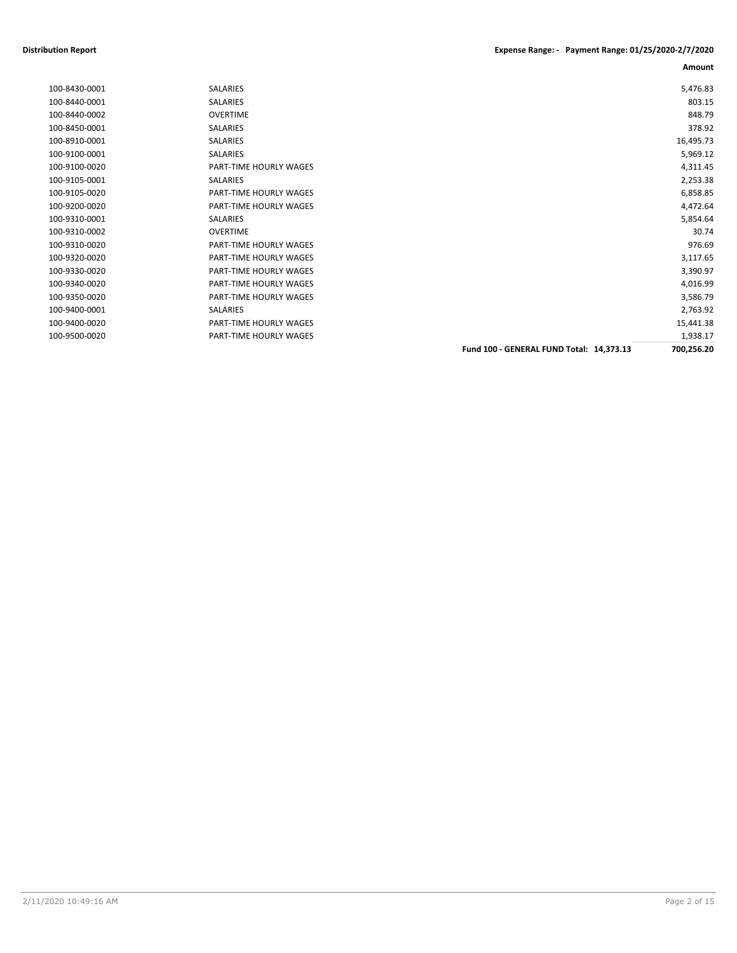### **Distribution Report Expense Range: - Payment Range: 01/25/2020-2/7/2020**

**Amount**

| 100-8430-0001 | <b>SALARIES</b>        |                                          | 5,476.83   |
|---------------|------------------------|------------------------------------------|------------|
| 100-8440-0001 | <b>SALARIES</b>        |                                          | 803.15     |
| 100-8440-0002 | <b>OVERTIME</b>        |                                          | 848.79     |
| 100-8450-0001 | <b>SALARIES</b>        |                                          | 378.92     |
| 100-8910-0001 | <b>SALARIES</b>        |                                          | 16,495.73  |
| 100-9100-0001 | <b>SALARIES</b>        |                                          | 5,969.12   |
| 100-9100-0020 | PART-TIME HOURLY WAGES |                                          | 4,311.45   |
| 100-9105-0001 | <b>SALARIES</b>        |                                          | 2,253.38   |
| 100-9105-0020 | PART-TIME HOURLY WAGES |                                          | 6,858.85   |
| 100-9200-0020 | PART-TIME HOURLY WAGES |                                          | 4,472.64   |
| 100-9310-0001 | <b>SALARIES</b>        |                                          | 5,854.64   |
| 100-9310-0002 | <b>OVERTIME</b>        |                                          | 30.74      |
| 100-9310-0020 | PART-TIME HOURLY WAGES |                                          | 976.69     |
| 100-9320-0020 | PART-TIME HOURLY WAGES |                                          | 3,117.65   |
| 100-9330-0020 | PART-TIME HOURLY WAGES |                                          | 3,390.97   |
| 100-9340-0020 | PART-TIME HOURLY WAGES |                                          | 4,016.99   |
| 100-9350-0020 | PART-TIME HOURLY WAGES |                                          | 3,586.79   |
| 100-9400-0001 | <b>SALARIES</b>        |                                          | 2,763.92   |
| 100-9400-0020 | PART-TIME HOURLY WAGES |                                          | 15,441.38  |
| 100-9500-0020 | PART-TIME HOURLY WAGES |                                          | 1,938.17   |
|               |                        | Fund 100 - GENERAL FUND Total: 14,373.13 | 700,256.20 |
|               |                        |                                          |            |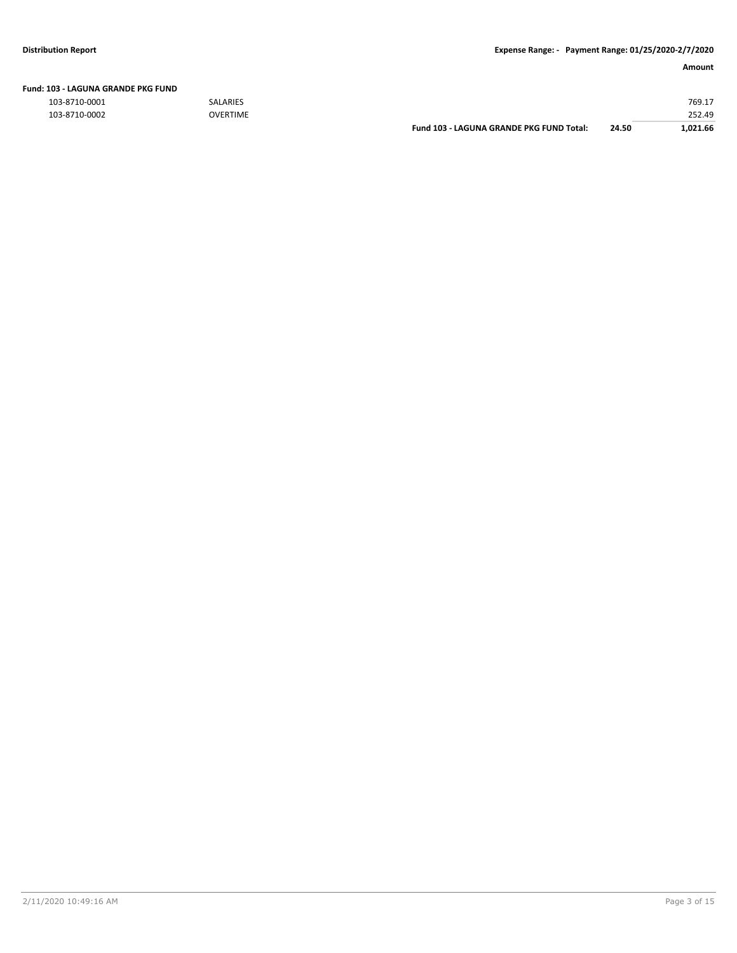### **Amount**

| Fund: 103 - LAGUNA GRANDE PKG FUND |  |
|------------------------------------|--|
|                                    |  |

103-8710-0001 SALARIES 769.17

| 103-8710-0002 | <b>OVERTIME</b> |                                          |       | 252.49   |
|---------------|-----------------|------------------------------------------|-------|----------|
|               |                 | Fund 103 - LAGUNA GRANDE PKG FUND Total: | 24.50 | 1.021.66 |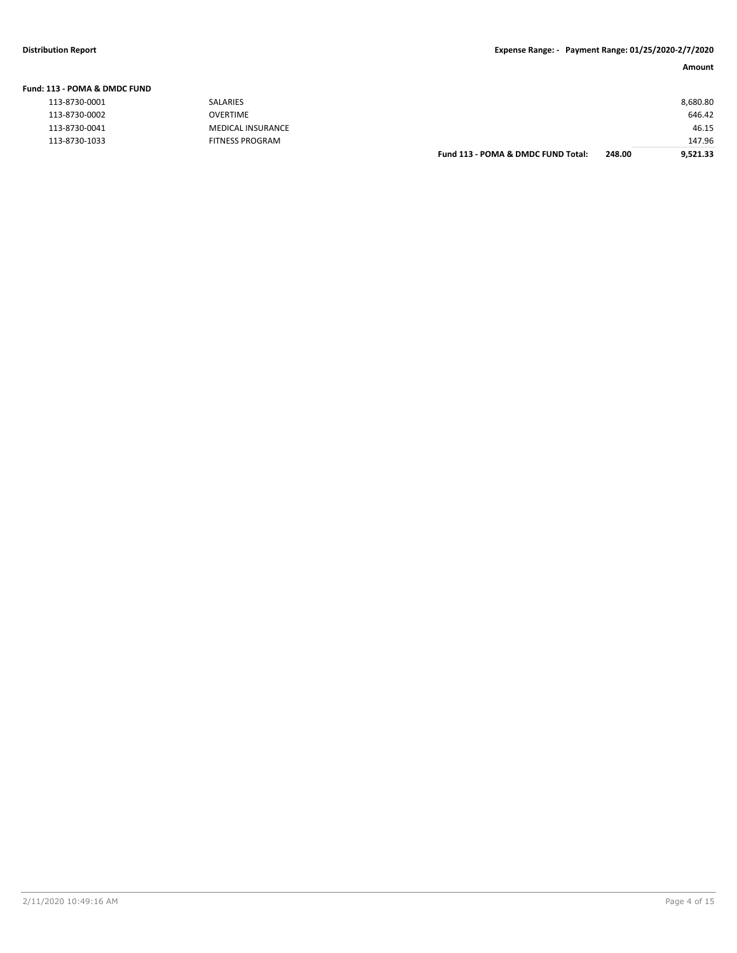### **Amount**

| Fund: 113 - POMA & DMDC FUND |                          |                                    |        |          |
|------------------------------|--------------------------|------------------------------------|--------|----------|
| 113-8730-0001                | SALARIES                 |                                    |        | 8,680.80 |
| 113-8730-0002                | <b>OVERTIME</b>          |                                    |        | 646.42   |
| 113-8730-0041                | <b>MEDICAL INSURANCE</b> |                                    |        | 46.15    |
| 113-8730-1033                | <b>FITNESS PROGRAM</b>   |                                    |        | 147.96   |
|                              |                          | Fund 113 - POMA & DMDC FUND Total: | 248.00 | 9,521.33 |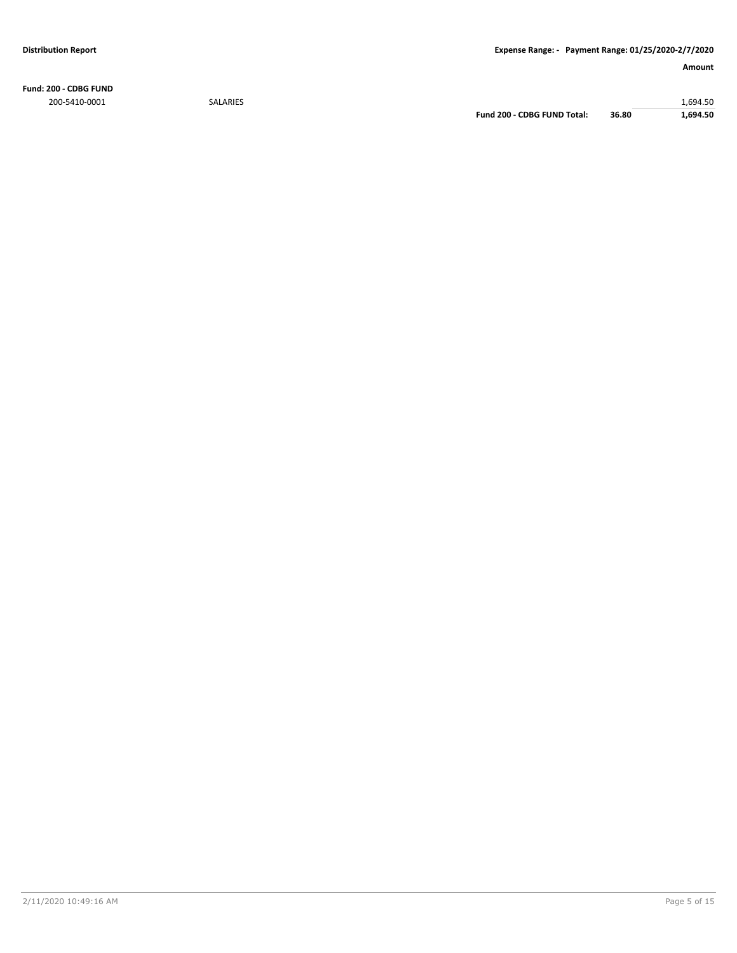**Fund: 200 - CDBG FUND** 200-5410-0001 SALARIES 1,694.50

**Fund 200 - CDBG FUND Total: 36.80 1,694.50**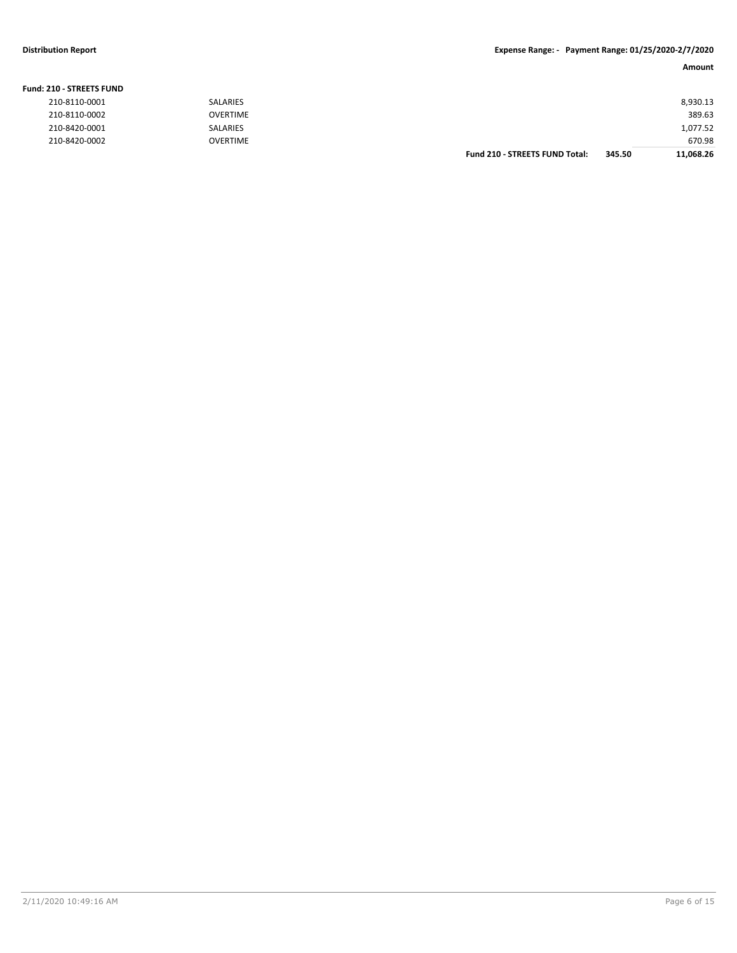### **Distribution Report Expense Range: - Payment Range: 01/25/2020-2/7/2020**

| <b>Fund: 210 - STREETS FUND</b> |                 |                                       |        |           |
|---------------------------------|-----------------|---------------------------------------|--------|-----------|
| 210-8110-0001                   | <b>SALARIES</b> |                                       |        | 8,930.13  |
| 210-8110-0002                   | <b>OVERTIME</b> |                                       |        | 389.63    |
| 210-8420-0001                   | <b>SALARIES</b> |                                       |        | 1,077.52  |
| 210-8420-0002                   | <b>OVERTIME</b> |                                       |        | 670.98    |
|                                 |                 | <b>Fund 210 - STREETS FUND Total:</b> | 345.50 | 11.068.26 |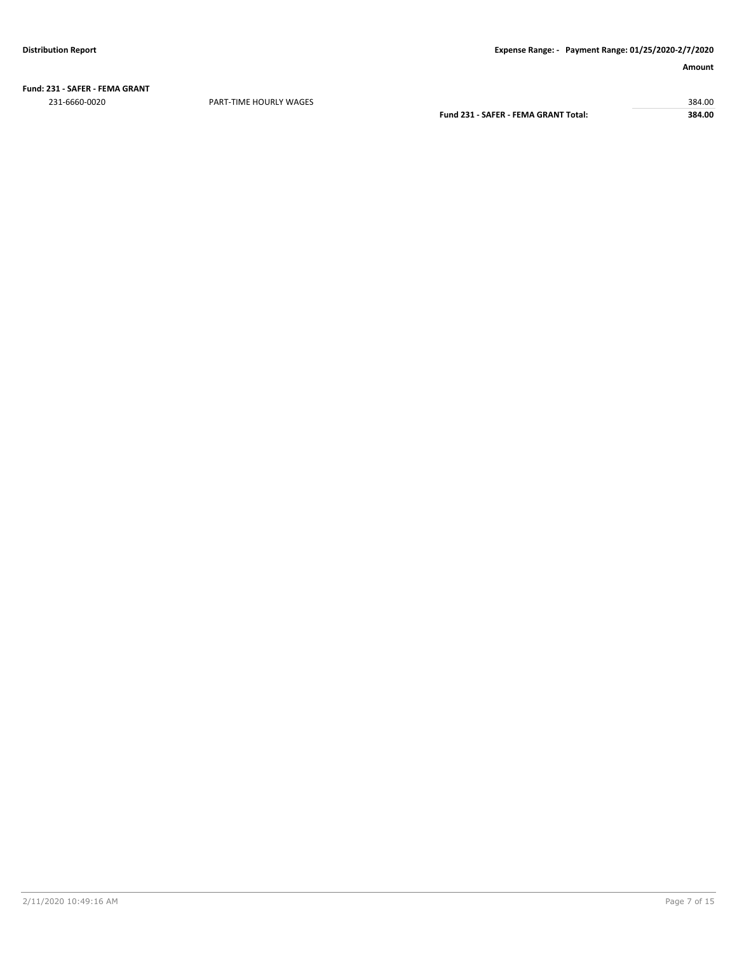**Fund: 231 - SAFER - FEMA GRANT** 231-6660-0020 PART-TIME HOURLY WAGES 384.00

**Fund 231 - SAFER - FEMA GRANT Total: 384.00**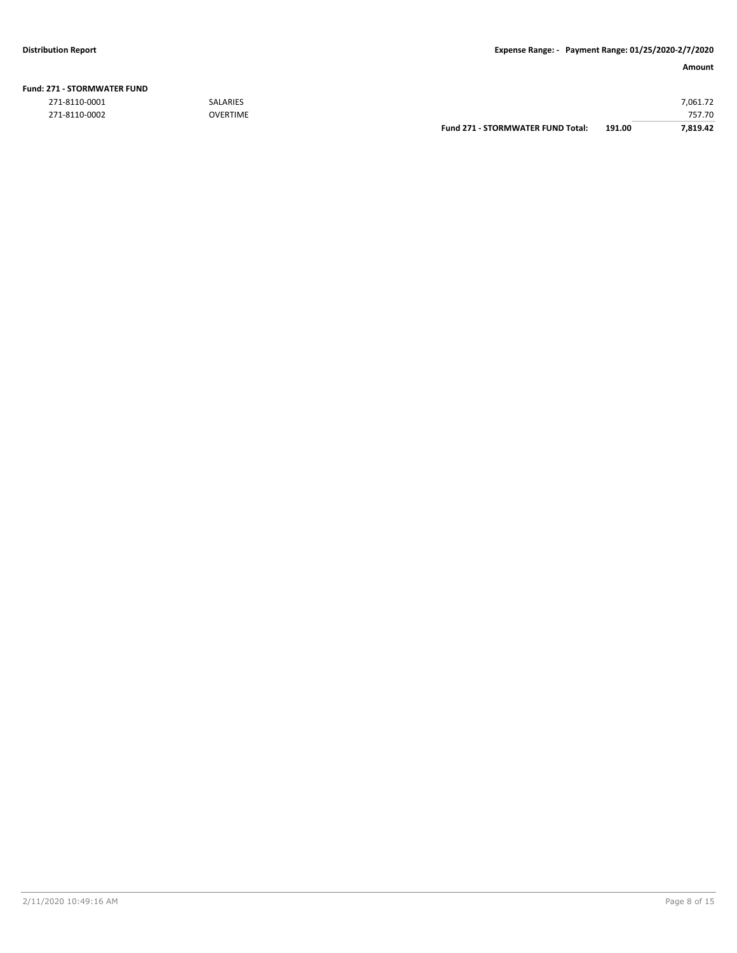|               |                 | <b>Fund 271 - STORMWATER FUND Total:</b> | 191.00 | 7.819.42 |
|---------------|-----------------|------------------------------------------|--------|----------|
| 271-8110-0002 | <b>OVERTIME</b> |                                          |        | 757.70   |
| 271-8110-0001 | <b>SALARIES</b> |                                          |        | 7,061.72 |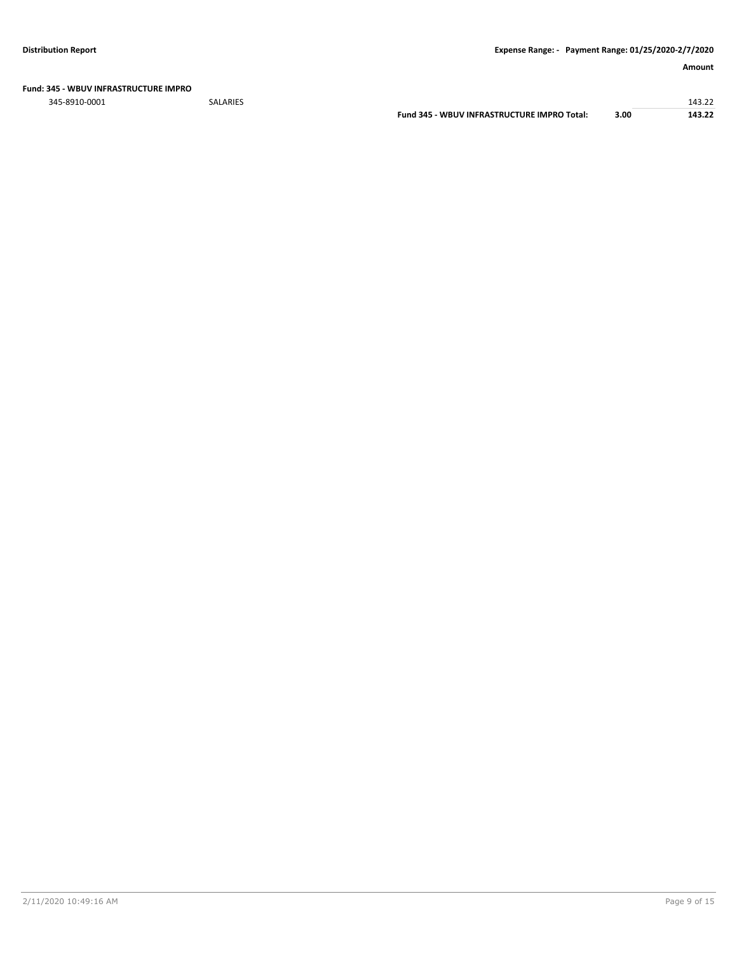### **Amount**

#### **Fund: 345 - WBUV INFRASTRUCTURE IMPRO**

345-8910-0001 SALARIES 143.22

**Fund 345 - WBUV INFRASTRUCTURE IMPRO Total: 3.00 143.22**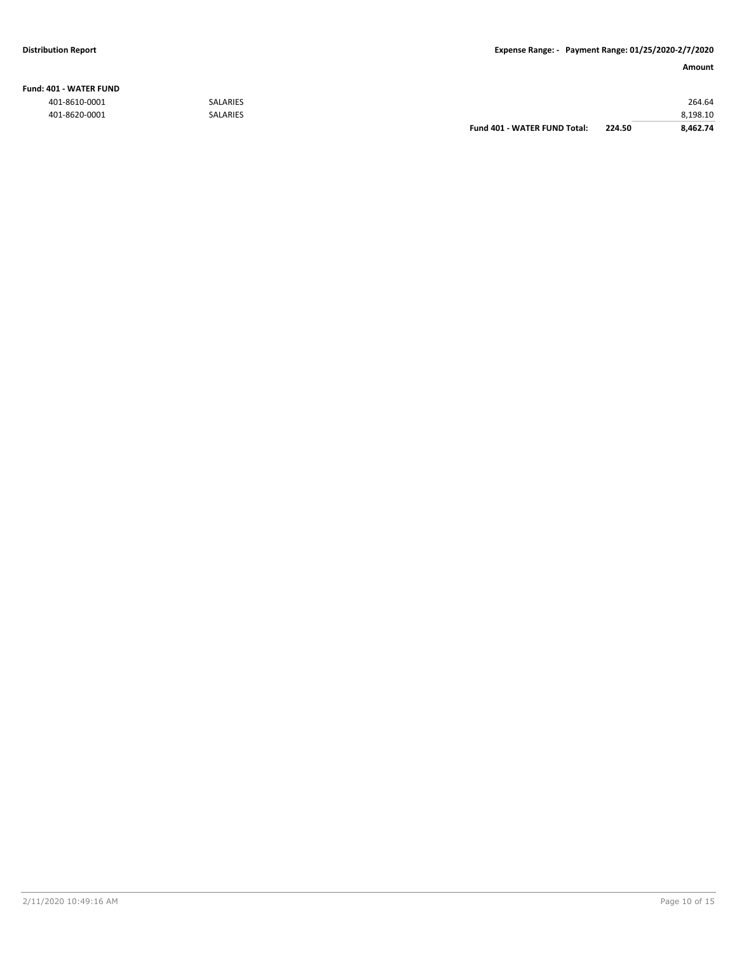#### **Fund: 401 - WATER FUND**

|               |                 | Fund 401 - WATER FUND Total: | 224.50 | 8,462.74 |
|---------------|-----------------|------------------------------|--------|----------|
| 401-8620-0001 | <b>SALARIES</b> |                              |        | 8.198.10 |
| 401-8610-0001 | <b>SALARIES</b> |                              |        | 264.64   |
|               |                 |                              |        |          |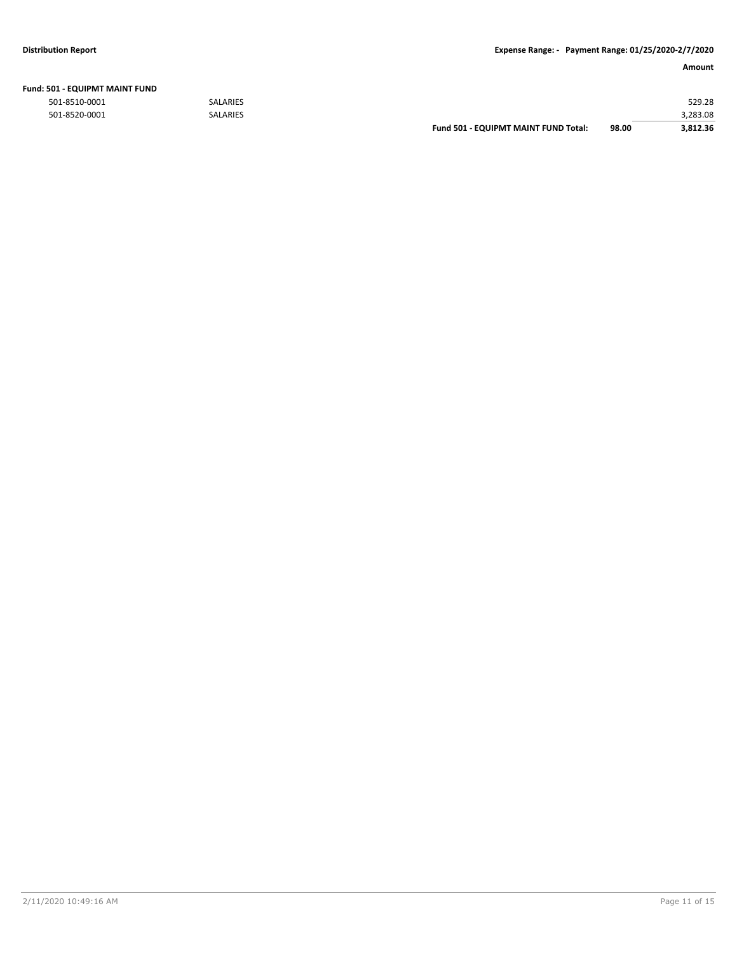|  |  | Fund: 501 - EQUIPMT MAINT FUND |  |  |
|--|--|--------------------------------|--|--|
|--|--|--------------------------------|--|--|

501-8510-0001 SALARIES 529.28

| 501-8520-0001 | <b>SALARIES</b> |                                             |       | 3.283.08 |
|---------------|-----------------|---------------------------------------------|-------|----------|
|               |                 | <b>Fund 501 - EQUIPMT MAINT FUND Total:</b> | 98.00 | 3.812.36 |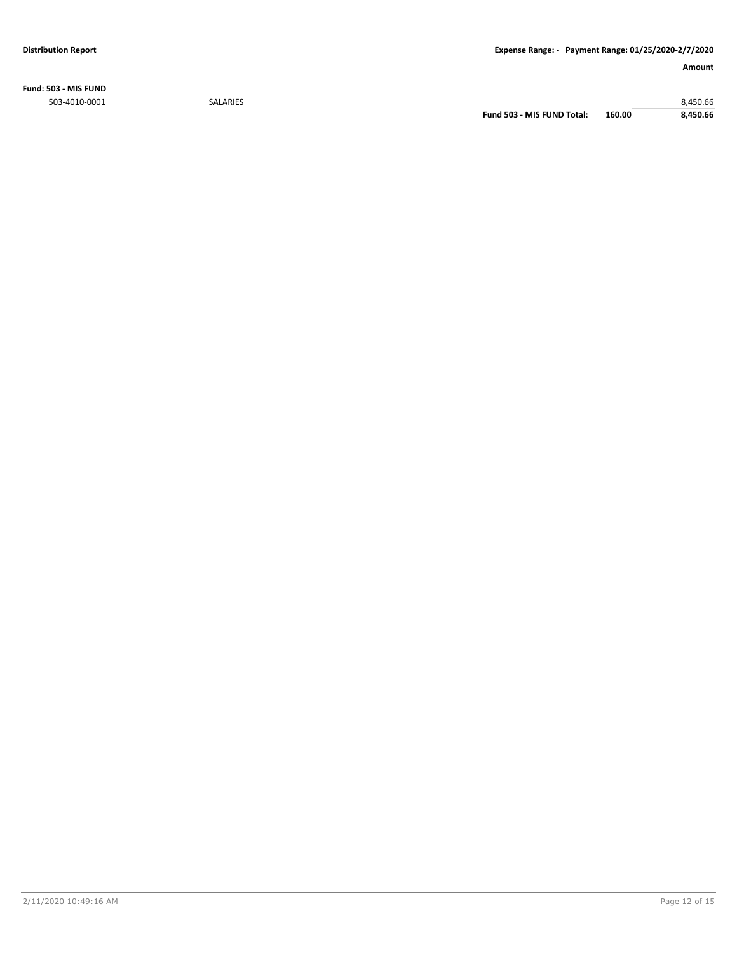**Fund: 503 - MIS FUND** 503-4010-0001 SALARIES 8,450.66

**Fund 503 - MIS FUND Total: 160.00 8,450.66**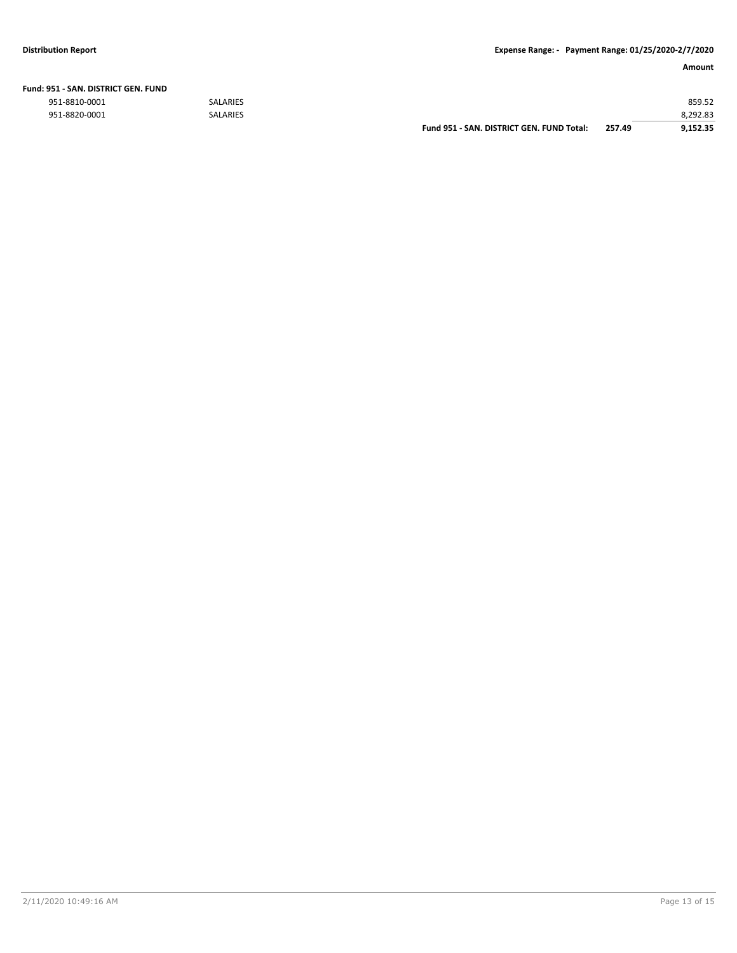|  | Fund: 951 - SAN. DISTRICT GEN. FUND |  |
|--|-------------------------------------|--|
|  |                                     |  |

|               |                 | Fund 951 - SAN, DISTRICT GEN, FUND Total: | 257.49 | 9.152.35 |
|---------------|-----------------|-------------------------------------------|--------|----------|
| 951-8820-0001 | <b>SALARIES</b> |                                           |        | 8,292.83 |
| 951-8810-0001 | <b>SALARIES</b> |                                           |        | 859.52   |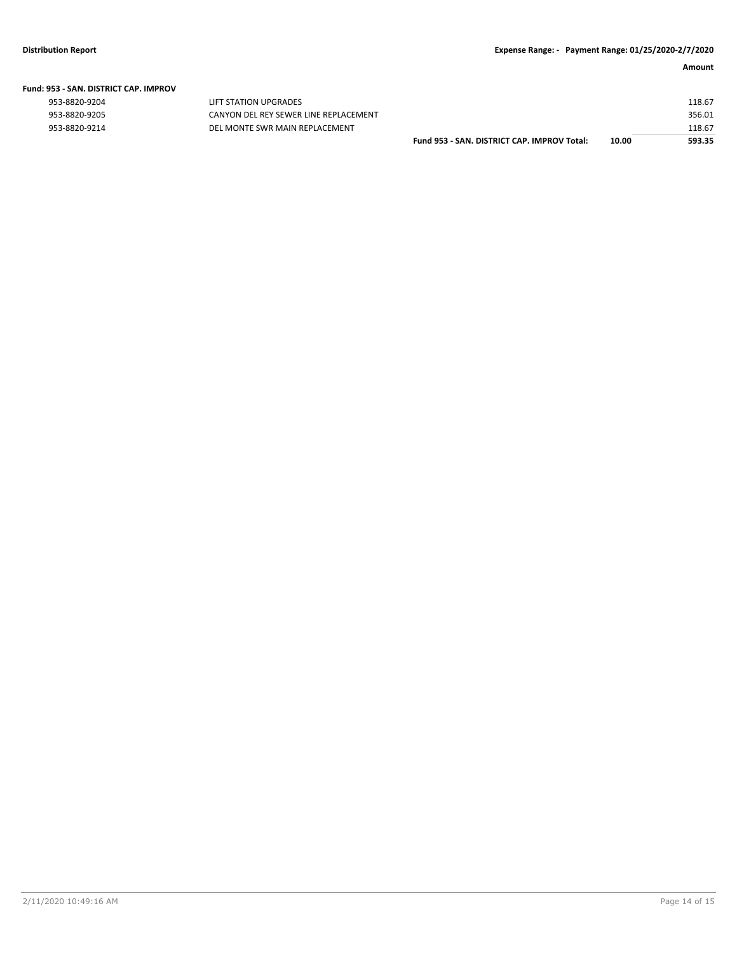#### **Fund: 953 - SAN. DISTRICT CAP. IMPROV**

| 953-8820-9204 |  |
|---------------|--|
| 953-8820-9205 |  |
| 953-8820-9214 |  |

LIFT STATION UPGRADES CANYON DEL REY SEWER LINE REPLACEMENT -9214 DEL MONTE SWR MAIN REPLACEMENT

| Fund 953 - SAN. DISTRICT CAP. IMPROV Total: | 10.00 | 593.35 |
|---------------------------------------------|-------|--------|
|                                             |       | 118.67 |
|                                             |       | 356.01 |
|                                             |       | 118.67 |